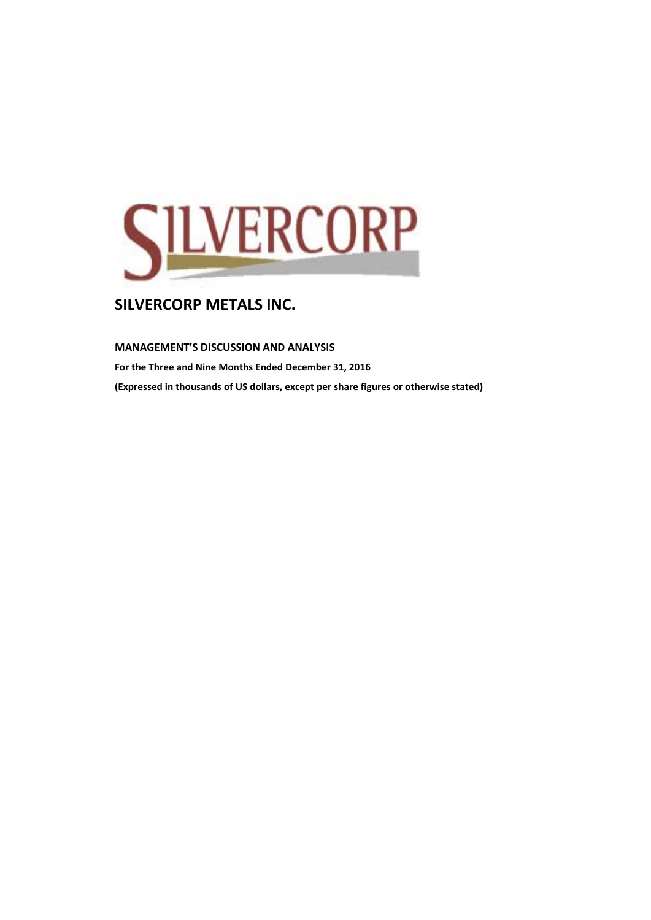

**MANAGEMENT'S DISCUSSION AND ANALYSIS** 

**For the Three and Nine Months Ended December 31, 2016 (Expressed in thousands of US dollars, except per share figures or otherwise stated)**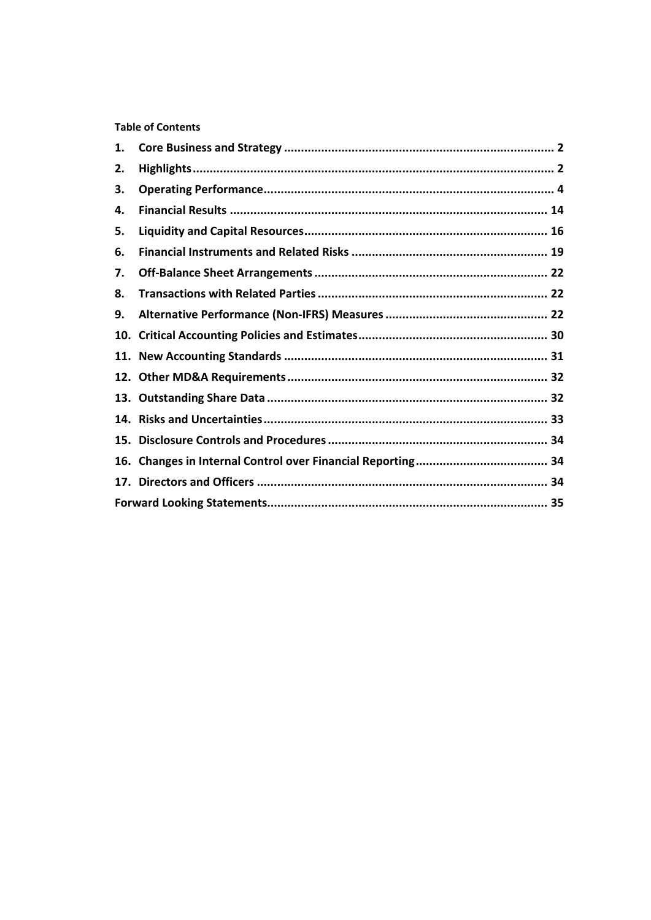**Table of Contents** 

| 1.  |  |
|-----|--|
| 2.  |  |
| З.  |  |
| 4.  |  |
| 5.  |  |
| 6.  |  |
| 7.  |  |
| 8.  |  |
| 9.  |  |
|     |  |
|     |  |
|     |  |
|     |  |
|     |  |
|     |  |
| 16. |  |
|     |  |
|     |  |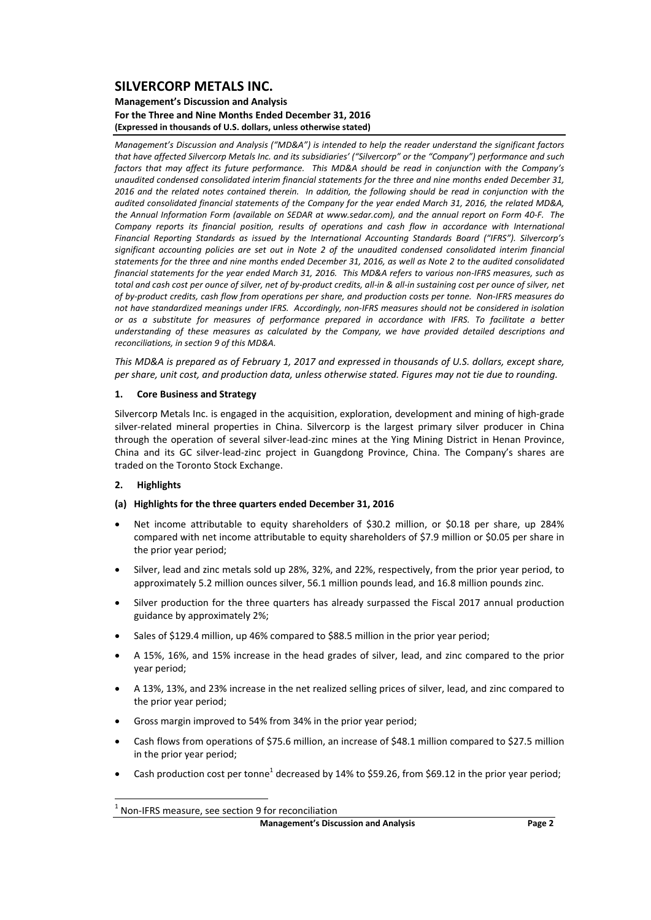#### **Management's Discussion and Analysis For the Three and Nine Months Ended December 31, 2016 (Expressed in thousands of U.S. dollars, unless otherwise stated)**

*Management's Discussion and Analysis ("MD&A") is intended to help the reader understand the significant factors* that have affected Silvercorp Metals Inc. and its subsidiaries' ("Silvercorp" or the "Company") performance and such factors that may affect its future performance. This MD&A should be read in conjunction with the Company's *unaudited condensed consolidated interim financial statements for the three and nine months ended December 31,* 2016 and the related notes contained therein. In addition, the following should be read in conjunction with the audited consolidated financial statements of the Company for the year ended March 31, 2016, the related MD&A, the Annual Information Form (available on SEDAR at www.sedar.com), and the annual report on Form 40-F. The *Company reports its financial position, results of operations and cash flow in accordance with International Financial Reporting Standards as issued by the International Accounting Standards Board ("IFRS"). Silvercorp's significant accounting policies are set out in Note 2 of the unaudited condensed consolidated interim financial* statements for the three and nine months ended December 31, 2016, as well as Note 2 to the audited consolidated financial statements for the vear ended March 31, 2016. This MD&A refers to various non-IFRS measures, such as total and cash cost per ounce of silver, net of by-product credits, all-in & all-in sustaining cost per ounce of silver, net of by-product credits, cash flow from operations per share, and production costs per tonne. Non-IFRS measures do not have standardized meanings under IFRS. Accordingly, non-IFRS measures should not be considered in isolation *or as a substitute for measures of performance prepared in accordance with IFRS. To facilitate a better understanding of these measures as calculated by the Company, we have provided detailed descriptions and reconciliations, in section 9 of this MD&A.* 

This MD&A is prepared as of February 1, 2017 and expressed in thousands of U.S. dollars, except share, per share, unit cost, and production data, unless otherwise stated. Figures may not tie due to rounding.

#### **1. Core Business and Strategy**

Silvercorp Metals Inc. is engaged in the acquisition, exploration, development and mining of high‐grade silver-related mineral properties in China. Silvercorp is the largest primary silver producer in China through the operation of several silver‐lead‐zinc mines at the Ying Mining District in Henan Province, China and its GC silver‐lead‐zinc project in Guangdong Province, China. The Company's shares are traded on the Toronto Stock Exchange.

### **2. Highlights**

#### **(a) Highlights for the three quarters ended December 31, 2016**

- Net income attributable to equity shareholders of \$30.2 million, or \$0.18 per share, up 284% compared with net income attributable to equity shareholders of \$7.9 million or \$0.05 per share in the prior year period;
- Silver, lead and zinc metals sold up 28%, 32%, and 22%, respectively, from the prior year period, to approximately 5.2 million ounces silver, 56.1 million pounds lead, and 16.8 million pounds zinc.
- Silver production for the three quarters has already surpassed the Fiscal 2017 annual production guidance by approximately 2%;
- Sales of \$129.4 million, up 46% compared to \$88.5 million in the prior year period;
- A 15%, 16%, and 15% increase in the head grades of silver, lead, and zinc compared to the prior year period;
- A 13%, 13%, and 23% increase in the net realized selling prices of silver, lead, and zinc compared to the prior year period;
- Gross margin improved to 54% from 34% in the prior year period;
- Cash flows from operations of \$75.6 million, an increase of \$48.1 million compared to \$27.5 million in the prior year period;
- Cash production cost per tonne<sup>1</sup> decreased by 14% to \$59.26, from \$69.12 in the prior year period;

<sup>1</sup> Non‐IFRS measure, see section <sup>9</sup> for reconciliation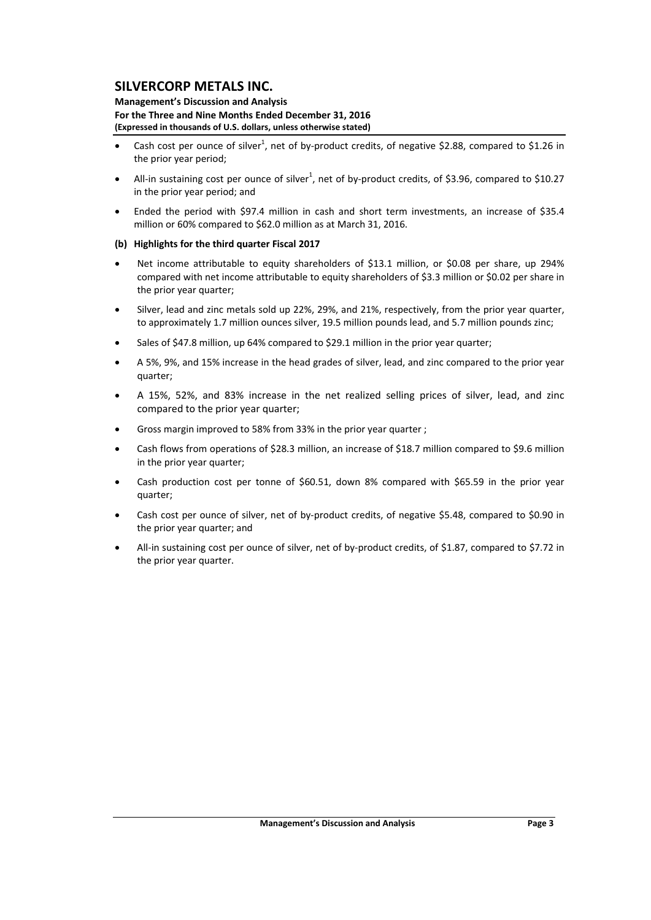#### **Management's Discussion and Analysis For the Three and Nine Months Ended December 31, 2016 (Expressed in thousands of U.S. dollars, unless otherwise stated)**

- Cash cost per ounce of silver<sup>1</sup>, net of by-product credits, of negative \$2.88, compared to \$1.26 in the prior year period;
- All-in sustaining cost per ounce of silver<sup>1</sup>, net of by-product credits, of \$3.96, compared to \$10.27 in the prior year period; and
- Ended the period with \$97.4 million in cash and short term investments, an increase of \$35.4 million or 60% compared to \$62.0 million as at March 31, 2016.

### **(b) Highlights for the third quarter Fiscal 2017**

- Net income attributable to equity shareholders of \$13.1 million, or \$0.08 per share, up 294% compared with net income attributable to equity shareholders of \$3.3 million or \$0.02 per share in the prior year quarter;
- Silver, lead and zinc metals sold up 22%, 29%, and 21%, respectively, from the prior year quarter, to approximately 1.7 million ounces silver, 19.5 million pounds lead, and 5.7 million pounds zinc;
- Sales of \$47.8 million, up 64% compared to \$29.1 million in the prior year quarter;
- A 5%, 9%, and 15% increase in the head grades of silver, lead, and zinc compared to the prior year quarter;
- A 15%, 52%, and 83% increase in the net realized selling prices of silver, lead, and zinc compared to the prior year quarter;
- Gross margin improved to 58% from 33% in the prior year quarter ;
- Cash flows from operations of \$28.3 million, an increase of \$18.7 million compared to \$9.6 million in the prior year quarter;
- Cash production cost per tonne of \$60.51, down 8% compared with \$65.59 in the prior year quarter;
- Cash cost per ounce of silver, net of by‐product credits, of negative \$5.48, compared to \$0.90 in the prior year quarter; and
- All-in sustaining cost per ounce of silver, net of by-product credits, of \$1.87, compared to \$7.72 in the prior year quarter.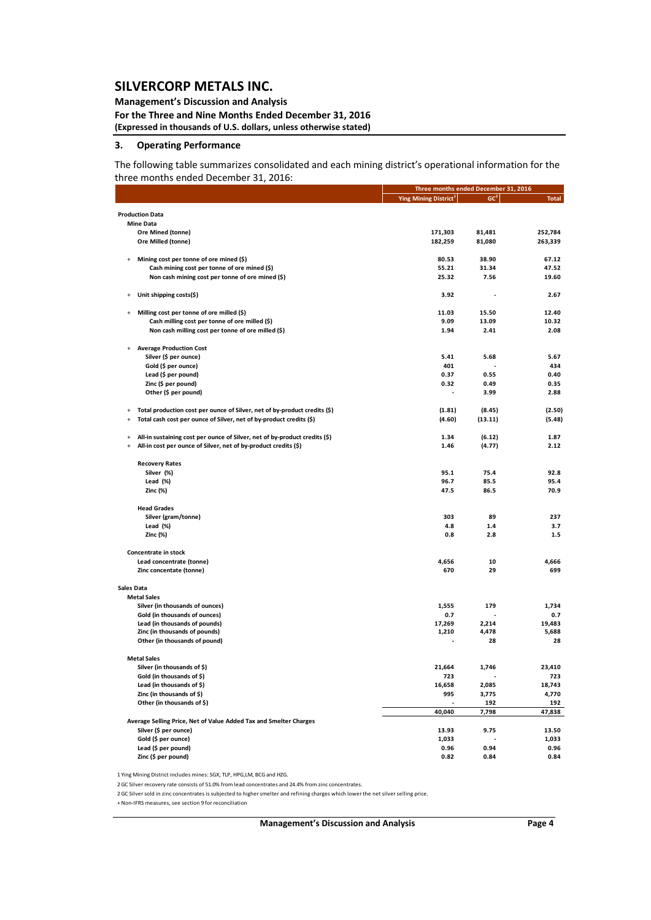### **Management's Discussion and Analysis**

**For the Three and Nine Months Ended December 31, 2016 (Expressed in thousands of U.S. dollars, unless otherwise stated)**

#### **3. Operating Performance**

The following table summarizes consolidated and each mining district's operational information for the three months ended December 31, 2016:

|                                                                                                                | Three months ended December 31, 2016 |                 |              |
|----------------------------------------------------------------------------------------------------------------|--------------------------------------|-----------------|--------------|
|                                                                                                                | Ying Mining District <sup>1</sup>    | GC <sup>2</sup> | <b>Total</b> |
| <b>Production Data</b>                                                                                         |                                      |                 |              |
| <b>Mine Data</b>                                                                                               |                                      |                 |              |
| Ore Mined (tonne)                                                                                              | 171,303                              | 81,481          | 252,784      |
| Ore Milled (tonne)                                                                                             | 182,259                              | 81,080          | 263,339      |
|                                                                                                                |                                      |                 |              |
| Mining cost per tonne of ore mined (\$)<br>$\ddot{}$                                                           | 80.53                                | 38.90           | 67.12        |
| Cash mining cost per tonne of ore mined (\$)                                                                   | 55.21                                | 31.34           | 47.52        |
| Non cash mining cost per tonne of ore mined (\$)                                                               | 25.32                                | 7.56            | 19.60        |
| Unit shipping costs(\$)<br>$\ddot{}$                                                                           | 3.92                                 |                 | 2.67         |
| Milling cost per tonne of ore milled (\$)<br>$\begin{array}{c} + \end{array}$                                  | 11.03                                | 15.50           | 12.40        |
| Cash milling cost per tonne of ore milled (\$)                                                                 | 9.09                                 | 13.09           | 10.32        |
| Non cash milling cost per tonne of ore milled (\$)                                                             | 1.94                                 | 2.41            | 2.08         |
| <b>Average Production Cost</b><br>$\ddot{}$                                                                    |                                      |                 |              |
| Silver (\$ per ounce)                                                                                          | 5.41                                 | 5.68            | 5.67         |
| Gold (\$ per ounce)                                                                                            | 401                                  |                 | 434          |
| Lead (\$ per pound)                                                                                            | 0.37                                 | 0.55            | 0.40         |
| Zinc (\$ per pound)                                                                                            | 0.32                                 | 0.49            | 0.35         |
| Other (\$ per pound)                                                                                           | $\overline{a}$                       | 3.99            | 2.88         |
| Total production cost per ounce of Silver, net of by-product credits (\$)<br>$\ddot{}$                         | (1.81)                               | (8.45)          | (2.50)       |
| Total cash cost per ounce of Silver, net of by-product credits (\$)<br>$\ddot{}$                               | (4.60)                               | (13.11)         | (5.48)       |
| All-in sustaining cost per ounce of Silver, net of by-product credits (\$)<br>$\begin{array}{c} + \end{array}$ | 1.34                                 | (6.12)          | 1.87         |
| All-in cost per ounce of Silver, net of by-product credits (\$)<br>$\ddot{}$                                   | 1.46                                 | (4.77)          | 2.12         |
| <b>Recovery Rates</b>                                                                                          |                                      |                 |              |
| Silver (%)                                                                                                     | 95.1                                 | 75.4            | 92.8         |
| Lead (%)                                                                                                       | 96.7                                 | 85.5            | 95.4         |
| Zinc (%)                                                                                                       | 47.5                                 | 86.5            | 70.9         |
| <b>Head Grades</b>                                                                                             |                                      |                 |              |
| Silver (gram/tonne)                                                                                            | 303                                  | 89              | 237          |
| Lead (%)                                                                                                       | 4.8                                  | 1.4             | 3.7          |
| Zinc (%)                                                                                                       | 0.8                                  | 2.8             | $1.5$        |
| Concentrate in stock                                                                                           |                                      |                 |              |
| Lead concentrate (tonne)                                                                                       | 4,656                                | 10              | 4,666        |
| Zinc concentate (tonne)                                                                                        | 670                                  | 29              | 699          |
| Sales Data                                                                                                     |                                      |                 |              |
| <b>Metal Sales</b>                                                                                             |                                      |                 |              |
| Silver (in thousands of ounces)                                                                                | 1,555                                | 179             | 1,734        |
| Gold (in thousands of ounces)                                                                                  | 0.7                                  |                 | 0.7          |
| Lead (in thousands of pounds)                                                                                  | 17,269                               | 2,214           | 19,483       |
| Zinc (in thousands of pounds)<br>Other (in thousands of pound)                                                 | 1,210                                | 4,478<br>28     | 5,688<br>28  |
|                                                                                                                |                                      |                 |              |
| <b>Metal Sales</b><br>Silver (in thousands of \$)                                                              | 21,664                               | 1,746           | 23,410       |
|                                                                                                                |                                      |                 |              |
| Gold (in thousands of \$)<br>Lead (in thousands of \$)                                                         | 725                                  |                 | 723          |
| Zinc (in thousands of \$)                                                                                      | 16,658                               | 2,085           | 18,743       |
| Other (in thousands of \$)                                                                                     | 995                                  | 3,775<br>192    | 4,770<br>192 |
|                                                                                                                | 40,040                               | 7,798           | 47,838       |
| Average Selling Price, Net of Value Added Tax and Smelter Charges                                              |                                      |                 |              |
| Silver (\$ per ounce)                                                                                          | 13.93                                | 9.75            | 13.50        |
| Gold (\$ per ounce)                                                                                            | 1,033                                |                 | 1,033        |
| Lead (\$ per pound)                                                                                            | 0.96                                 | 0.94            | 0.96         |
| Zinc (\$ per pound)                                                                                            | 0.82                                 | 0.84            | 0.84         |

1 Ying Mining District includes mines: SGX, TLP, HPG,LM, BCG and HZG.

2GC Silver recovery rate consists of 51.0% from lead concentrates and 24.4% from zinc concentrates.

2GC Silversold in zinc concentrates is subjected to highersmelter and refining charges which lower the net silverselling price.

+Non‐IFRS measures, see section 9 for reconciliation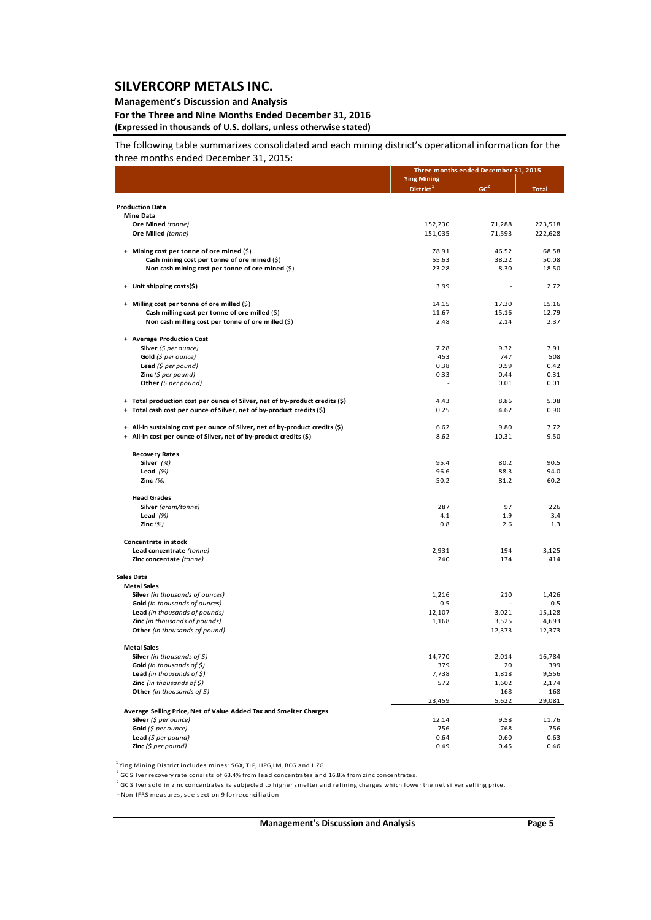### **Management's Discussion and Analysis**

**For the Three and Nine Months Ended December 31, 2016 (Expressed in thousands of U.S. dollars, unless otherwise stated)**

The following table summarizes consolidated and each mining district's operational information for the three months ended December 31, 2015:

|                                                                                                                                                   |                       | Three months ended December 31, 2015 |              |  |
|---------------------------------------------------------------------------------------------------------------------------------------------------|-----------------------|--------------------------------------|--------------|--|
|                                                                                                                                                   | <b>Ying Mining</b>    |                                      |              |  |
|                                                                                                                                                   | District <sup>1</sup> | GC <sup>2</sup>                      | <b>Total</b> |  |
|                                                                                                                                                   |                       |                                      |              |  |
| <b>Production Data</b>                                                                                                                            |                       |                                      |              |  |
| <b>Mine Data</b>                                                                                                                                  |                       |                                      |              |  |
| Ore Mined (tonne)                                                                                                                                 | 152,230               | 71,288                               | 223,518      |  |
| Ore Milled (tonne)                                                                                                                                | 151,035               | 71,593                               | 222,628      |  |
|                                                                                                                                                   |                       |                                      |              |  |
| + Mining cost per tonne of ore mined (\$)                                                                                                         | 78.91                 | 46.52                                | 68.58        |  |
| Cash mining cost per tonne of ore mined $(5)$                                                                                                     | 55.63                 | 38.22                                | 50.08        |  |
| Non cash mining cost per tonne of ore mined (\$)                                                                                                  | 23.28                 | 8.30                                 | 18.50        |  |
|                                                                                                                                                   |                       |                                      |              |  |
| + Unit shipping costs(\$)                                                                                                                         | 3.99                  |                                      | 2.72         |  |
| + Milling cost per tonne of ore milled (\$)                                                                                                       | 14.15                 | 17.30                                | 15.16        |  |
| Cash milling cost per tonne of ore milled (\$)                                                                                                    | 11.67                 | 15.16                                | 12.79        |  |
| Non cash milling cost per tonne of ore milled (\$)                                                                                                | 2.48                  | 2.14                                 | 2.37         |  |
|                                                                                                                                                   |                       |                                      |              |  |
| + Average Production Cost                                                                                                                         |                       |                                      |              |  |
| Silver (\$ per ounce)                                                                                                                             | 7.28                  | 9.32                                 | 7.91         |  |
|                                                                                                                                                   | 453                   | 747                                  | 508          |  |
| Gold (\$ per ounce)                                                                                                                               |                       |                                      |              |  |
| Lead $(5$ per pound)                                                                                                                              | 0.38                  | 0.59                                 | 0.42         |  |
| <b>Zinc</b> (\$ per pound)                                                                                                                        | 0.33                  | 0.44                                 | 0.31         |  |
| Other $(5$ per pound)                                                                                                                             |                       | 0.01                                 | 0.01         |  |
| + Total production cost per ounce of Silver, net of by-product credits (\$)                                                                       | 4.43                  | 8.86                                 | 5.08         |  |
| + Total cash cost per ounce of Silver, net of by-product credits (\$)                                                                             | 0.25                  | 4.62                                 | 0.90         |  |
|                                                                                                                                                   |                       |                                      |              |  |
|                                                                                                                                                   | 6.62                  | 9.80                                 | 7.72         |  |
| + All-in sustaining cost per ounce of Silver, net of by-product credits (\$)<br>+ All-in cost per ounce of Silver, net of by-product credits (\$) |                       |                                      |              |  |
|                                                                                                                                                   | 8.62                  | 10.31                                | 9.50         |  |
|                                                                                                                                                   |                       |                                      |              |  |
| <b>Recovery Rates</b>                                                                                                                             |                       |                                      |              |  |
| Silver (%)                                                                                                                                        | 95.4                  | 80.2                                 | 90.5         |  |
| Lead $(%)$                                                                                                                                        | 96.6                  | 88.3                                 | 94.0         |  |
| Zinc $(%)$                                                                                                                                        | 50.2                  | 81.2                                 | 60.2         |  |
| <b>Head Grades</b>                                                                                                                                |                       |                                      |              |  |
| Silver (gram/tonne)                                                                                                                               | 287                   | 97                                   | 226          |  |
| Lead $(%)$                                                                                                                                        | 4.1                   | 1.9                                  | 3.4          |  |
| Zinc $(\%)$                                                                                                                                       | 0.8                   | 2.6                                  | 1.3          |  |
|                                                                                                                                                   |                       |                                      |              |  |
| Concentrate in stock                                                                                                                              |                       |                                      |              |  |
| Lead concentrate (tonne)                                                                                                                          | 2,931                 | 194                                  | 3,125        |  |
| Zinc concentate (tonne)                                                                                                                           | 240                   | 174                                  | 414          |  |
|                                                                                                                                                   |                       |                                      |              |  |
| Sales Data                                                                                                                                        |                       |                                      |              |  |
| <b>Metal Sales</b>                                                                                                                                |                       |                                      |              |  |
| Silver (in thousands of ounces)                                                                                                                   | 1,216                 | 210                                  | 1,426        |  |
| Gold (in thousands of ounces)                                                                                                                     | 0.5                   |                                      | 0.5          |  |
| Lead (in thousands of pounds)                                                                                                                     | 12,107                | 3,021                                | 15,128       |  |
| Zinc (in thousands of pounds)                                                                                                                     | 1,168                 | 3,525                                | 4,693        |  |
| Other (in thousands of pound)                                                                                                                     |                       | 12,373                               | 12,373       |  |
|                                                                                                                                                   |                       |                                      |              |  |
| <b>Metal Sales</b>                                                                                                                                |                       |                                      |              |  |
| <b>Silver</b> (in thousands of \$)                                                                                                                | 14,770                | 2,014                                | 16,784       |  |
| Gold (in thousands of $\zeta$ )                                                                                                                   | 379                   | 20                                   | 399          |  |
| <b>Lead</b> (in thousands of $\zeta$ )                                                                                                            | 7,738                 | 1,818                                | 9,556        |  |
| <b>Zinc</b> (in thousands of $\zeta$ )                                                                                                            | 572                   | 1,602                                | 2,174        |  |
| Other (in thousands of \$)                                                                                                                        |                       | 168                                  | 168          |  |
|                                                                                                                                                   | 23,459                | 5,622                                | 29,081       |  |
|                                                                                                                                                   |                       |                                      |              |  |
| Average Selling Price, Net of Value Added Tax and Smelter Charges                                                                                 |                       |                                      |              |  |
| Silver (\$ per ounce)                                                                                                                             | 12.14                 | 9.58                                 | 11.76        |  |
| Gold (\$ per ounce)                                                                                                                               | 756                   | 768                                  | 756          |  |
| Lead $(S$ per pound)                                                                                                                              | 0.64                  | 0.60                                 | 0.63         |  |
| Zinc (\$ per pound)                                                                                                                               | 0.49                  | 0.45                                 | 0.46         |  |

<sup>1</sup> Ying Mining District includes mines: SGX, TLP, HPG,LM, BCG and HZG.

<sup>2</sup> GC Silver recovery rate consists of 63.4% from lead concentrates and 16.8% from zinc concentrates.

 $2^{2}$  GC Silver sold in zinc concentrates is subjected to higher smelter and refining charges which lower the net silver selling price.

+ Non‐IFRS mea sures, see section 9 for reconcilia tion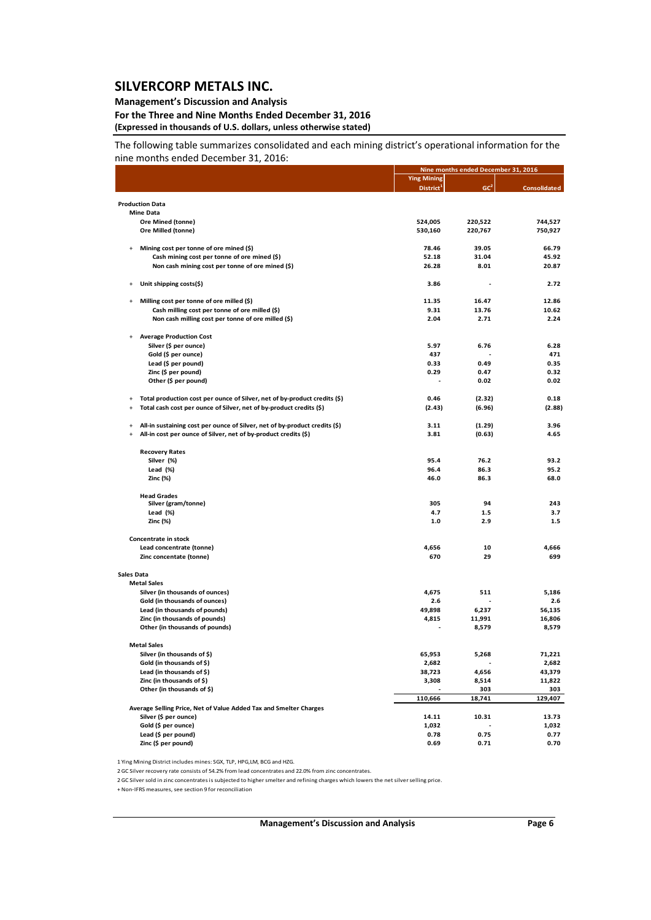### **Management's Discussion and Analysis**

#### **For the Three and Nine Months Ended December 31, 2016 (Expressed in thousands of U.S. dollars, unless otherwise stated)**

The following table summarizes consolidated and each mining district's operational information for the nine months ended December 31, 2016:

|            |                                                                            | Nine months ended December 31, 2016 |                 |                     |
|------------|----------------------------------------------------------------------------|-------------------------------------|-----------------|---------------------|
|            |                                                                            | <b>Ying Mining</b>                  |                 |                     |
|            |                                                                            | District <sup>1</sup>               | GC <sup>2</sup> | <b>Consolidated</b> |
|            | <b>Production Data</b>                                                     |                                     |                 |                     |
|            | <b>Mine Data</b>                                                           |                                     |                 |                     |
|            | Ore Mined (tonne)                                                          | 524,005                             | 220,522         | 744,527             |
|            | Ore Milled (tonne)                                                         | 530,160                             | 220,767         | 750,927             |
| $\ddot{}$  | Mining cost per tonne of ore mined (\$)                                    | 78.46                               | 39.05           | 66.79               |
|            | Cash mining cost per tonne of ore mined (\$)                               | 52.18                               | 31.04           | 45.92               |
|            | Non cash mining cost per tonne of ore mined (\$)                           | 26.28                               | 8.01            | 20.87               |
|            | Unit shipping costs(\$)                                                    | 3.86                                |                 | 2.72                |
| $+$        | Milling cost per tonne of ore milled (\$)                                  | 11.35                               | 16.47           | 12.86               |
|            | Cash milling cost per tonne of ore milled (\$)                             | 9.31                                | 13.76           | 10.62               |
|            | Non cash milling cost per tonne of ore milled (\$)                         | 2.04                                | 2.71            | 2.24                |
| $\ddot{}$  | <b>Average Production Cost</b>                                             |                                     |                 |                     |
|            | Silver (\$ per ounce)                                                      | 5.97                                | 6.76            | 6.28                |
|            | Gold (\$ per ounce)                                                        | 437                                 |                 | 471                 |
|            | Lead (\$ per pound)                                                        | 0.33                                | 0.49            | 0.35                |
|            | Zinc (\$ per pound)                                                        | 0.29                                | 0.47            | 0.32                |
|            | Other (\$ per pound)                                                       |                                     | 0.02            | 0.02                |
| $\ddot{}$  | Total production cost per ounce of Silver, net of by-product credits (\$)  | 0.46                                | (2.32)          | 0.18                |
| $\ddot{}$  | Total cash cost per ounce of Silver, net of by-product credits (\$)        | (2.43)                              | (6.96)          | (2.88)              |
| $\ddot{}$  | All-in sustaining cost per ounce of Silver, net of by-product credits (\$) | 3.11                                | (1.29)          | 3.96                |
| $+$        | All-in cost per ounce of Silver, net of by-product credits (\$)            | 3.81                                | (0.63)          | 4.65                |
|            | <b>Recovery Rates</b>                                                      |                                     |                 |                     |
|            | Silver (%)                                                                 | 95.4                                | 76.2            | 93.2                |
|            | Lead $(\%)$                                                                | 96.4                                | 86.3            | 95.2                |
|            | Zinc (%)                                                                   | 46.0                                | 86.3            | 68.0                |
|            | <b>Head Grades</b>                                                         |                                     |                 |                     |
|            | Silver (gram/tonne)                                                        | 305                                 | 94              | 243                 |
|            | Lead (%)                                                                   | 4.7                                 | 1.5             | 3.7                 |
|            | Zinc (%)                                                                   | 1.0                                 | 2.9             | 1.5                 |
|            | Concentrate in stock                                                       |                                     |                 |                     |
|            | Lead concentrate (tonne)                                                   | 4,656                               | 10              | 4,666               |
|            | Zinc concentate (tonne)                                                    | 670                                 | 29              | 699                 |
| Sales Data |                                                                            |                                     |                 |                     |
|            | <b>Metal Sales</b>                                                         |                                     |                 |                     |
|            | Silver (in thousands of ounces)<br>Gold (in thousands of ounces)           | 4,675<br>2.6                        | 511             | 5,186<br>2.6        |
|            | Lead (in thousands of pounds)                                              | 49,898                              | 6,237           | 56,135              |
|            | Zinc (in thousands of pounds)                                              | 4,815                               | 11,991          | 16,806              |
|            | Other (in thousands of pounds)                                             |                                     | 8,579           | 8,579               |
|            | <b>Metal Sales</b>                                                         |                                     |                 |                     |
|            | Silver (in thousands of \$)                                                | 65,953                              | 5,268           | 71,221              |
|            | Gold (in thousands of \$)                                                  | 2,682                               | $\overline{a}$  | 2,682               |
|            | Lead (in thousands of \$)                                                  | 38,723                              | 4,656           | 43,379              |
|            | Zinc (in thousands of \$)                                                  | 3,308                               | 8,514           | 11,822              |
|            | Other (in thousands of \$)                                                 | 110,666                             | 303             | 303                 |
|            | Average Selling Price, Net of Value Added Tax and Smelter Charges          |                                     | 18,741          | 129,407             |
|            | Silver (\$ per ounce)                                                      | 14.11                               | 10.31           | 13.73               |
|            | Gold (\$ per ounce)                                                        | 1,032                               |                 | 1,032               |
|            | Lead (\$ per pound)                                                        | 0.78                                | 0.75            | 0.77                |
|            | Zinc (\$ per pound)                                                        | 0.69                                | 0.71            | 0.70                |

1 Ying Mining District includes mines: SGX, TLP, HPG,LM, BCG and HZG.

2GC Silver recovery rate consists of 54.2% from lead concentrates and 22.0% from zinc concentrates.

2GC Silversold in zinc concentrates is subjected to highersmelter and refining charges which lowers the net silverselling price.

+ Non‐IFRS measures, see section 9 for reconciliation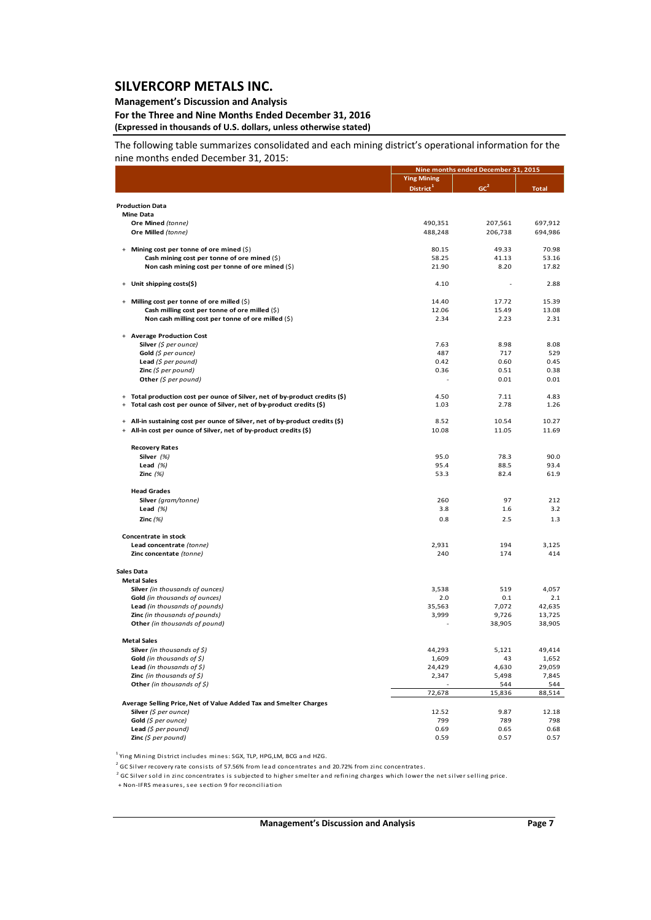### **Management's Discussion and Analysis**

**For the Three and Nine Months Ended December 31, 2016 (Expressed in thousands of U.S. dollars, unless otherwise stated)**

The following table summarizes consolidated and each mining district's operational information for the nine months ended December 31, 2015:

|                                                                                   |                       | Nine months ended December 31, 2015 |              |  |
|-----------------------------------------------------------------------------------|-----------------------|-------------------------------------|--------------|--|
|                                                                                   | <b>Ying Mining</b>    |                                     |              |  |
|                                                                                   | District <sup>1</sup> | GC <sup>2</sup>                     | <b>Total</b> |  |
|                                                                                   |                       |                                     |              |  |
| <b>Production Data</b>                                                            |                       |                                     |              |  |
| <b>Mine Data</b>                                                                  |                       |                                     |              |  |
| Ore Mined (tonne)                                                                 | 490,351               | 207,561                             | 697,912      |  |
| Ore Milled (tonne)                                                                | 488,248               | 206,738                             | 694,986      |  |
|                                                                                   |                       |                                     |              |  |
| + Mining cost per tonne of ore mined (\$)                                         | 80.15                 | 49.33                               | 70.98        |  |
| Cash mining cost per tonne of ore mined (\$)                                      | 58.25                 | 41.13                               | 53.16        |  |
| Non cash mining cost per tonne of ore mined (\$)                                  | 21.90                 | 8.20                                | 17.82        |  |
|                                                                                   |                       |                                     |              |  |
| Unit shipping costs(\$)<br>$+$                                                    | 4.10                  |                                     | 2.88         |  |
|                                                                                   |                       |                                     |              |  |
| + Milling cost per tonne of ore milled (\$)                                       | 14.40                 | 17.72                               | 15.39        |  |
| Cash milling cost per tonne of ore milled $(\hat{S})$                             | 12.06                 | 15.49                               | 13.08        |  |
| Non cash milling cost per tonne of ore milled (\$)                                | 2.34                  | 2.23                                | 2.31         |  |
|                                                                                   |                       |                                     |              |  |
| + Average Production Cost                                                         |                       |                                     |              |  |
| <b>Silver</b> (\$ per ounce)                                                      | 7.63                  | 8.98                                | 8.08         |  |
| Gold $(\xi$ per ounce)                                                            | 487                   | 717                                 | 529          |  |
|                                                                                   |                       |                                     |              |  |
| Lead $(\xi$ per pound)                                                            | 0.42                  | 0.60                                | 0.45         |  |
| <b>Zinc</b> (\$ per pound)                                                        | 0.36                  | 0.51                                | 0.38         |  |
| Other $(\xi$ per pound)                                                           |                       | 0.01                                | 0.01         |  |
|                                                                                   |                       |                                     |              |  |
| + Total production cost per ounce of Silver, net of by-product credits (\$)       | 4.50                  | 7.11                                | 4.83         |  |
| Total cash cost per ounce of Silver, net of by-product credits (\$)<br>$+$        | 1.03                  | 2.78                                | 1.26         |  |
|                                                                                   |                       |                                     |              |  |
| All-in sustaining cost per ounce of Silver, net of by-product credits (\$)<br>$+$ | 8.52                  | 10.54                               | 10.27        |  |
| + All-in cost per ounce of Silver, net of by-product credits (\$)                 | 10.08                 | 11.05                               | 11.69        |  |
|                                                                                   |                       |                                     |              |  |
| <b>Recovery Rates</b>                                                             |                       |                                     |              |  |
| Silver (%)                                                                        | 95.0                  | 78.3                                | 90.0         |  |
| Lead $(%)$                                                                        | 95.4                  | 88.5                                | 93.4         |  |
| Zinc $(%)$                                                                        | 53.3                  | 82.4                                | 61.9         |  |
|                                                                                   |                       |                                     |              |  |
| <b>Head Grades</b>                                                                |                       |                                     |              |  |
| Silver (gram/tonne)                                                               | 260                   | 97                                  | 212          |  |
| Lead $(%)$                                                                        | 3.8                   | 1.6                                 | 3.2          |  |
| Zinc $(%)$                                                                        | 0.8                   | 2.5                                 | 1.3          |  |
|                                                                                   |                       |                                     |              |  |
| Concentrate in stock                                                              |                       |                                     |              |  |
| Lead concentrate (tonne)                                                          | 2,931                 | 194                                 | 3,125        |  |
| Zinc concentate (tonne)                                                           | 240                   | 174                                 | 414          |  |
|                                                                                   |                       |                                     |              |  |
| <b>Sales Data</b>                                                                 |                       |                                     |              |  |
| <b>Metal Sales</b>                                                                |                       |                                     |              |  |
| Silver (in thousands of ounces)                                                   | 3,538                 | 519                                 | 4,057        |  |
| Gold (in thousands of ounces)                                                     | 2.0                   | 0.1                                 | 2.1          |  |
|                                                                                   |                       |                                     |              |  |
| Lead (in thousands of pounds)                                                     | 35,563                | 7,072                               | 42,635       |  |
| Zinc (in thousands of pounds)                                                     | 3,999                 | 9,726                               | 13,725       |  |
| Other (in thousands of pound)                                                     |                       | 38,905                              | 38,905       |  |
|                                                                                   |                       |                                     |              |  |
| <b>Metal Sales</b>                                                                |                       |                                     |              |  |
| <b>Silver</b> (in thousands of \$)                                                | 44,293                | 5,121                               | 49,414       |  |
| <b>Gold</b> (in thousands of \$)                                                  | 1,609                 | 43                                  | 1,652        |  |
| <b>Lead</b> (in thousands of $\zeta$ )                                            | 24,429                | 4,630                               | 29,059       |  |
| <b>Zinc</b> (in thousands of $\zeta$ )                                            | 2,347                 | 5,498                               | 7,845        |  |
| Other (in thousands of \$)                                                        |                       | 544                                 | 544          |  |
|                                                                                   | 72,678                | 15,836                              | 88,514       |  |
| Average Selling Price, Net of Value Added Tax and Smelter Charges                 |                       |                                     |              |  |
| Silver (\$ per ounce)                                                             | 12.52                 | 9.87                                | 12.18        |  |
| Gold (\$ per ounce)                                                               | 799                   | 789                                 | 798          |  |
| Lead $(5$ per pound)                                                              | 0.69                  | 0.65                                | 0.68         |  |
| Zinc $(5$ per pound)                                                              | 0.59                  | 0.57                                | 0.57         |  |
|                                                                                   |                       |                                     |              |  |

<sup>1</sup> Ying Mining District includes mines: SGX, TLP, HPG,LM, BCG and HZG.

<sup>2</sup> GC Silver recovery rate consists of 57.56% from lead concentrates and 20.72% from zinc concentrates.

 $^2$  GC Silver sold in zinc concentrates is subjected to higher smelter and refining charges which lower the net silver selling price.

+ Non‐IFRS mea sures, see section 9 for reconcilia tion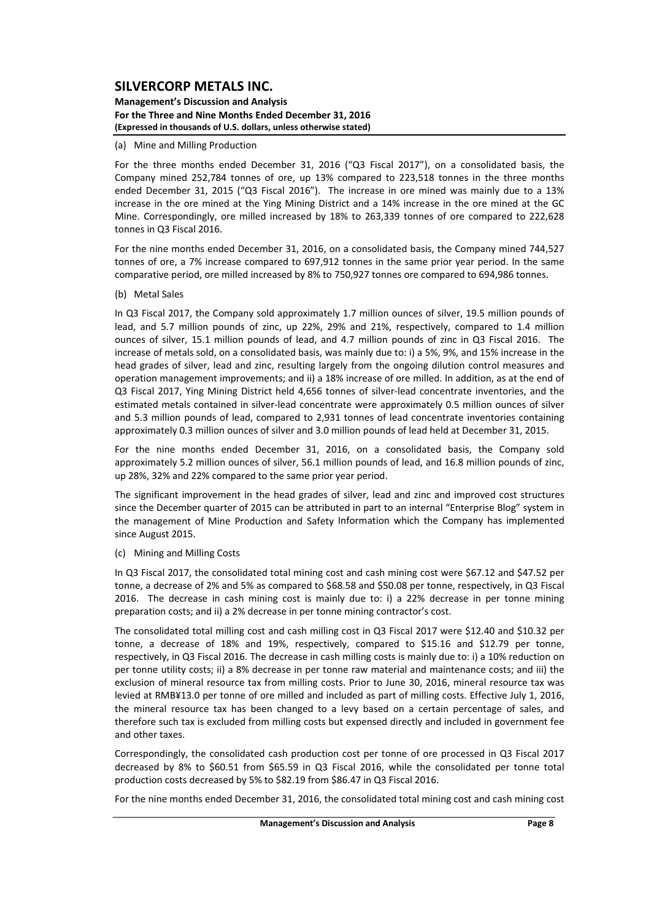**Management's Discussion and Analysis For the Three and Nine Months Ended December 31, 2016 (Expressed in thousands of U.S. dollars, unless otherwise stated)**

#### (a) Mine and Milling Production

For the three months ended December 31, 2016 ("Q3 Fiscal 2017"), on a consolidated basis, the Company mined 252,784 tonnes of ore, up 13% compared to 223,518 tonnes in the three months ended December 31, 2015 ("Q3 Fiscal 2016"). The increase in ore mined was mainly due to a 13% increase in the ore mined at the Ying Mining District and a 14% increase in the ore mined at the GC Mine. Correspondingly, ore milled increased by 18% to 263,339 tonnes of ore compared to 222,628 tonnes in Q3 Fiscal 2016.

For the nine months ended December 31, 2016, on a consolidated basis, the Company mined 744,527 tonnes of ore, a 7% increase compared to 697,912 tonnes in the same prior year period. In the same comparative period, ore milled increased by 8% to 750,927 tonnes ore compared to 694,986 tonnes.

#### (b) Metal Sales

In Q3 Fiscal 2017, the Company sold approximately 1.7 million ounces of silver, 19.5 million pounds of lead, and 5.7 million pounds of zinc, up 22%, 29% and 21%, respectively, compared to 1.4 million ounces of silver, 15.1 million pounds of lead, and 4.7 million pounds of zinc in Q3 Fiscal 2016. The increase of metals sold, on a consolidated basis, was mainly due to: i) a 5%, 9%, and 15% increase in the head grades of silver, lead and zinc, resulting largely from the ongoing dilution control measures and operation management improvements; and ii) a 18% increase of ore milled. In addition, as at the end of Q3 Fiscal 2017, Ying Mining District held 4,656 tonnes of silver‐lead concentrate inventories, and the estimated metals contained in silver‐lead concentrate were approximately 0.5 million ounces of silver and 5.3 million pounds of lead, compared to 2,931 tonnes of lead concentrate inventories containing approximately 0.3 million ounces of silver and 3.0 million pounds of lead held at December 31, 2015.

For the nine months ended December 31, 2016, on a consolidated basis, the Company sold approximately 5.2 million ounces of silver, 56.1 million pounds of lead, and 16.8 million pounds of zinc, up 28%, 32% and 22% compared to the same prior year period.

The significant improvement in the head grades of silver, lead and zinc and improved cost structures since the December quarter of 2015 can be attributed in part to an internal "Enterprise Blog" system in the management of Mine Production and Safety Information which the Company has implemented since August 2015.

#### (c) Mining and Milling Costs

In Q3 Fiscal 2017, the consolidated total mining cost and cash mining cost were \$67.12 and \$47.52 per tonne, a decrease of 2% and 5% as compared to \$68.58 and \$50.08 per tonne, respectively, in Q3 Fiscal 2016. The decrease in cash mining cost is mainly due to: i) a 22% decrease in per tonne mining preparation costs; and ii) a 2% decrease in per tonne mining contractor's cost.

The consolidated total milling cost and cash milling cost in Q3 Fiscal 2017 were \$12.40 and \$10.32 per tonne, a decrease of 18% and 19%, respectively, compared to \$15.16 and \$12.79 per tonne, respectively, in Q3 Fiscal 2016. The decrease in cash milling costs is mainly due to: i) a 10% reduction on per tonne utility costs; ii) a 8% decrease in per tonne raw material and maintenance costs; and iii) the exclusion of mineral resource tax from milling costs. Prior to June 30, 2016, mineral resource tax was levied at RMB¥13.0 per tonne of ore milled and included as part of milling costs. Effective July 1, 2016, the mineral resource tax has been changed to a levy based on a certain percentage of sales, and therefore such tax is excluded from milling costs but expensed directly and included in government fee and other taxes.

Correspondingly, the consolidated cash production cost per tonne of ore processed in Q3 Fiscal 2017 decreased by 8% to \$60.51 from \$65.59 in Q3 Fiscal 2016, while the consolidated per tonne total production costs decreased by 5% to \$82.19 from \$86.47 in Q3 Fiscal 2016.

For the nine months ended December 31, 2016, the consolidated total mining cost and cash mining cost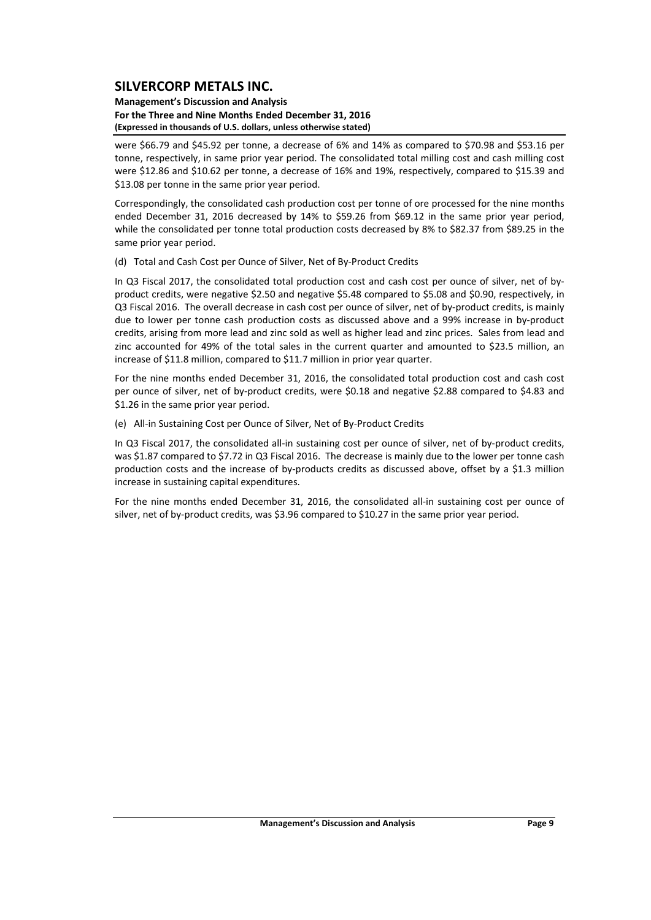#### **Management's Discussion and Analysis For the Three and Nine Months Ended December 31, 2016 (Expressed in thousands of U.S. dollars, unless otherwise stated)**

were \$66.79 and \$45.92 per tonne, a decrease of 6% and 14% as compared to \$70.98 and \$53.16 per tonne, respectively, in same prior year period. The consolidated total milling cost and cash milling cost were \$12.86 and \$10.62 per tonne, a decrease of 16% and 19%, respectively, compared to \$15.39 and \$13.08 per tonne in the same prior year period.

Correspondingly, the consolidated cash production cost per tonne of ore processed for the nine months ended December 31, 2016 decreased by 14% to \$59.26 from \$69.12 in the same prior year period, while the consolidated per tonne total production costs decreased by 8% to \$82.37 from \$89.25 in the same prior year period.

(d) Total and Cash Cost per Ounce of Silver, Net of By‐Product Credits

In Q3 Fiscal 2017, the consolidated total production cost and cash cost per ounce of silver, net of byproduct credits, were negative \$2.50 and negative \$5.48 compared to \$5.08 and \$0.90, respectively, in Q3 Fiscal 2016. The overall decrease in cash cost per ounce of silver, net of by‐product credits, is mainly due to lower per tonne cash production costs as discussed above and a 99% increase in by‐product credits, arising from more lead and zinc sold as well as higher lead and zinc prices. Sales from lead and zinc accounted for 49% of the total sales in the current quarter and amounted to \$23.5 million, an increase of \$11.8 million, compared to \$11.7 million in prior year quarter.

For the nine months ended December 31, 2016, the consolidated total production cost and cash cost per ounce of silver, net of by‐product credits, were \$0.18 and negative \$2.88 compared to \$4.83 and \$1.26 in the same prior year period.

(e) All‐in Sustaining Cost per Ounce of Silver, Net of By‐Product Credits

In Q3 Fiscal 2017, the consolidated all-in sustaining cost per ounce of silver, net of by-product credits, was \$1.87 compared to \$7.72 in Q3 Fiscal 2016. The decrease is mainly due to the lower per tonne cash production costs and the increase of by-products credits as discussed above, offset by a \$1.3 million increase in sustaining capital expenditures.

For the nine months ended December 31, 2016, the consolidated all-in sustaining cost per ounce of silver, net of by‐product credits, was \$3.96 compared to \$10.27 in the same prior year period.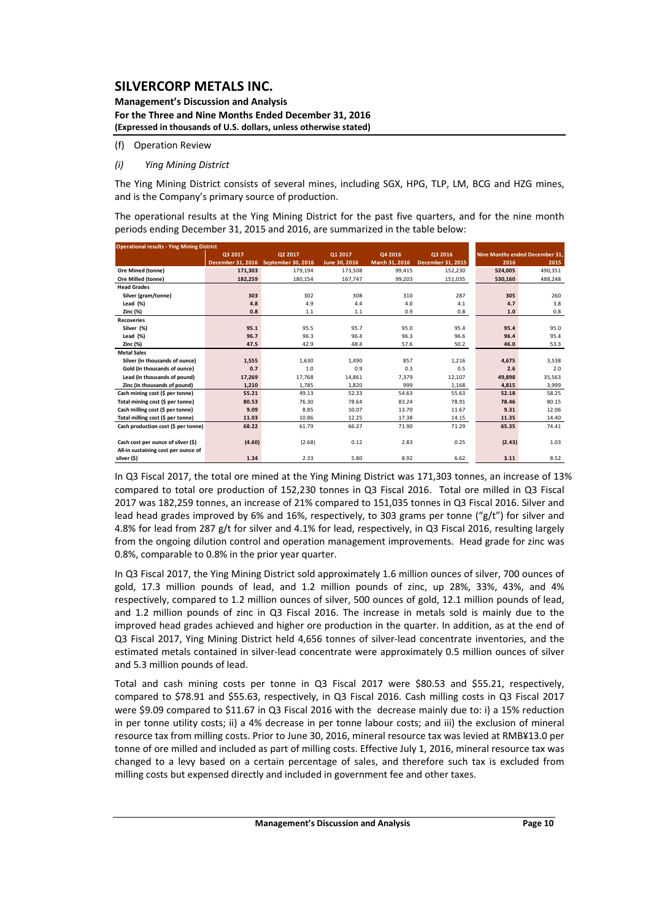#### **Management's Discussion and Analysis For the Three and Nine Months Ended December 31, 2016 (Expressed in thousands of U.S. dollars, unless otherwise stated)**

#### (f) Operation Review

#### *(i) Ying Mining District*

The Ying Mining District consists of several mines, including SGX, HPG, TLP, LM, BCG and HZG mines, and is the Company's primary source of production.

The operational results at the Ying Mining District for the past five quarters, and for the nine month periods ending December 31, 2015 and 2016, are summarized in the table below:

| <b>Operational results - Ying Mining District</b> |                   |                    |               |                |                   |                                |         |
|---------------------------------------------------|-------------------|--------------------|---------------|----------------|-------------------|--------------------------------|---------|
|                                                   | Q3 2017           | Q2 2017            | Q1 2017       | Q4 2016        | Q3 2016           | Nine Months ended December 31. |         |
|                                                   | December 31, 2016 | September 30, 2016 | June 30, 2016 | March 31, 2016 | December 31, 2015 | 2016                           | 2015    |
| Ore Mined (tonne)                                 | 171.303           | 179,194            | 173,508       | 99,415         | 152,230           | 524,005                        | 490,351 |
| Ore Milled (tonne)                                | 182,259           | 180,154            | 167,747       | 99,203         | 151,035           | 530,160                        | 488,248 |
| <b>Head Grades</b>                                |                   |                    |               |                |                   |                                |         |
| Silver (gram/tonne)                               | 303               | 302                | 308           | 310            | 287               | 305                            | 260     |
| Lead $(*)$                                        | 4.8               | 4.9                | 4.4           | 4.0            | 4.1               | 4.7                            | 3.8     |
| Zinc (%)                                          | 0.8               | 1.1                | 1.1           | 0.9            | 0.8               | 1.0                            | 0.8     |
| <b>Recoveries</b>                                 |                   |                    |               |                |                   |                                |         |
| Silver (%)                                        | 95.1              | 95.5               | 95.7          | 95.0           | 95.4              | 95.4                           | 95.0    |
| Lead $(*)$                                        | 96.7              | 96.3               | 96.4          | 96.3           | 96.6              | 96.4                           | 95.4    |
| Zinc (%)                                          | 47.5              | 42.9               | 48.4          | 57.6           | 50.2              | 46.0                           | 53.3    |
| <b>Metal Sales</b>                                |                   |                    |               |                |                   |                                |         |
| Silver (in thousands of ounce)                    | 1,555             | 1,630              | 1,490         | 857            | 1,216             | 4,675                          | 3,538   |
| Gold (in thousands of ounce)                      | 0.7               | 1.0                | 0.9           | 0.3            | 0.5               | 2.6                            | 2.0     |
| Lead (in thousands of pound)                      | 17,269            | 17.768             | 14,861        | 7.379          | 12,107            | 49,898                         | 35,563  |
| Zinc (in thousands of pound)                      | 1,210             | 1,785              | 1,820         | 999            | 1,168             | 4,815                          | 3,999   |
| Cash mining cost (\$ per tonne)                   | 55.21             | 49.13              | 52.33         | 54.63          | 55.63             | 52.18                          | 58.25   |
| Total mining cost (\$ per tonne)                  | 80.53             | 76.30              | 78.64         | 83.24          | 78.91             | 78.46                          | 80.15   |
| Cash milling cost (\$ per tonne)                  | 9.09              | 8.85               | 10.07         | 13.70          | 11.67             | 9.31                           | 12.06   |
| Total milling cost (\$ per tonne)                 | 11.03             | 10.86              | 12.25         | 17.38          | 14.15             | 11.35                          | 14.40   |
| Cash production cost (\$ per tonne)               | 68.22             | 61.79              | 66.27         | 71.90          | 71.29             | 65.35                          | 74.41   |
|                                                   |                   |                    |               |                |                   |                                |         |
| Cash cost per ounce of silver (\$)                | (4.60)            | (2.68)             | 0.12          | 2.83           | 0.25              | (2.43)                         | 1.03    |
| All-in sustaining cost per ounce of               |                   |                    |               |                |                   |                                |         |
| silver (\$)                                       | 1.34              | 2.33               | 5.80          | 8.92           | 6.62              | 3.11                           | 8.52    |

In Q3 Fiscal 2017, the total ore mined at the Ying Mining District was 171,303 tonnes, an increase of 13% compared to total ore production of 152,230 tonnes in Q3 Fiscal 2016. Total ore milled in Q3 Fiscal 2017 was 182,259 tonnes, an increase of 21% compared to 151,035 tonnes in Q3 Fiscal 2016. Silver and lead head grades improved by 6% and 16%, respectively, to 303 grams per tonne ("g/t") for silver and 4.8% for lead from 287 g/t for silver and 4.1% for lead, respectively, in Q3 Fiscal 2016, resulting largely from the ongoing dilution control and operation management improvements. Head grade for zinc was 0.8%, comparable to 0.8% in the prior year quarter.

In Q3 Fiscal 2017, the Ying Mining District sold approximately 1.6 million ounces of silver, 700 ounces of gold, 17.3 million pounds of lead, and 1.2 million pounds of zinc, up 28%, 33%, 43%, and 4% respectively, compared to 1.2 million ounces of silver, 500 ounces of gold, 12.1 million pounds of lead, and 1.2 million pounds of zinc in Q3 Fiscal 2016. The increase in metals sold is mainly due to the improved head grades achieved and higher ore production in the quarter. In addition, as at the end of Q3 Fiscal 2017, Ying Mining District held 4,656 tonnes of silver-lead concentrate inventories, and the estimated metals contained in silver‐lead concentrate were approximately 0.5 million ounces of silver and 5.3 million pounds of lead.

Total and cash mining costs per tonne in Q3 Fiscal 2017 were \$80.53 and \$55.21, respectively, compared to \$78.91 and \$55.63, respectively, in Q3 Fiscal 2016. Cash milling costs in Q3 Fiscal 2017 were \$9.09 compared to \$11.67 in Q3 Fiscal 2016 with the decrease mainly due to: i) a 15% reduction in per tonne utility costs; ii) a 4% decrease in per tonne labour costs; and iii) the exclusion of mineral resource tax from milling costs. Prior to June 30, 2016, mineral resource tax was levied at RMB¥13.0 per tonne of ore milled and included as part of milling costs. Effective July 1, 2016, mineral resource tax was changed to a levy based on a certain percentage of sales, and therefore such tax is excluded from milling costs but expensed directly and included in government fee and other taxes.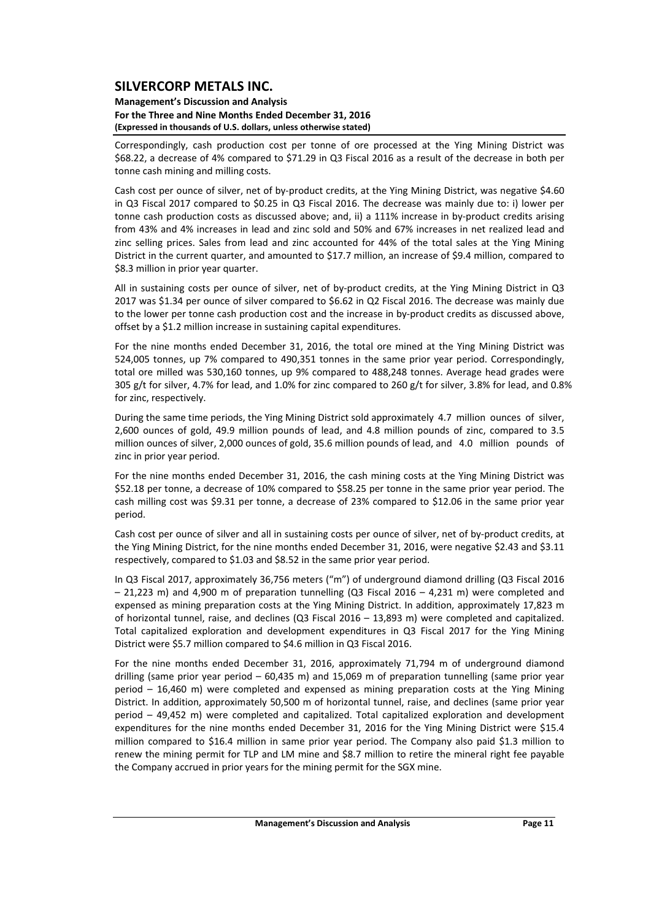#### **Management's Discussion and Analysis For the Three and Nine Months Ended December 31, 2016 (Expressed in thousands of U.S. dollars, unless otherwise stated)**

Correspondingly, cash production cost per tonne of ore processed at the Ying Mining District was \$68.22, a decrease of 4% compared to \$71.29 in Q3 Fiscal 2016 as a result of the decrease in both per tonne cash mining and milling costs.

Cash cost per ounce of silver, net of by‐product credits, at the Ying Mining District, was negative \$4.60 in Q3 Fiscal 2017 compared to \$0.25 in Q3 Fiscal 2016. The decrease was mainly due to: i) lower per tonne cash production costs as discussed above; and, ii) a 111% increase in by-product credits arising from 43% and 4% increases in lead and zinc sold and 50% and 67% increases in net realized lead and zinc selling prices. Sales from lead and zinc accounted for 44% of the total sales at the Ying Mining District in the current quarter, and amounted to \$17.7 million, an increase of \$9.4 million, compared to \$8.3 million in prior year quarter.

All in sustaining costs per ounce of silver, net of by-product credits, at the Ying Mining District in Q3 2017 was \$1.34 per ounce of silver compared to \$6.62 in Q2 Fiscal 2016. The decrease was mainly due to the lower per tonne cash production cost and the increase in by-product credits as discussed above, offset by a \$1.2 million increase in sustaining capital expenditures.

For the nine months ended December 31, 2016, the total ore mined at the Ying Mining District was 524,005 tonnes, up 7% compared to 490,351 tonnes in the same prior year period. Correspondingly, total ore milled was 530,160 tonnes, up 9% compared to 488,248 tonnes. Average head grades were 305 g/t for silver, 4.7% for lead, and 1.0% for zinc compared to 260 g/t for silver, 3.8% for lead, and 0.8% for zinc, respectively.

During the same time periods, the Ying Mining District sold approximately 4.7 million ounces of silver, 2,600 ounces of gold, 49.9 million pounds of lead, and 4.8 million pounds of zinc, compared to 3.5 million ounces of silver, 2,000 ounces of gold, 35.6 million pounds of lead, and 4.0 million pounds of zinc in prior year period.

For the nine months ended December 31, 2016, the cash mining costs at the Ying Mining District was \$52.18 per tonne, a decrease of 10% compared to \$58.25 per tonne in the same prior year period. The cash milling cost was \$9.31 per tonne, a decrease of 23% compared to \$12.06 in the same prior year period.

Cash cost per ounce of silver and all in sustaining costs per ounce of silver, net of by‐product credits, at the Ying Mining District, for the nine months ended December 31, 2016, were negative \$2.43 and \$3.11 respectively, compared to \$1.03 and \$8.52 in the same prior year period.

In Q3 Fiscal 2017, approximately 36,756 meters ("m") of underground diamond drilling (Q3 Fiscal 2016 – 21,223 m) and 4,900 m of preparation tunnelling (Q3 Fiscal 2016 – 4,231 m) were completed and expensed as mining preparation costs at the Ying Mining District. In addition, approximately 17,823 m of horizontal tunnel, raise, and declines (Q3 Fiscal 2016 – 13,893 m) were completed and capitalized. Total capitalized exploration and development expenditures in Q3 Fiscal 2017 for the Ying Mining District were \$5.7 million compared to \$4.6 million in Q3 Fiscal 2016.

For the nine months ended December 31, 2016, approximately 71,794 m of underground diamond drilling (same prior year period – 60,435 m) and 15,069 m of preparation tunnelling (same prior year period – 16,460 m) were completed and expensed as mining preparation costs at the Ying Mining District. In addition, approximately 50,500 m of horizontal tunnel, raise, and declines (same prior year period – 49,452 m) were completed and capitalized. Total capitalized exploration and development expenditures for the nine months ended December 31, 2016 for the Ying Mining District were \$15.4 million compared to \$16.4 million in same prior year period. The Company also paid \$1.3 million to renew the mining permit for TLP and LM mine and \$8.7 million to retire the mineral right fee payable the Company accrued in prior years for the mining permit for the SGX mine.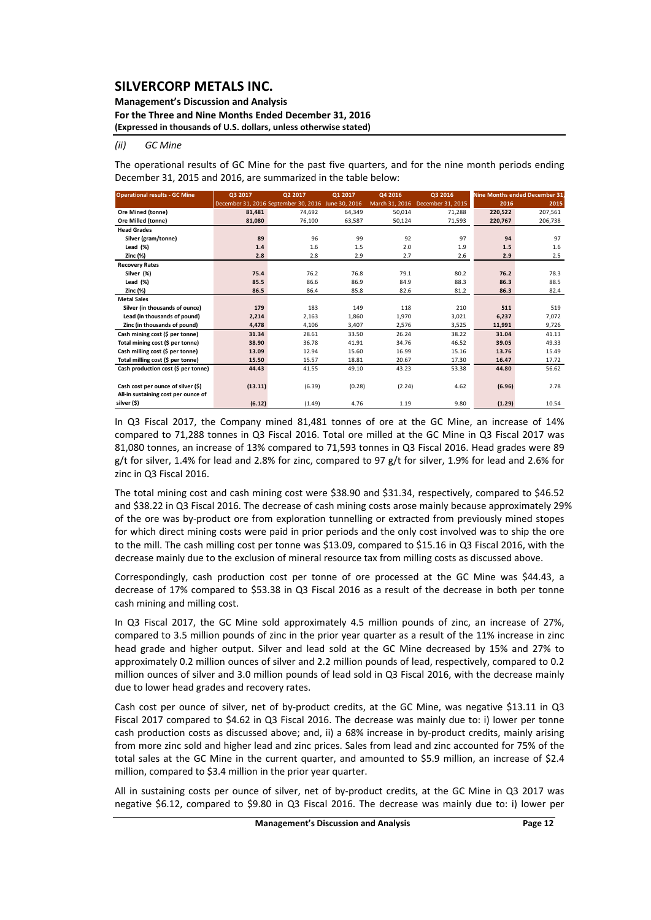### **Management's Discussion and Analysis**

**For the Three and Nine Months Ended December 31, 2016**

**(Expressed in thousands of U.S. dollars, unless otherwise stated)**

*(ii) GC Mine*

The operational results of GC Mine for the past five quarters, and for the nine month periods ending December 31, 2015 and 2016, are summarized in the table below:

| <b>Operational results - GC Mine</b><br>Q3 2017 |         | Q2 2017                              | Q1 2017       | Q4 2016        | Q3 2016           |         | <b>Nine Months ended December 31</b> |  |
|-------------------------------------------------|---------|--------------------------------------|---------------|----------------|-------------------|---------|--------------------------------------|--|
|                                                 |         | December 31, 2016 September 30, 2016 | June 30, 2016 | March 31, 2016 | December 31, 2015 | 2016    | 2015                                 |  |
| Ore Mined (tonne)                               | 81,481  | 74,692                               | 64,349        | 50,014         | 71,288            | 220,522 | 207,561                              |  |
| Ore Milled (tonne)                              | 81,080  | 76,100                               | 63,587        | 50,124         | 71,593            | 220,767 | 206,738                              |  |
| <b>Head Grades</b>                              |         |                                      |               |                |                   |         |                                      |  |
| Silver (gram/tonne)                             | 89      | 96                                   | 99            | 92             | 97                | 94      | 97                                   |  |
| Lead $(\%)$                                     | 1.4     | 1.6                                  | 1.5           | 2.0            | 1.9               | 1.5     | 1.6                                  |  |
| Zinc (%)                                        | 2.8     | 2.8                                  | 2.9           | 2.7            | 2.6               | 2.9     | 2.5                                  |  |
| <b>Recovery Rates</b>                           |         |                                      |               |                |                   |         |                                      |  |
| Silver (%)                                      | 75.4    | 76.2                                 | 76.8          | 79.1           | 80.2              | 76.2    | 78.3                                 |  |
| Lead $(\%)$                                     | 85.5    | 86.6                                 | 86.9          | 84.9           | 88.3              | 86.3    | 88.5                                 |  |
| Zinc (%)                                        | 86.5    | 86.4                                 | 85.8          | 82.6           | 81.2              | 86.3    | 82.4                                 |  |
| <b>Metal Sales</b>                              |         |                                      |               |                |                   |         |                                      |  |
| Silver (in thousands of ounce)                  | 179     | 183                                  | 149           | 118            | 210               | 511     | 519                                  |  |
| Lead (in thousands of pound)                    | 2,214   | 2,163                                | 1,860         | 1,970          | 3,021             | 6.237   | 7,072                                |  |
| Zinc (in thousands of pound)                    | 4,478   | 4,106                                | 3,407         | 2,576          | 3,525             | 11,991  | 9,726                                |  |
| Cash mining cost (\$ per tonne)                 | 31.34   | 28.61                                | 33.50         | 26.24          | 38.22             | 31.04   | 41.13                                |  |
| Total mining cost (\$ per tonne)                | 38.90   | 36.78                                | 41.91         | 34.76          | 46.52             | 39.05   | 49.33                                |  |
| Cash milling cost (\$ per tonne)                | 13.09   | 12.94                                | 15.60         | 16.99          | 15.16             | 13.76   | 15.49                                |  |
| Total milling cost (\$ per tonne)               | 15.50   | 15.57                                | 18.81         | 20.67          | 17.30             | 16.47   | 17.72                                |  |
| Cash production cost (\$ per tonne)             | 44.43   | 41.55                                | 49.10         | 43.23          | 53.38             | 44.80   | 56.62                                |  |
|                                                 |         |                                      |               |                |                   |         |                                      |  |
| Cash cost per ounce of silver (\$)              | (13.11) | (6.39)                               | (0.28)        | (2.24)         | 4.62              | (6.96)  | 2.78                                 |  |
| All-in sustaining cost per ounce of             |         |                                      |               |                |                   |         |                                      |  |
| silver (\$)                                     | (6.12)  | (1.49)                               | 4.76          | 1.19           | 9.80              | (1.29)  | 10.54                                |  |

In Q3 Fiscal 2017, the Company mined 81,481 tonnes of ore at the GC Mine, an increase of 14% compared to 71,288 tonnes in Q3 Fiscal 2016. Total ore milled at the GC Mine in Q3 Fiscal 2017 was 81,080 tonnes, an increase of 13% compared to 71,593 tonnes in Q3 Fiscal 2016. Head grades were 89 g/t for silver, 1.4% for lead and 2.8% for zinc, compared to 97 g/t for silver, 1.9% for lead and 2.6% for zinc in Q3 Fiscal 2016.

The total mining cost and cash mining cost were \$38.90 and \$31.34, respectively, compared to \$46.52 and \$38.22 in Q3 Fiscal 2016. The decrease of cash mining costs arose mainly because approximately 29% of the ore was by‐product ore from exploration tunnelling or extracted from previously mined stopes for which direct mining costs were paid in prior periods and the only cost involved was to ship the ore to the mill. The cash milling cost per tonne was \$13.09, compared to \$15.16 in Q3 Fiscal 2016, with the decrease mainly due to the exclusion of mineral resource tax from milling costs as discussed above.

Correspondingly, cash production cost per tonne of ore processed at the GC Mine was \$44.43, a decrease of 17% compared to \$53.38 in Q3 Fiscal 2016 as a result of the decrease in both per tonne cash mining and milling cost.

In Q3 Fiscal 2017, the GC Mine sold approximately 4.5 million pounds of zinc, an increase of 27%, compared to 3.5 million pounds of zinc in the prior year quarter as a result of the 11% increase in zinc head grade and higher output. Silver and lead sold at the GC Mine decreased by 15% and 27% to approximately 0.2 million ounces of silver and 2.2 million pounds of lead, respectively, compared to 0.2 million ounces of silver and 3.0 million pounds of lead sold in Q3 Fiscal 2016, with the decrease mainly due to lower head grades and recovery rates.

Cash cost per ounce of silver, net of by‐product credits, at the GC Mine, was negative \$13.11 in Q3 Fiscal 2017 compared to \$4.62 in Q3 Fiscal 2016. The decrease was mainly due to: i) lower per tonne cash production costs as discussed above; and, ii) a 68% increase in by‐product credits, mainly arising from more zinc sold and higher lead and zinc prices. Sales from lead and zinc accounted for 75% of the total sales at the GC Mine in the current quarter, and amounted to \$5.9 million, an increase of \$2.4 million, compared to \$3.4 million in the prior year quarter.

All in sustaining costs per ounce of silver, net of by-product credits, at the GC Mine in Q3 2017 was negative \$6.12, compared to \$9.80 in Q3 Fiscal 2016. The decrease was mainly due to: i) lower per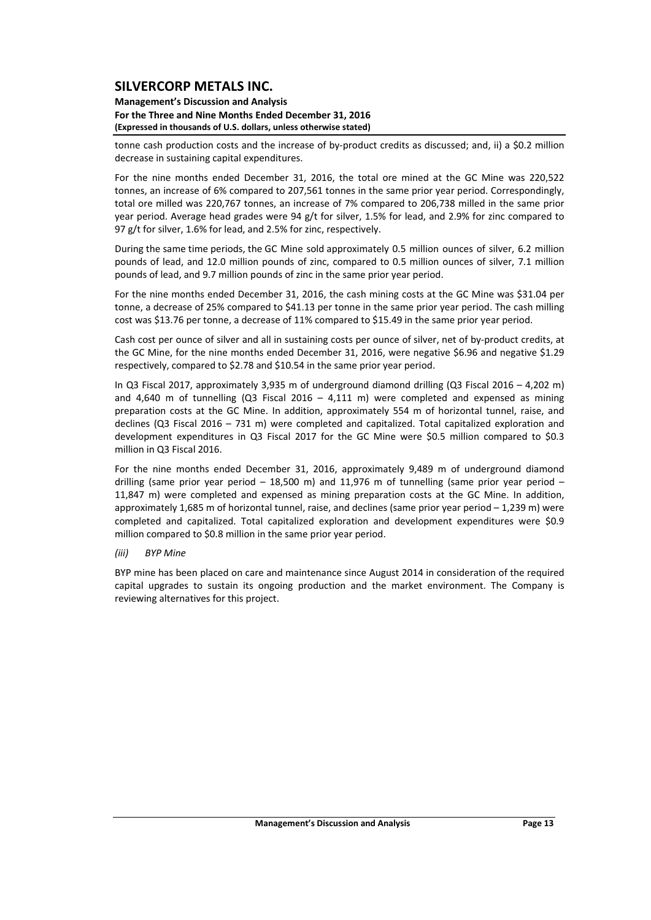#### **Management's Discussion and Analysis For the Three and Nine Months Ended December 31, 2016 (Expressed in thousands of U.S. dollars, unless otherwise stated)**

tonne cash production costs and the increase of by-product credits as discussed; and, ii) a \$0.2 million decrease in sustaining capital expenditures.

For the nine months ended December 31, 2016, the total ore mined at the GC Mine was 220,522 tonnes, an increase of 6% compared to 207,561 tonnes in the same prior year period. Correspondingly, total ore milled was 220,767 tonnes, an increase of 7% compared to 206,738 milled in the same prior year period. Average head grades were 94 g/t for silver, 1.5% for lead, and 2.9% for zinc compared to 97 g/t for silver, 1.6% for lead, and 2.5% for zinc, respectively.

During the same time periods, the GC Mine sold approximately 0.5 million ounces of silver, 6.2 million pounds of lead, and 12.0 million pounds of zinc, compared to 0.5 million ounces of silver, 7.1 million pounds of lead, and 9.7 million pounds of zinc in the same prior year period.

For the nine months ended December 31, 2016, the cash mining costs at the GC Mine was \$31.04 per tonne, a decrease of 25% compared to \$41.13 per tonne in the same prior year period. The cash milling cost was \$13.76 per tonne, a decrease of 11% compared to \$15.49 in the same prior year period.

Cash cost per ounce of silver and all in sustaining costs per ounce of silver, net of by‐product credits, at the GC Mine, for the nine months ended December 31, 2016, were negative \$6.96 and negative \$1.29 respectively, compared to \$2.78 and \$10.54 in the same prior year period.

In Q3 Fiscal 2017, approximately 3,935 m of underground diamond drilling (Q3 Fiscal 2016 – 4,202 m) and 4,640 m of tunnelling (Q3 Fiscal 2016  $-$  4,111 m) were completed and expensed as mining preparation costs at the GC Mine. In addition, approximately 554 m of horizontal tunnel, raise, and declines (Q3 Fiscal 2016 – 731 m) were completed and capitalized. Total capitalized exploration and development expenditures in Q3 Fiscal 2017 for the GC Mine were \$0.5 million compared to \$0.3 million in Q3 Fiscal 2016.

For the nine months ended December 31, 2016, approximately 9,489 m of underground diamond drilling (same prior year period – 18,500 m) and 11,976 m of tunnelling (same prior year period – 11,847 m) were completed and expensed as mining preparation costs at the GC Mine. In addition, approximately 1,685 m of horizontal tunnel, raise, and declines (same prior year period – 1,239 m) were completed and capitalized. Total capitalized exploration and development expenditures were \$0.9 million compared to \$0.8 million in the same prior year period.

### *(iii) BYP Mine*

BYP mine has been placed on care and maintenance since August 2014 in consideration of the required capital upgrades to sustain its ongoing production and the market environment. The Company is reviewing alternatives for this project.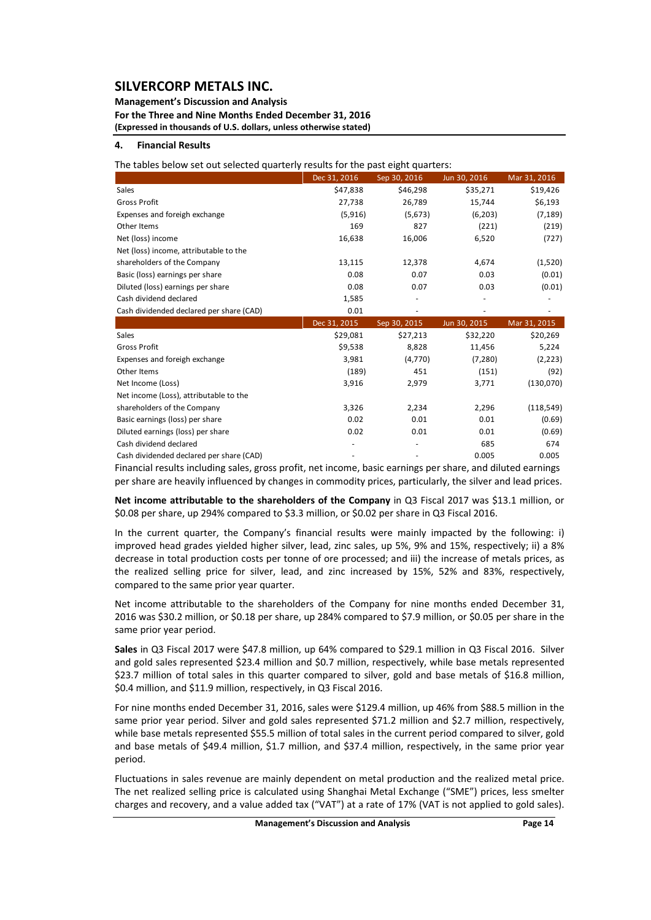**Management's Discussion and Analysis For the Three and Nine Months Ended December 31, 2016 (Expressed in thousands of U.S. dollars, unless otherwise stated)**

#### **4. Financial Results**

The tables below set out selected quarterly results for the past eight quarters:

|                                          | Dec 31, 2016 | Sep 30, 2016 | Jun 30, 2016 | Mar 31, 2016 |
|------------------------------------------|--------------|--------------|--------------|--------------|
| <b>Sales</b>                             | \$47,838     | \$46,298     | \$35,271     | \$19,426     |
| <b>Gross Profit</b>                      | 27,738       | 26,789       | 15,744       | \$6,193      |
| Expenses and foreigh exchange            | (5,916)      | (5,673)      | (6,203)      | (7, 189)     |
| Other Items                              | 169          | 827          | (221)        | (219)        |
| Net (loss) income                        | 16,638       | 16,006       | 6,520        | (727)        |
| Net (loss) income, attributable to the   |              |              |              |              |
| shareholders of the Company              | 13,115       | 12,378       | 4,674        | (1,520)      |
| Basic (loss) earnings per share          | 0.08         | 0.07         | 0.03         | (0.01)       |
| Diluted (loss) earnings per share        | 0.08         | 0.07         | 0.03         | (0.01)       |
| Cash dividend declared                   | 1,585        |              |              |              |
| Cash dividended declared per share (CAD) | 0.01         |              |              |              |
|                                          | Dec 31, 2015 | Sep 30, 2015 | Jun 30, 2015 | Mar 31, 2015 |
| Sales                                    | \$29,081     | \$27,213     | \$32,220     | \$20,269     |
| <b>Gross Profit</b>                      | \$9,538      | 8,828        | 11,456       | 5,224        |
| Expenses and foreigh exchange            | 3,981        | (4,770)      | (7, 280)     | (2, 223)     |
| Other Items                              | (189)        | 451          | (151)        | (92)         |
| Net Income (Loss)                        | 3,916        | 2,979        | 3,771        | (130,070)    |
| Net income (Loss), attributable to the   |              |              |              |              |
| shareholders of the Company              | 3,326        | 2,234        | 2,296        | (118, 549)   |
| Basic earnings (loss) per share          | 0.02         | 0.01         | 0.01         | (0.69)       |

Financial results including sales, gross profit, net income, basic earnings per share, and diluted earnings per share are heavily influenced by changes in commodity prices, particularly, the silver and lead prices. Cash dividended declared per share (CAD) ‐ ‐ 0.005 0.005

Diluted earnings (loss) per share  $0.02$  0.02 0.01 0.01  $(0.69)$ Cash dividend declared **674 1999 1999 1999 1999 1999 1999 1999 1999 1999 1999 1999 1999 1999 1999 1999 1999 1999 1999 1999 1999 1999 1999 1999 1999 1999 1999 1999 199** 

**Net income attributable to the shareholders of the Company** in Q3 Fiscal 2017 was \$13.1 million, or \$0.08 per share, up 294% compared to \$3.3 million, or \$0.02 per share in Q3 Fiscal 2016.

In the current quarter, the Company's financial results were mainly impacted by the following: i) improved head grades yielded higher silver, lead, zinc sales, up 5%, 9% and 15%, respectively; ii) a 8% decrease in total production costs per tonne of ore processed; and iii) the increase of metals prices, as the realized selling price for silver, lead, and zinc increased by 15%, 52% and 83%, respectively, compared to the same prior year quarter.

Net income attributable to the shareholders of the Company for nine months ended December 31, 2016 was \$30.2 million, or \$0.18 per share, up 284% compared to \$7.9 million, or \$0.05 per share in the same prior year period.

**Sales** in Q3 Fiscal 2017 were \$47.8 million, up 64% compared to \$29.1 million in Q3 Fiscal 2016. Silver and gold sales represented \$23.4 million and \$0.7 million, respectively, while base metals represented \$23.7 million of total sales in this quarter compared to silver, gold and base metals of \$16.8 million, \$0.4 million, and \$11.9 million, respectively, in Q3 Fiscal 2016.

For nine months ended December 31, 2016, sales were \$129.4 million, up 46% from \$88.5 million in the same prior year period. Silver and gold sales represented \$71.2 million and \$2.7 million, respectively, while base metals represented \$55.5 million of total sales in the current period compared to silver, gold and base metals of \$49.4 million, \$1.7 million, and \$37.4 million, respectively, in the same prior year period.

Fluctuations in sales revenue are mainly dependent on metal production and the realized metal price. The net realized selling price is calculated using Shanghai Metal Exchange ("SME") prices, less smelter charges and recovery, and a value added tax ("VAT") at a rate of 17% (VAT is not applied to gold sales).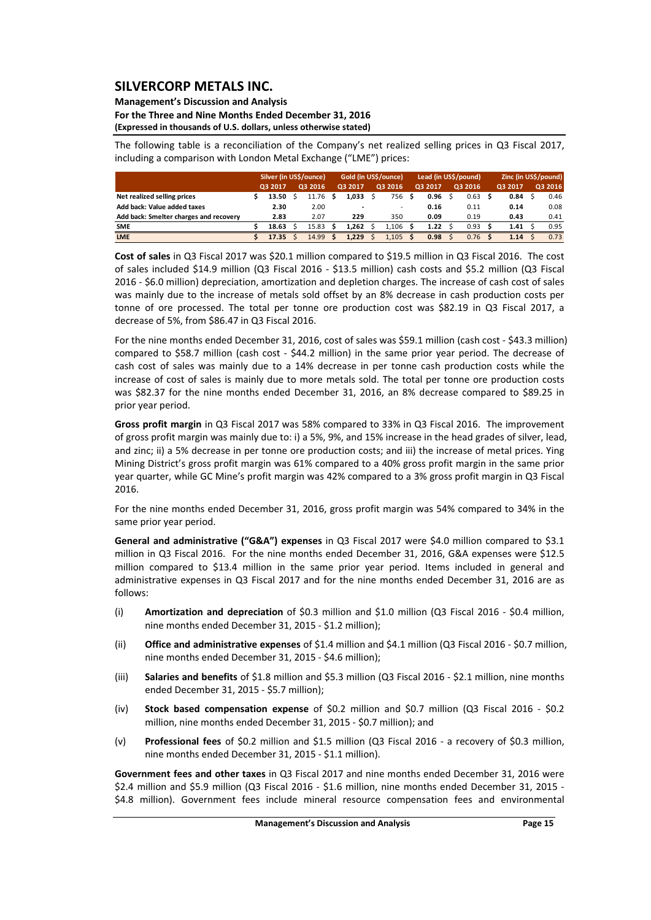### **Management's Discussion and Analysis**

**For the Three and Nine Months Ended December 31, 2016 (Expressed in thousands of U.S. dollars, unless otherwise stated)**

The following table is a reconciliation of the Company's net realized selling prices in Q3 Fiscal 2017, including a comparison with London Metal Exchange ("LME") prices:

|                                        | Silver (in US\$/ounce) |         |  | Gold (in US\$/ounce) |  |         | Lead (in US\$/pound) |         |   |         | Zinc (in US\$/pound) |         |  |         |  |         |
|----------------------------------------|------------------------|---------|--|----------------------|--|---------|----------------------|---------|---|---------|----------------------|---------|--|---------|--|---------|
|                                        |                        | O3 2017 |  | 03 2016              |  | Q3 2017 |                      | Q3 2016 |   | Q3 2017 |                      | 03 2016 |  | Q3 2017 |  | Q3 2016 |
| Net realized selling prices            |                        | 13.50   |  | 11.76                |  | 1.033   |                      | 756     | s | 0.96    |                      | 0.63    |  | 0.84    |  | 0.46    |
| Add back: Value added taxes            |                        | 2.30    |  | 2.00                 |  |         |                      |         |   | 0.16    |                      | 0.11    |  | 0.14    |  | 0.08    |
| Add back: Smelter charges and recovery |                        | 2.83    |  | 2.07                 |  | 229     |                      | 350     |   | 0.09    |                      | 0.19    |  | 0.43    |  | 0.41    |
| <b>SME</b>                             |                        | 18.63   |  | 15.83                |  | 1.262   |                      | 1.106   |   | 1.22    |                      | 0.93    |  | 1.41    |  | 0.95    |
| <b>LME</b>                             |                        | 17.35   |  | 14.99                |  | 1.229   |                      | 1.105   |   | 0.98    |                      | 0.76    |  | 1.14    |  | 0.73    |

**Cost of sales** in Q3 Fiscal 2017 was \$20.1 million compared to \$19.5 million in Q3 Fiscal 2016. The cost of sales included \$14.9 million (Q3 Fiscal 2016 ‐ \$13.5 million) cash costs and \$5.2 million (Q3 Fiscal 2016 ‐ \$6.0 million) depreciation, amortization and depletion charges. The increase of cash cost of sales was mainly due to the increase of metals sold offset by an 8% decrease in cash production costs per tonne of ore processed. The total per tonne ore production cost was \$82.19 in Q3 Fiscal 2017, a decrease of 5%, from \$86.47 in Q3 Fiscal 2016.

For the nine months ended December 31, 2016, cost of sales was \$59.1 million (cash cost ‐ \$43.3 million) compared to \$58.7 million (cash cost - \$44.2 million) in the same prior year period. The decrease of cash cost of sales was mainly due to a 14% decrease in per tonne cash production costs while the increase of cost of sales is mainly due to more metals sold. The total per tonne ore production costs was \$82.37 for the nine months ended December 31, 2016, an 8% decrease compared to \$89.25 in prior year period.

**Gross profit margin** in Q3 Fiscal 2017 was 58% compared to 33% in Q3 Fiscal 2016. The improvement of gross profit margin was mainly due to: i) a 5%, 9%, and 15% increase in the head grades of silver, lead, and zinc; ii) a 5% decrease in per tonne ore production costs; and iii) the increase of metal prices. Ying Mining District's gross profit margin was 61% compared to a 40% gross profit margin in the same prior year quarter, while GC Mine's profit margin was 42% compared to a 3% gross profit margin in Q3 Fiscal 2016.

For the nine months ended December 31, 2016, gross profit margin was 54% compared to 34% in the same prior year period.

**General and administrative ("G&A") expenses** in Q3 Fiscal 2017 were \$4.0 million compared to \$3.1 million in Q3 Fiscal 2016. For the nine months ended December 31, 2016, G&A expenses were \$12.5 million compared to \$13.4 million in the same prior year period. Items included in general and administrative expenses in Q3 Fiscal 2017 and for the nine months ended December 31, 2016 are as follows:

- (i) **Amortization and depreciation** of \$0.3 million and \$1.0 million (Q3 Fiscal 2016 ‐ \$0.4 million, nine months ended December 31, 2015 ‐ \$1.2 million);
- (ii) **Office and administrative expenses** of \$1.4 million and \$4.1 million (Q3 Fiscal 2016 ‐ \$0.7 million, nine months ended December 31, 2015 ‐ \$4.6 million);
- (iii) **Salaries and benefits** of \$1.8 million and \$5.3 million (Q3 Fiscal 2016 ‐ \$2.1 million, nine months ended December 31, 2015 ‐ \$5.7 million);
- (iv) **Stock based compensation expense** of \$0.2 million and \$0.7 million (Q3 Fiscal 2016 ‐ \$0.2 million, nine months ended December 31, 2015 ‐ \$0.7 million); and
- (v) **Professional fees** of \$0.2 million and \$1.5 million (Q3 Fiscal 2016 ‐ a recovery of \$0.3 million, nine months ended December 31, 2015 ‐ \$1.1 million).

**Government fees and other taxes** in Q3 Fiscal 2017 and nine months ended December 31, 2016 were \$2.4 million and \$5.9 million (Q3 Fiscal 2016 - \$1.6 million, nine months ended December 31, 2015 -\$4.8 million). Government fees include mineral resource compensation fees and environmental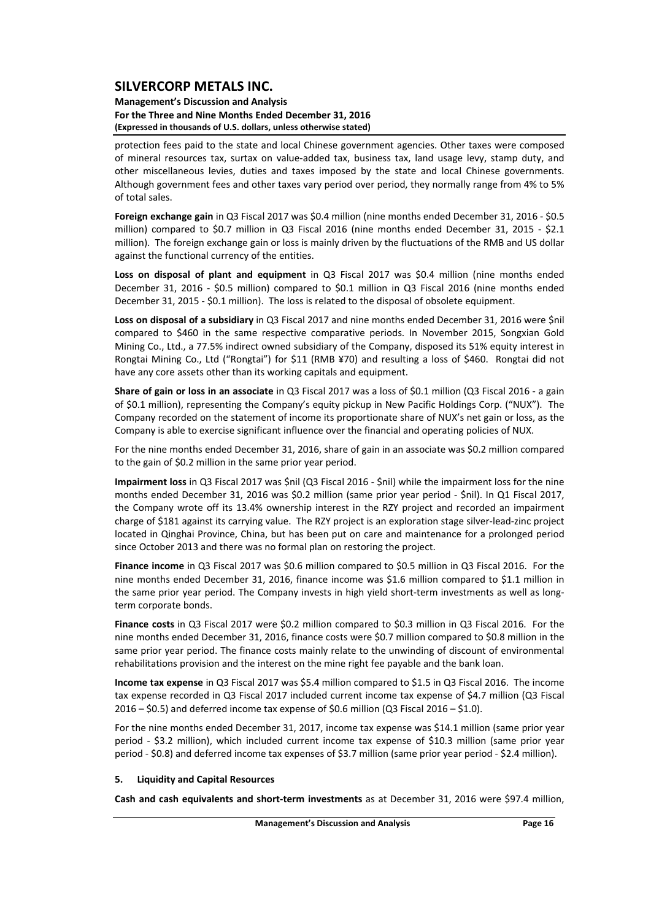#### **Management's Discussion and Analysis For the Three and Nine Months Ended December 31, 2016 (Expressed in thousands of U.S. dollars, unless otherwise stated)**

protection fees paid to the state and local Chinese government agencies. Other taxes were composed of mineral resources tax, surtax on value‐added tax, business tax, land usage levy, stamp duty, and other miscellaneous levies, duties and taxes imposed by the state and local Chinese governments. Although government fees and other taxes vary period over period, they normally range from 4% to 5% of total sales.

**Foreign exchange gain** in Q3 Fiscal 2017 was \$0.4 million (nine months ended December 31, 2016 ‐ \$0.5 million) compared to \$0.7 million in Q3 Fiscal 2016 (nine months ended December 31, 2015 - \$2.1 million). The foreign exchange gain or loss is mainly driven by the fluctuations of the RMB and US dollar against the functional currency of the entities.

**Loss on disposal of plant and equipment** in Q3 Fiscal 2017 was \$0.4 million (nine months ended December 31, 2016 - \$0.5 million) compared to \$0.1 million in Q3 Fiscal 2016 (nine months ended December 31, 2015 - \$0.1 million). The loss is related to the disposal of obsolete equipment.

**Loss on disposal of a subsidiary** in Q3 Fiscal 2017 and nine months ended December 31, 2016 were \$nil compared to \$460 in the same respective comparative periods. In November 2015, Songxian Gold Mining Co., Ltd., a 77.5% indirect owned subsidiary of the Company, disposed its 51% equity interest in Rongtai Mining Co., Ltd ("Rongtai") for \$11 (RMB ¥70) and resulting a loss of \$460. Rongtai did not have any core assets other than its working capitals and equipment.

**Share of gain or loss in an associate** in Q3 Fiscal 2017 was a loss of \$0.1 million (Q3 Fiscal 2016 ‐ a gain of \$0.1 million), representing the Company's equity pickup in New Pacific Holdings Corp. ("NUX"). The Company recorded on the statement of income its proportionate share of NUX's net gain or loss, as the Company is able to exercise significant influence over the financial and operating policies of NUX.

For the nine months ended December 31, 2016, share of gain in an associate was \$0.2 million compared to the gain of \$0.2 million in the same prior year period.

**Impairment loss** in Q3 Fiscal 2017 was \$nil (Q3 Fiscal 2016 ‐ \$nil) while the impairment loss for the nine months ended December 31, 2016 was \$0.2 million (same prior year period - \$nil). In Q1 Fiscal 2017, the Company wrote off its 13.4% ownership interest in the RZY project and recorded an impairment charge of \$181 against its carrying value. The RZY project is an exploration stage silver‐lead‐zinc project located in Qinghai Province, China, but has been put on care and maintenance for a prolonged period since October 2013 and there was no formal plan on restoring the project.

**Finance income** in Q3 Fiscal 2017 was \$0.6 million compared to \$0.5 million in Q3 Fiscal 2016. For the nine months ended December 31, 2016, finance income was \$1.6 million compared to \$1.1 million in the same prior year period. The Company invests in high yield short-term investments as well as longterm corporate bonds.

**Finance costs** in Q3 Fiscal 2017 were \$0.2 million compared to \$0.3 million in Q3 Fiscal 2016. For the nine months ended December 31, 2016, finance costs were \$0.7 million compared to \$0.8 million in the same prior year period. The finance costs mainly relate to the unwinding of discount of environmental rehabilitations provision and the interest on the mine right fee payable and the bank loan.

**Income tax expense** in Q3 Fiscal 2017 was \$5.4 million compared to \$1.5 in Q3 Fiscal 2016. The income tax expense recorded in Q3 Fiscal 2017 included current income tax expense of \$4.7 million (Q3 Fiscal 2016 – \$0.5) and deferred income tax expense of \$0.6 million (Q3 Fiscal 2016 – \$1.0).

For the nine months ended December 31, 2017, income tax expense was \$14.1 million (same prior year period - \$3.2 million), which included current income tax expense of \$10.3 million (same prior year period ‐ \$0.8) and deferred income tax expenses of \$3.7 million (same prior year period ‐ \$2.4 million).

#### **5. Liquidity and Capital Resources**

**Cash and cash equivalents and short‐term investments** as at December 31, 2016 were \$97.4 million,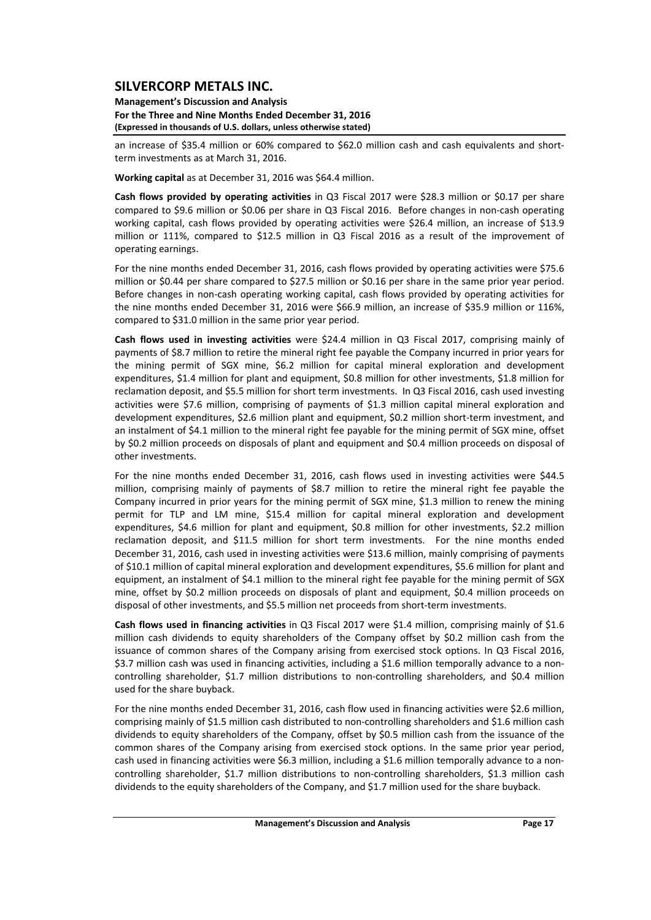**Management's Discussion and Analysis For the Three and Nine Months Ended December 31, 2016 (Expressed in thousands of U.S. dollars, unless otherwise stated)**

an increase of \$35.4 million or 60% compared to \$62.0 million cash and cash equivalents and shortterm investments as at March 31, 2016.

**Working capital** as at December 31, 2016 was \$64.4 million.

**Cash flows provided by operating activities** in Q3 Fiscal 2017 were \$28.3 million or \$0.17 per share compared to \$9.6 million or \$0.06 per share in Q3 Fiscal 2016. Before changes in non-cash operating working capital, cash flows provided by operating activities were \$26.4 million, an increase of \$13.9 million or 111%, compared to \$12.5 million in Q3 Fiscal 2016 as a result of the improvement of operating earnings.

For the nine months ended December 31, 2016, cash flows provided by operating activities were \$75.6 million or \$0.44 per share compared to \$27.5 million or \$0.16 per share in the same prior year period. Before changes in non-cash operating working capital, cash flows provided by operating activities for the nine months ended December 31, 2016 were \$66.9 million, an increase of \$35.9 million or 116%, compared to \$31.0 million in the same prior year period.

**Cash flows used in investing activities** were \$24.4 million in Q3 Fiscal 2017, comprising mainly of payments of \$8.7 million to retire the mineral right fee payable the Company incurred in prior years for the mining permit of SGX mine, \$6.2 million for capital mineral exploration and development expenditures, \$1.4 million for plant and equipment, \$0.8 million for other investments, \$1.8 million for reclamation deposit, and \$5.5 million for short term investments. In Q3 Fiscal 2016, cash used investing activities were \$7.6 million, comprising of payments of \$1.3 million capital mineral exploration and development expenditures, \$2.6 million plant and equipment, \$0.2 million short-term investment, and an instalment of \$4.1 million to the mineral right fee payable for the mining permit of SGX mine, offset by \$0.2 million proceeds on disposals of plant and equipment and \$0.4 million proceeds on disposal of other investments.

For the nine months ended December 31, 2016, cash flows used in investing activities were \$44.5 million, comprising mainly of payments of \$8.7 million to retire the mineral right fee payable the Company incurred in prior years for the mining permit of SGX mine, \$1.3 million to renew the mining permit for TLP and LM mine, \$15.4 million for capital mineral exploration and development expenditures, \$4.6 million for plant and equipment, \$0.8 million for other investments, \$2.2 million reclamation deposit, and \$11.5 million for short term investments. For the nine months ended December 31, 2016, cash used in investing activities were \$13.6 million, mainly comprising of payments of \$10.1 million of capital mineral exploration and development expenditures, \$5.6 million for plant and equipment, an instalment of \$4.1 million to the mineral right fee payable for the mining permit of SGX mine, offset by \$0.2 million proceeds on disposals of plant and equipment, \$0.4 million proceeds on disposal of other investments, and \$5.5 million net proceeds from short-term investments.

**Cash flows used in financing activities** in Q3 Fiscal 2017 were \$1.4 million, comprising mainly of \$1.6 million cash dividends to equity shareholders of the Company offset by \$0.2 million cash from the issuance of common shares of the Company arising from exercised stock options. In Q3 Fiscal 2016, \$3.7 million cash was used in financing activities, including a \$1.6 million temporally advance to a noncontrolling shareholder, \$1.7 million distributions to non‐controlling shareholders, and \$0.4 million used for the share buyback.

For the nine months ended December 31, 2016, cash flow used in financing activities were \$2.6 million, comprising mainly of \$1.5 million cash distributed to non-controlling shareholders and \$1.6 million cash dividends to equity shareholders of the Company, offset by \$0.5 million cash from the issuance of the common shares of the Company arising from exercised stock options. In the same prior year period, cash used in financing activities were \$6.3 million, including a \$1.6 million temporally advance to a non‐ controlling shareholder, \$1.7 million distributions to non-controlling shareholders, \$1.3 million cash dividends to the equity shareholders of the Company, and \$1.7 million used for the share buyback.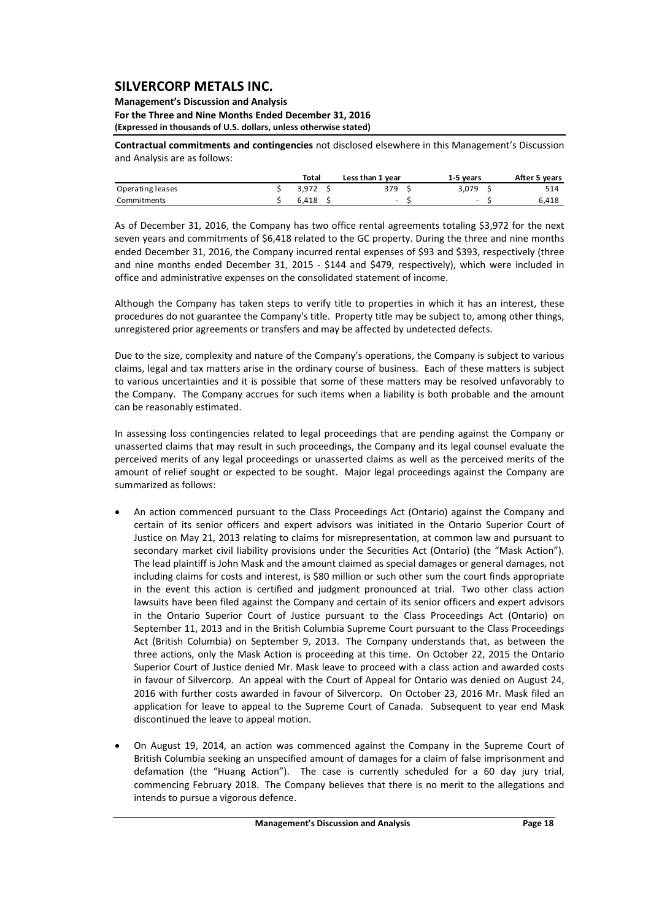#### **Management's Discussion and Analysis For the Three and Nine Months Ended December 31, 2016 (Expressed in thousands of U.S. dollars, unless otherwise stated)**

**Contractual commitments and contingencies** not disclosed elsewhere in this Management's Discussion and Analysis are as follows:

|                  | <b>Total</b> | Less than 1 year         | 1-5 years                | After 5 years |
|------------------|--------------|--------------------------|--------------------------|---------------|
| Operating leases | 3.972        | 379                      | 3.079                    | 514           |
| Commitments      | 6.418        | $\overline{\phantom{a}}$ | $\overline{\phantom{0}}$ | 6.418         |

As of December 31, 2016, the Company has two office rental agreements totaling \$3,972 for the next seven years and commitments of \$6,418 related to the GC property. During the three and nine months ended December 31, 2016, the Company incurred rental expenses of \$93 and \$393, respectively (three and nine months ended December 31, 2015 - \$144 and \$479, respectively), which were included in office and administrative expenses on the consolidated statement of income.

Although the Company has taken steps to verify title to properties in which it has an interest, these procedures do not guarantee the Company's title. Property title may be subject to, among other things, unregistered prior agreements or transfers and may be affected by undetected defects.

Due to the size, complexity and nature of the Company's operations, the Company is subject to various claims, legal and tax matters arise in the ordinary course of business. Each of these matters is subject to various uncertainties and it is possible that some of these matters may be resolved unfavorably to the Company. The Company accrues for such items when a liability is both probable and the amount can be reasonably estimated.

In assessing loss contingencies related to legal proceedings that are pending against the Company or unasserted claims that may result in such proceedings, the Company and its legal counsel evaluate the perceived merits of any legal proceedings or unasserted claims as well as the perceived merits of the amount of relief sought or expected to be sought. Major legal proceedings against the Company are summarized as follows:

- An action commenced pursuant to the Class Proceedings Act (Ontario) against the Company and certain of its senior officers and expert advisors was initiated in the Ontario Superior Court of Justice on May 21, 2013 relating to claims for misrepresentation, at common law and pursuant to secondary market civil liability provisions under the Securities Act (Ontario) (the "Mask Action"). The lead plaintiff is John Mask and the amount claimed as special damages or general damages, not including claims for costs and interest, is \$80 million or such other sum the court finds appropriate in the event this action is certified and judgment pronounced at trial. Two other class action lawsuits have been filed against the Company and certain of its senior officers and expert advisors in the Ontario Superior Court of Justice pursuant to the Class Proceedings Act (Ontario) on September 11, 2013 and in the British Columbia Supreme Court pursuant to the Class Proceedings Act (British Columbia) on September 9, 2013. The Company understands that, as between the three actions, only the Mask Action is proceeding at this time. On October 22, 2015 the Ontario Superior Court of Justice denied Mr. Mask leave to proceed with a class action and awarded costs in favour of Silvercorp. An appeal with the Court of Appeal for Ontario was denied on August 24, 2016 with further costs awarded in favour of Silvercorp. On October 23, 2016 Mr. Mask filed an application for leave to appeal to the Supreme Court of Canada. Subsequent to year end Mask discontinued the leave to appeal motion.
- On August 19, 2014, an action was commenced against the Company in the Supreme Court of British Columbia seeking an unspecified amount of damages for a claim of false imprisonment and defamation (the "Huang Action"). The case is currently scheduled for a 60 day jury trial, commencing February 2018. The Company believes that there is no merit to the allegations and intends to pursue a vigorous defence.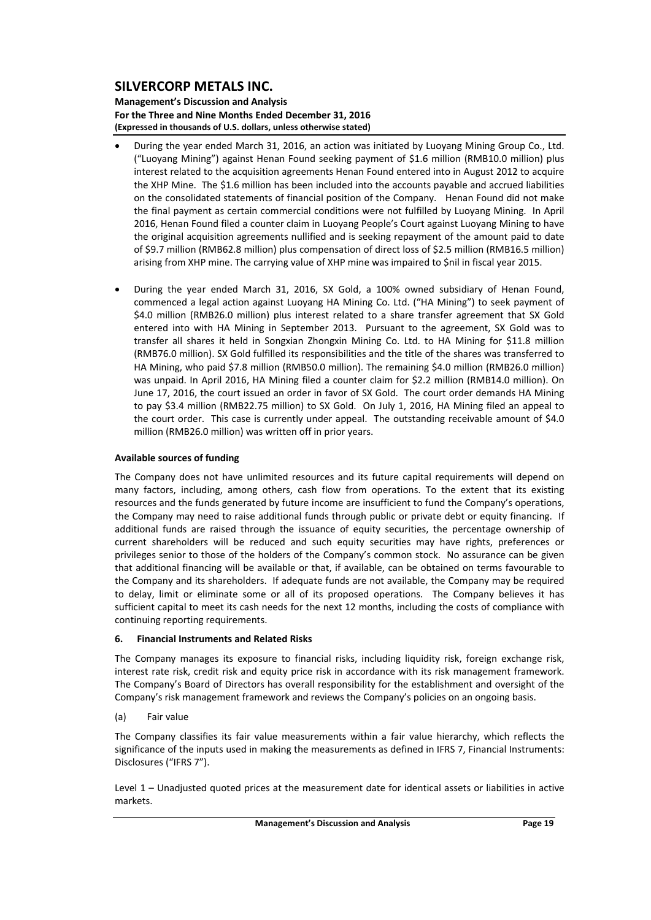**Management's Discussion and Analysis For the Three and Nine Months Ended December 31, 2016 (Expressed in thousands of U.S. dollars, unless otherwise stated)**

- During the year ended March 31, 2016, an action was initiated by Luoyang Mining Group Co., Ltd. ("Luoyang Mining") against Henan Found seeking payment of \$1.6 million (RMB10.0 million) plus interest related to the acquisition agreements Henan Found entered into in August 2012 to acquire the XHP Mine. The \$1.6 million has been included into the accounts payable and accrued liabilities on the consolidated statements of financial position of the Company. Henan Found did not make the final payment as certain commercial conditions were not fulfilled by Luoyang Mining. In April 2016, Henan Found filed a counter claim in Luoyang People's Court against Luoyang Mining to have the original acquisition agreements nullified and is seeking repayment of the amount paid to date of \$9.7 million (RMB62.8 million) plus compensation of direct loss of \$2.5 million (RMB16.5 million) arising from XHP mine. The carrying value of XHP mine was impaired to \$nil in fiscal year 2015.
- During the year ended March 31, 2016, SX Gold, a 100% owned subsidiary of Henan Found, commenced a legal action against Luoyang HA Mining Co. Ltd. ("HA Mining") to seek payment of \$4.0 million (RMB26.0 million) plus interest related to a share transfer agreement that SX Gold entered into with HA Mining in September 2013. Pursuant to the agreement, SX Gold was to transfer all shares it held in Songxian Zhongxin Mining Co. Ltd. to HA Mining for \$11.8 million (RMB76.0 million). SX Gold fulfilled its responsibilities and the title of the shares was transferred to HA Mining, who paid \$7.8 million (RMB50.0 million). The remaining \$4.0 million (RMB26.0 million) was unpaid. In April 2016, HA Mining filed a counter claim for \$2.2 million (RMB14.0 million). On June 17, 2016, the court issued an order in favor of SX Gold. The court order demands HA Mining to pay \$3.4 million (RMB22.75 million) to SX Gold. On July 1, 2016, HA Mining filed an appeal to the court order. This case is currently under appeal. The outstanding receivable amount of \$4.0 million (RMB26.0 million) was written off in prior years.

### **Available sources of funding**

The Company does not have unlimited resources and its future capital requirements will depend on many factors, including, among others, cash flow from operations. To the extent that its existing resources and the funds generated by future income are insufficient to fund the Company's operations, the Company may need to raise additional funds through public or private debt or equity financing. If additional funds are raised through the issuance of equity securities, the percentage ownership of current shareholders will be reduced and such equity securities may have rights, preferences or privileges senior to those of the holders of the Company's common stock. No assurance can be given that additional financing will be available or that, if available, can be obtained on terms favourable to the Company and its shareholders. If adequate funds are not available, the Company may be required to delay, limit or eliminate some or all of its proposed operations. The Company believes it has sufficient capital to meet its cash needs for the next 12 months, including the costs of compliance with continuing reporting requirements.

### **6. Financial Instruments and Related Risks**

The Company manages its exposure to financial risks, including liquidity risk, foreign exchange risk, interest rate risk, credit risk and equity price risk in accordance with its risk management framework. The Company's Board of Directors has overall responsibility for the establishment and oversight of the Company's risk management framework and reviews the Company's policies on an ongoing basis.

### (a) Fair value

The Company classifies its fair value measurements within a fair value hierarchy, which reflects the significance of the inputs used in making the measurements as defined in IFRS 7, Financial Instruments: Disclosures ("IFRS 7").

Level 1 – Unadjusted quoted prices at the measurement date for identical assets or liabilities in active markets.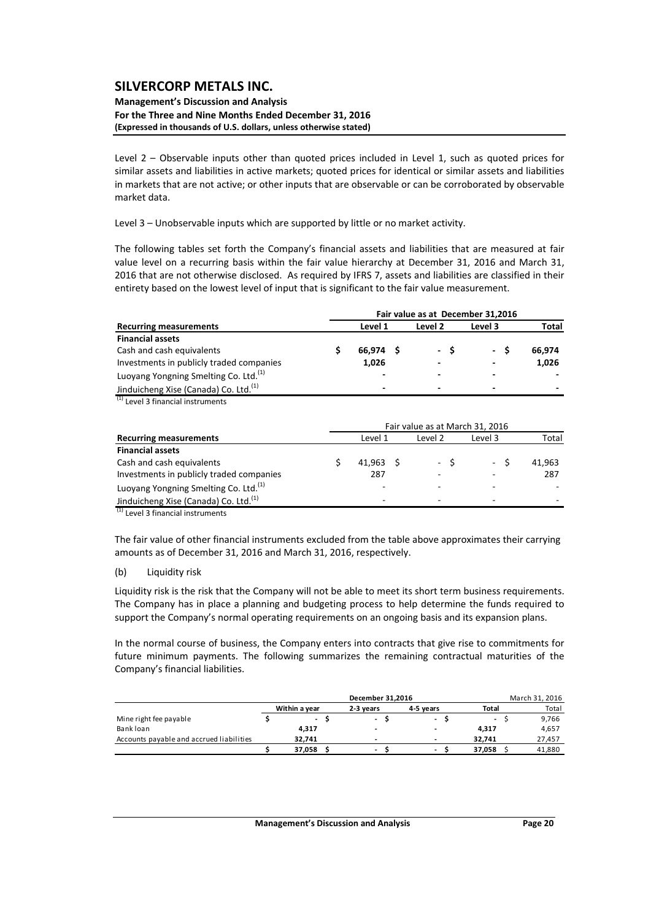#### **Management's Discussion and Analysis For the Three and Nine Months Ended December 31, 2016 (Expressed in thousands of U.S. dollars, unless otherwise stated)**

Level 2 – Observable inputs other than quoted prices included in Level 1, such as quoted prices for similar assets and liabilities in active markets; quoted prices for identical or similar assets and liabilities in markets that are not active; or other inputs that are observable or can be corroborated by observable market data.

Level 3 – Unobservable inputs which are supported by little or no market activity.

The following tables set forth the Company's financial assets and liabilities that are measured at fair value level on a recurring basis within the fair value hierarchy at December 31, 2016 and March 31, 2016 that are not otherwise disclosed. As required by IFRS 7, assets and liabilities are classified in their entirety based on the lowest level of input that is significant to the fair value measurement.

|                                                   | Fair value as at December 31,2016 |                          |         |         |        |  |  |  |  |  |  |
|---------------------------------------------------|-----------------------------------|--------------------------|---------|---------|--------|--|--|--|--|--|--|
| <b>Recurring measurements</b>                     |                                   | Level 1                  | Level 2 | Level 3 | Total  |  |  |  |  |  |  |
| <b>Financial assets</b>                           |                                   |                          |         |         |        |  |  |  |  |  |  |
| Cash and cash equivalents                         |                                   | 66.974 \$                | - S     | - S     | 66.974 |  |  |  |  |  |  |
| Investments in publicly traded companies          |                                   | 1,026                    | -       | -       | 1,026  |  |  |  |  |  |  |
| Luoyang Yongning Smelting Co. Ltd. <sup>(1)</sup> |                                   | $\overline{\phantom{0}}$ |         |         |        |  |  |  |  |  |  |
| Jinduicheng Xise (Canada) Co. Ltd. <sup>(1)</sup> |                                   | ۰                        |         | -       |        |  |  |  |  |  |  |

 $(1)$  Level 3 financial instruments

|                                                   | Fair value as at March 31, 2016 |          |         |                 |        |  |  |  |  |  |
|---------------------------------------------------|---------------------------------|----------|---------|-----------------|--------|--|--|--|--|--|
| <b>Recurring measurements</b>                     |                                 | Level 1  | Level 2 | Level 3         | Total  |  |  |  |  |  |
| <b>Financial assets</b>                           |                                 |          |         |                 |        |  |  |  |  |  |
| Cash and cash equivalents                         |                                 | 41.963 S | $-5$    | $\sim$ 10 $\pm$ | 41.963 |  |  |  |  |  |
| Investments in publicly traded companies          |                                 | 287      |         |                 | 287    |  |  |  |  |  |
| Luoyang Yongning Smelting Co. Ltd. <sup>(1)</sup> |                                 |          |         |                 |        |  |  |  |  |  |
| Jinduicheng Xise (Canada) Co. Ltd. <sup>(1)</sup> |                                 | -        |         |                 |        |  |  |  |  |  |

 $^{(1)}$  Level 3 financial instruments

The fair value of other financial instruments excluded from the table above approximates their carrying amounts as of December 31, 2016 and March 31, 2016, respectively.

#### (b) Liquidity risk

Liquidity risk is the risk that the Company will not be able to meet its short term business requirements. The Company has in place a planning and budgeting process to help determine the funds required to support the Company's normal operating requirements on an ongoing basis and its expansion plans.

In the normal course of business, the Company enters into contracts that give rise to commitments for future minimum payments. The following summarizes the remaining contractual maturities of the Company's financial liabilities.

|                                          |                          | December 31.2016         |                          |                | March 31, 2016 |
|------------------------------------------|--------------------------|--------------------------|--------------------------|----------------|----------------|
|                                          | Within a vear            | 2-3 vears                | 4-5 vears                | Total          | Total          |
| Mine right fee payable                   | $\overline{\phantom{a}}$ | $\overline{\phantom{a}}$ | $\overline{\phantom{0}}$ | $\blacksquare$ | 9,766          |
| Bank loan                                | 4.317                    | $\overline{\phantom{a}}$ | -                        | 4.317          | 4,657          |
| Accounts payable and accrued liabilities | 32.741                   |                          | $\overline{\phantom{a}}$ | 32.741         | 27,457         |
|                                          | 37.058                   | $\,$                     | $\overline{\phantom{a}}$ | 37.058         | 41,880         |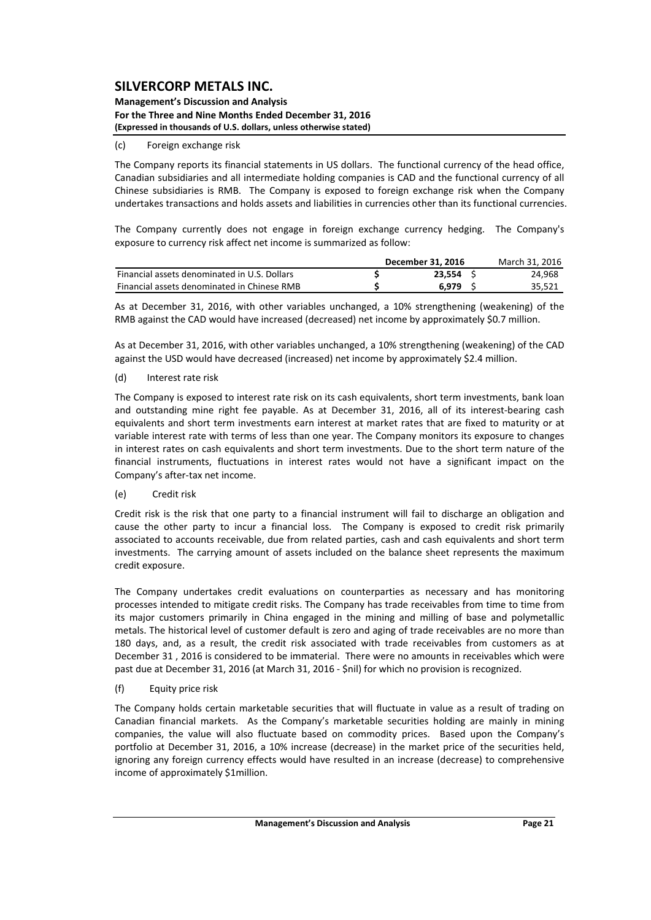#### **Management's Discussion and Analysis For the Three and Nine Months Ended December 31, 2016 (Expressed in thousands of U.S. dollars, unless otherwise stated)**

### (c) Foreign exchange risk

The Company reports its financial statements in US dollars. The functional currency of the head office, Canadian subsidiaries and all intermediate holding companies is CAD and the functional currency of all Chinese subsidiaries is RMB. The Company is exposed to foreign exchange risk when the Company undertakes transactions and holds assets and liabilities in currencies other than its functional currencies.

The Company currently does not engage in foreign exchange currency hedging. The Company's exposure to currency risk affect net income is summarized as follow:

|                                              | December 31, 2016 | March 31, 2016 |        |  |  |
|----------------------------------------------|-------------------|----------------|--------|--|--|
| Financial assets denominated in U.S. Dollars | 23.554            |                | 24,968 |  |  |
| Financial assets denominated in Chinese RMB  | 6.979             |                | 35,521 |  |  |

As at December 31, 2016, with other variables unchanged, a 10% strengthening (weakening) of the RMB against the CAD would have increased (decreased) net income by approximately \$0.7 million.

As at December 31, 2016, with other variables unchanged, a 10% strengthening (weakening) of the CAD against the USD would have decreased (increased) net income by approximately \$2.4 million.

### (d) Interest rate risk

The Company is exposed to interest rate risk on its cash equivalents, short term investments, bank loan and outstanding mine right fee payable. As at December 31, 2016, all of its interest-bearing cash equivalents and short term investments earn interest at market rates that are fixed to maturity or at variable interest rate with terms of less than one year. The Company monitors its exposure to changes in interest rates on cash equivalents and short term investments. Due to the short term nature of the financial instruments, fluctuations in interest rates would not have a significant impact on the Company's after‐tax net income.

### (e) Credit risk

Credit risk is the risk that one party to a financial instrument will fail to discharge an obligation and cause the other party to incur a financial loss. The Company is exposed to credit risk primarily associated to accounts receivable, due from related parties, cash and cash equivalents and short term investments. The carrying amount of assets included on the balance sheet represents the maximum credit exposure.

The Company undertakes credit evaluations on counterparties as necessary and has monitoring processes intended to mitigate credit risks. The Company has trade receivables from time to time from its major customers primarily in China engaged in the mining and milling of base and polymetallic metals. The historical level of customer default is zero and aging of trade receivables are no more than 180 days, and, as a result, the credit risk associated with trade receivables from customers as at December 31 , 2016 is considered to be immaterial. There were no amounts in receivables which were past due at December 31, 2016 (at March 31, 2016 ‐ \$nil) for which no provision is recognized.

### (f) Equity price risk

The Company holds certain marketable securities that will fluctuate in value as a result of trading on Canadian financial markets. As the Company's marketable securities holding are mainly in mining companies, the value will also fluctuate based on commodity prices. Based upon the Company's portfolio at December 31, 2016, a 10% increase (decrease) in the market price of the securities held, ignoring any foreign currency effects would have resulted in an increase (decrease) to comprehensive income of approximately \$1million.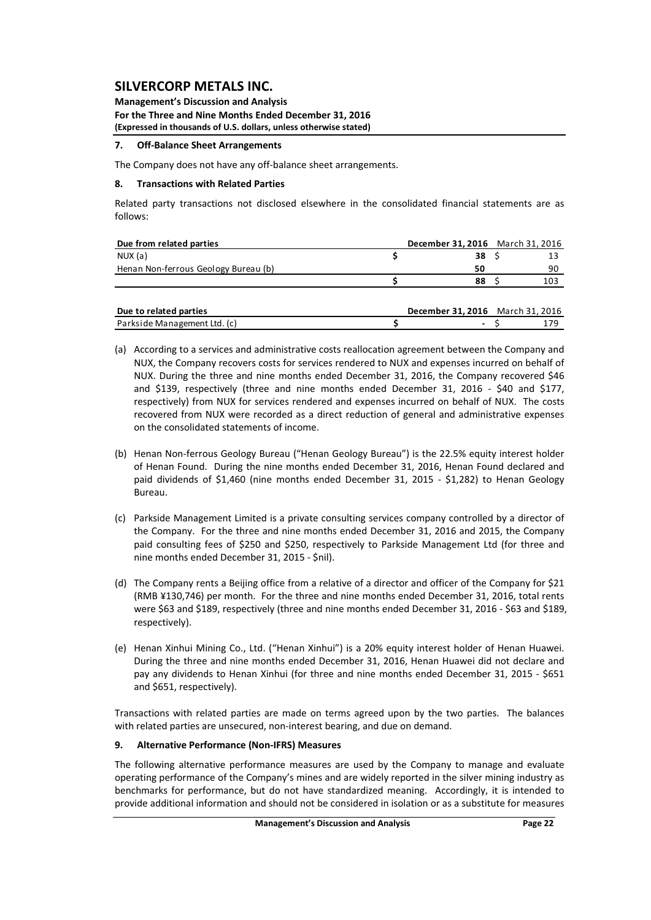**Management's Discussion and Analysis For the Three and Nine Months Ended December 31, 2016 (Expressed in thousands of U.S. dollars, unless otherwise stated)**

### **7. Off‐Balance Sheet Arrangements**

The Company does not have any off‐balance sheet arrangements.

### **8. Transactions with Related Parties**

Related party transactions not disclosed elsewhere in the consolidated financial statements are as follows:

| Due from related parties             | December 31, 2016 March 31, 2016 |    |
|--------------------------------------|----------------------------------|----|
| NUX(a)                               | 38                               |    |
| Henan Non-ferrous Geology Bureau (b) | 50                               | 90 |
|                                      | 88                               |    |
|                                      |                                  |    |

| Due to related parties       | <b>December 31, 2016</b> March 31, 2016 |  |
|------------------------------|-----------------------------------------|--|
| Parkside Management Ltd. (c) |                                         |  |

- (a) According to a services and administrative costs reallocation agreement between the Company and NUX, the Company recovers costs for services rendered to NUX and expenses incurred on behalf of NUX. During the three and nine months ended December 31, 2016, the Company recovered \$46 and \$139, respectively (three and nine months ended December 31, 2016 - \$40 and \$177, respectively) from NUX for services rendered and expenses incurred on behalf of NUX. The costs recovered from NUX were recorded as a direct reduction of general and administrative expenses on the consolidated statements of income.
- (b) Henan Non‐ferrous Geology Bureau ("Henan Geology Bureau") is the 22.5% equity interest holder of Henan Found. During the nine months ended December 31, 2016, Henan Found declared and paid dividends of \$1,460 (nine months ended December 31, 2015 - \$1,282) to Henan Geology Bureau.
- (c) Parkside Management Limited is a private consulting services company controlled by a director of the Company. For the three and nine months ended December 31, 2016 and 2015, the Company paid consulting fees of \$250 and \$250, respectively to Parkside Management Ltd (for three and nine months ended December 31, 2015 ‐ \$nil).
- (d) The Company rents a Beijing office from a relative of a director and officer of the Company for \$21 (RMB ¥130,746) per month. For the three and nine months ended December 31, 2016, total rents were \$63 and \$189, respectively (three and nine months ended December 31, 2016 - \$63 and \$189, respectively).
- (e) Henan Xinhui Mining Co., Ltd. ("Henan Xinhui") is a 20% equity interest holder of Henan Huawei. During the three and nine months ended December 31, 2016, Henan Huawei did not declare and pay any dividends to Henan Xinhui (for three and nine months ended December 31, 2015 - \$651 and \$651, respectively).

Transactions with related parties are made on terms agreed upon by the two parties. The balances with related parties are unsecured, non-interest bearing, and due on demand.

### **9. Alternative Performance (Non‐IFRS) Measures**

The following alternative performance measures are used by the Company to manage and evaluate operating performance of the Company's mines and are widely reported in the silver mining industry as benchmarks for performance, but do not have standardized meaning. Accordingly, it is intended to provide additional information and should not be considered in isolation or as a substitute for measures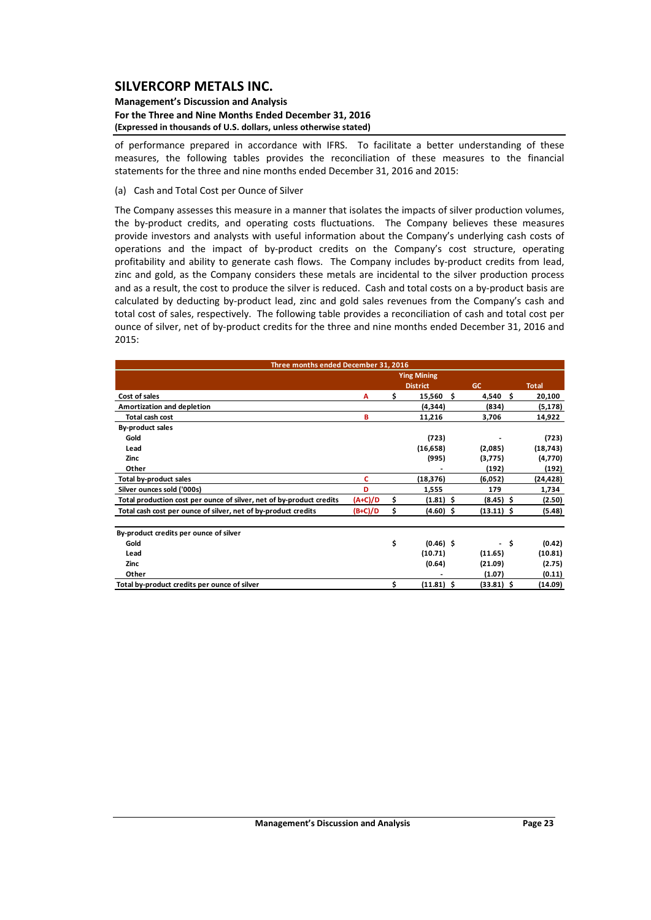#### **Management's Discussion and Analysis For the Three and Nine Months Ended December 31, 2016 (Expressed in thousands of U.S. dollars, unless otherwise stated)**

of performance prepared in accordance with IFRS. To facilitate a better understanding of these measures, the following tables provides the reconciliation of these measures to the financial statements for the three and nine months ended December 31, 2016 and 2015:

(a) Cash and Total Cost per Ounce of Silver

The Company assesses this measure in a manner that isolates the impacts of silver production volumes, the by‐product credits, and operating costs fluctuations. The Company believes these measures provide investors and analysts with useful information about the Company's underlying cash costs of operations and the impact of by‐product credits on the Company's cost structure, operating profitability and ability to generate cash flows. The Company includes by-product credits from lead, zinc and gold, as the Company considers these metals are incidental to the silver production process and as a result, the cost to produce the silver is reduced. Cash and total costs on a by‐product basis are calculated by deducting by‐product lead, zinc and gold sales revenues from the Company's cash and total cost of sales, respectively. The following table provides a reconciliation of cash and total cost per ounce of silver, net of by-product credits for the three and nine months ended December 31, 2016 and 2015:

| Three months ended December 31, 2016                                 |                    |    |                 |                |              |  |  |  |  |  |  |  |  |
|----------------------------------------------------------------------|--------------------|----|-----------------|----------------|--------------|--|--|--|--|--|--|--|--|
|                                                                      | <b>Ying Mining</b> |    |                 |                |              |  |  |  |  |  |  |  |  |
|                                                                      |                    |    | <b>District</b> | <b>GC</b>      | <b>Total</b> |  |  |  |  |  |  |  |  |
| Cost of sales                                                        | A                  | \$ | 15,560          | \$<br>4,540 \$ | 20,100       |  |  |  |  |  |  |  |  |
| Amortization and depletion                                           |                    |    | (4, 344)        | (834)          | (5, 178)     |  |  |  |  |  |  |  |  |
| Total cash cost                                                      | в                  |    | 11,216          | 3,706          | 14,922       |  |  |  |  |  |  |  |  |
| By-product sales                                                     |                    |    |                 |                |              |  |  |  |  |  |  |  |  |
| Gold                                                                 |                    |    | (723)           |                | (723)        |  |  |  |  |  |  |  |  |
| Lead                                                                 |                    |    | (16, 658)       | (2,085)        | (18, 743)    |  |  |  |  |  |  |  |  |
| Zinc                                                                 |                    |    | (995)           | (3,775)        | (4,770)      |  |  |  |  |  |  |  |  |
| Other                                                                |                    |    |                 | (192)          | (192)        |  |  |  |  |  |  |  |  |
| <b>Total by-product sales</b>                                        | c                  |    | (18,376)        | (6,052)        | (24,428)     |  |  |  |  |  |  |  |  |
| Silver ounces sold ('000s)                                           | D                  |    | 1,555           | 179            | 1,734        |  |  |  |  |  |  |  |  |
| Total production cost per ounce of silver, net of by-product credits | $(A+C)/D$          | \$ | $(1.81)$ \$     | $(8.45)$ \$    | (2.50)       |  |  |  |  |  |  |  |  |
| Total cash cost per ounce of silver, net of by-product credits       | $(B+C)/D$          | \$ | $(4.60)$ \$     | $(13.11)$ \$   | (5.48)       |  |  |  |  |  |  |  |  |
| By-product credits per ounce of silver                               |                    |    |                 |                |              |  |  |  |  |  |  |  |  |
| Gold                                                                 |                    | \$ | $(0.46)$ \$     |                | Ŝ.<br>(0.42) |  |  |  |  |  |  |  |  |
| Lead                                                                 |                    |    | (10.71)         | (11.65)        | (10.81)      |  |  |  |  |  |  |  |  |
| Zinc                                                                 |                    |    | (0.64)          | (21.09)        | (2.75)       |  |  |  |  |  |  |  |  |
| Other                                                                |                    |    |                 | (1.07)         | (0.11)       |  |  |  |  |  |  |  |  |
| Total by-product credits per ounce of silver                         |                    | Ś  | $(11.81)$ \$    | (33.81) \$     | (14.09)      |  |  |  |  |  |  |  |  |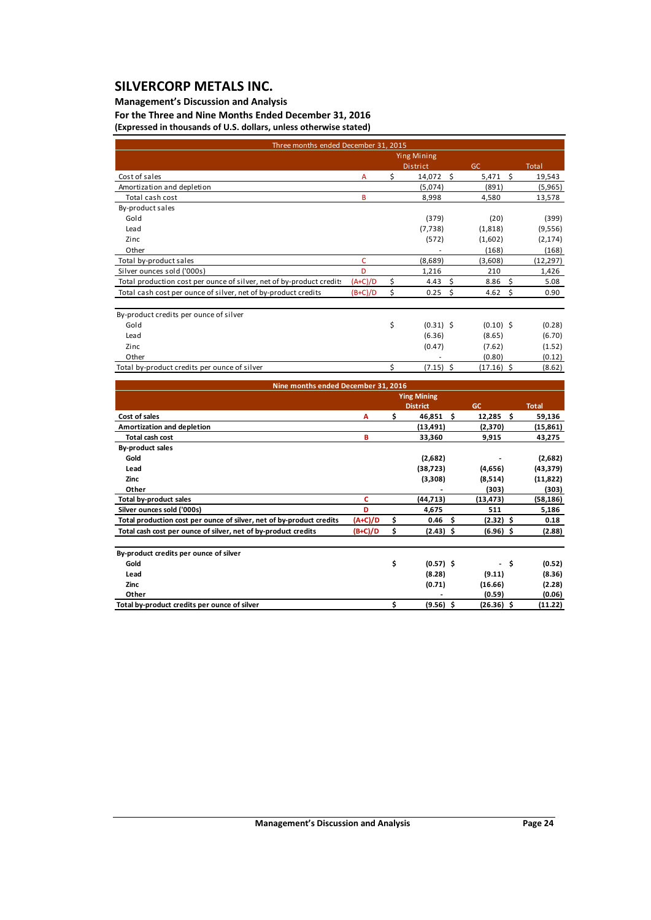### **Management's Discussion and Analysis**

**For the Three and Nine Months Ended December 31, 2016 (Expressed in thousands of U.S. dollars, unless otherwise stated)**

|                                                                      | Three months ended December 31, 2015 |    |                    |               |              |  |  |  |  |  |  |  |  |  |
|----------------------------------------------------------------------|--------------------------------------|----|--------------------|---------------|--------------|--|--|--|--|--|--|--|--|--|
|                                                                      |                                      |    | <b>Ying Mining</b> |               |              |  |  |  |  |  |  |  |  |  |
|                                                                      |                                      |    | <b>District</b>    | GC            | <b>Total</b> |  |  |  |  |  |  |  |  |  |
| Cost of sales                                                        | A                                    | \$ | - \$<br>14,072     | Ŝ.<br>5,471   | 19,543       |  |  |  |  |  |  |  |  |  |
| Amortization and depletion                                           |                                      |    | (5,074)            | (891)         | (5,965)      |  |  |  |  |  |  |  |  |  |
| Total cash cost                                                      | B                                    |    | 8,998              | 4,580         | 13,578       |  |  |  |  |  |  |  |  |  |
| By-product sales                                                     |                                      |    |                    |               |              |  |  |  |  |  |  |  |  |  |
| Gold                                                                 |                                      |    | (379)              | (20)          | (399)        |  |  |  |  |  |  |  |  |  |
| Lead                                                                 |                                      |    | (7, 738)           | (1,818)       | (9,556)      |  |  |  |  |  |  |  |  |  |
| Zinc                                                                 |                                      |    | (572)              | (1,602)       | (2, 174)     |  |  |  |  |  |  |  |  |  |
| Other                                                                |                                      |    |                    | (168)         | (168)        |  |  |  |  |  |  |  |  |  |
| Total by-product sales                                               | C                                    |    | (8,689)            | (3,608)       | (12, 297)    |  |  |  |  |  |  |  |  |  |
| Silver ounces sold ('000s)                                           | D                                    |    | 1,216              | 210           | 1,426        |  |  |  |  |  |  |  |  |  |
| Total production cost per ounce of silver, net of by-product credits | $(A+C)/D$                            | \$ | Ś.<br>4.43         | Ŝ.<br>8.86    | 5.08         |  |  |  |  |  |  |  |  |  |
| Total cash cost per ounce of silver, net of by-product credits       | $(B+C)/D$                            | \$ | $0.25$ \$          | 4.62<br>\$    | 0.90         |  |  |  |  |  |  |  |  |  |
|                                                                      |                                      |    |                    |               |              |  |  |  |  |  |  |  |  |  |
| By-product credits per ounce of silver                               |                                      |    |                    |               |              |  |  |  |  |  |  |  |  |  |
| Gold                                                                 |                                      | \$ | $(0.31)$ \$        | $(0.10)$ \$   | (0.28)       |  |  |  |  |  |  |  |  |  |
| Lead                                                                 |                                      |    | (6.36)             | (8.65)        | (6.70)       |  |  |  |  |  |  |  |  |  |
| Zinc.                                                                |                                      |    | (0.47)             | (7.62)        | (1.52)       |  |  |  |  |  |  |  |  |  |
| Other                                                                |                                      |    |                    | (0.80)        | (0.12)       |  |  |  |  |  |  |  |  |  |
| Total by-product credits per ounce of silver                         |                                      | Ś. | $(7.15)$ \$        | $(17.16)$ \$  | (8.62)       |  |  |  |  |  |  |  |  |  |
|                                                                      |                                      |    |                    |               |              |  |  |  |  |  |  |  |  |  |
| Nine months ended December 31, 2016                                  |                                      |    |                    |               |              |  |  |  |  |  |  |  |  |  |
|                                                                      |                                      |    | <b>Ying Mining</b> |               |              |  |  |  |  |  |  |  |  |  |
|                                                                      |                                      |    | <b>District</b>    | <b>GC</b>     | <b>Total</b> |  |  |  |  |  |  |  |  |  |
| Cost of sales                                                        | А                                    | \$ | 46,851<br>Ŝ.       | 12,285<br>- Ś | 59,136       |  |  |  |  |  |  |  |  |  |
| Amortization and depletion                                           |                                      |    | (13, 491)          | (2,370)       | (15, 861)    |  |  |  |  |  |  |  |  |  |

| Total cash cost                                                      | в         | 33,360      | 9,915       | 43,275    |
|----------------------------------------------------------------------|-----------|-------------|-------------|-----------|
| <b>By-product sales</b>                                              |           |             |             |           |
| Gold                                                                 |           | (2,682)     |             | (2,682)   |
| Lead                                                                 |           | (38, 723)   | (4,656)     | (43, 379) |
| Zinc                                                                 |           | (3,308)     | (8,514)     | (11, 822) |
| Other                                                                |           |             | (303)       | (303)     |
| Total by-product sales                                               |           | (44, 713)   | (13, 473)   | (58, 186) |
| Silver ounces sold ('000s)                                           | D         | 4,675       | 511         | 5,186     |
| Total production cost per ounce of silver, net of by-product credits | $(A+C)/D$ | 0.46<br>s   | $(2.32)$ \$ | 0.18      |
| Total cash cost per ounce of silver, net of by-product credits       | $(B+C)/D$ | $(2.43)$ \$ | $(6.96)$ \$ | (2.88)    |
| By-product credits per ounce of silver                               |           |             |             |           |

| Gold                                         | $(0.57)$ \$ | $\overline{\phantom{a}}$ | (0.52)  |
|----------------------------------------------|-------------|--------------------------|---------|
| Lead                                         | (8.28)      | (9.11)                   | (8.36)  |
| Zinc                                         | (0.71)      | (16.66)                  | (2.28)  |
| Other                                        | -           | (0.59)                   | (0.06)  |
| Total by-product credits per ounce of silver | (9.56)      | (26.36)                  | (11.22) |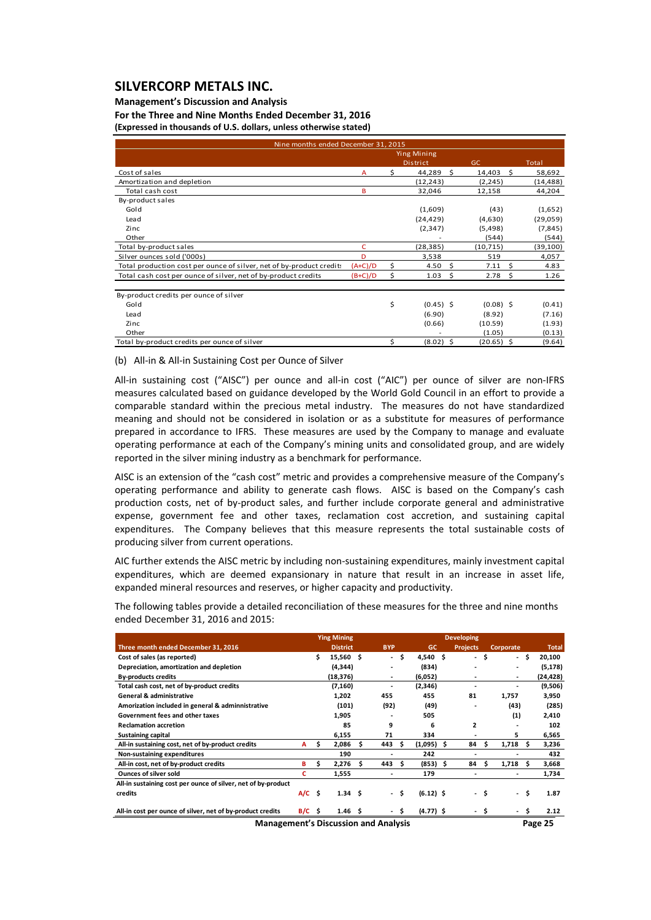#### **Management's Discussion and Analysis**

**For the Three and Nine Months Ended December 31, 2016 (Expressed in thousands of U.S. dollars, unless otherwise stated)**

| Nine months ended December 31, 2015                                  |                    |    |                 |                             |                   |           |  |  |  |  |  |  |  |
|----------------------------------------------------------------------|--------------------|----|-----------------|-----------------------------|-------------------|-----------|--|--|--|--|--|--|--|
|                                                                      | <b>Ying Mining</b> |    |                 |                             |                   |           |  |  |  |  |  |  |  |
|                                                                      |                    |    | <b>District</b> | GC.                         |                   | Total     |  |  |  |  |  |  |  |
| Cost of sales                                                        | $\overline{A}$     | \$ | 44,289          | - \$<br>14,403              | - Ś               | 58,692    |  |  |  |  |  |  |  |
| Amortization and depletion                                           |                    |    | (12, 243)       | (2, 245)                    |                   | (14, 488) |  |  |  |  |  |  |  |
| Total cash cost                                                      | B                  |    | 32,046          | 12,158                      |                   | 44,204    |  |  |  |  |  |  |  |
| By-product sales                                                     |                    |    |                 |                             |                   |           |  |  |  |  |  |  |  |
| Gold                                                                 |                    |    | (1,609)         | (43)                        |                   | (1,652)   |  |  |  |  |  |  |  |
| Lead                                                                 |                    |    | (24, 429)       | (4,630)                     |                   | (29,059)  |  |  |  |  |  |  |  |
| Zinc                                                                 |                    |    | (2, 347)        | (5, 498)                    |                   | (7, 845)  |  |  |  |  |  |  |  |
| Other                                                                |                    |    |                 | (544)                       |                   | (544)     |  |  |  |  |  |  |  |
| Total by-product sales                                               | c                  |    | (28, 385)       | (10, 715)                   |                   | (39, 100) |  |  |  |  |  |  |  |
| Silver ounces sold ('000s)                                           | D                  |    | 3,538           | 519                         |                   | 4,057     |  |  |  |  |  |  |  |
| Total production cost per ounce of silver, net of by-product credit: | $(A+C)/D$          | \$ | 4.50            | $\ddot{\mathsf{s}}$<br>7.11 | -\$               | 4.83      |  |  |  |  |  |  |  |
| Total cash cost per ounce of silver, net of by-product credits       | $(B+C)/D$          | \$ | $1.03 \quad$ \$ |                             | 2.78 <sub>5</sub> | 1.26      |  |  |  |  |  |  |  |
| By-product credits per ounce of silver                               |                    |    |                 |                             |                   |           |  |  |  |  |  |  |  |
| Gold                                                                 |                    | \$ | $(0.45)$ \$     |                             | $(0.08)$ \$       | (0.41)    |  |  |  |  |  |  |  |
| Lead                                                                 |                    |    | (6.90)          | (8.92)                      |                   | (7.16)    |  |  |  |  |  |  |  |
| Zinc                                                                 |                    |    | (0.66)          | (10.59)                     |                   | (1.93)    |  |  |  |  |  |  |  |
| Other                                                                |                    |    |                 | (1.05)                      |                   | (0.13)    |  |  |  |  |  |  |  |
| Total by-product credits per ounce of silver                         |                    | \$ | $(8.02)$ \$     | $(20.65)$ \$                |                   | (9.64)    |  |  |  |  |  |  |  |

(b) All‐in & All‐in Sustaining Cost per Ounce of Silver

All-in sustaining cost ("AISC") per ounce and all-in cost ("AIC") per ounce of silver are non-IFRS measures calculated based on guidance developed by the World Gold Council in an effort to provide a comparable standard within the precious metal industry. The measures do not have standardized meaning and should not be considered in isolation or as a substitute for measures of performance prepared in accordance to IFRS. These measures are used by the Company to manage and evaluate operating performance at each of the Company's mining units and consolidated group, and are widely reported in the silver mining industry as a benchmark for performance.

AISC is an extension of the "cash cost" metric and provides a comprehensive measure of the Company's operating performance and ability to generate cash flows. AISC is based on the Company's cash production costs, net of by‐product sales, and further include corporate general and administrative expense, government fee and other taxes, reclamation cost accretion, and sustaining capital expenditures. The Company believes that this measure represents the total sustainable costs of producing silver from current operations.

AIC further extends the AISC metric by including non‐sustaining expenditures, mainly investment capital expenditures, which are deemed expansionary in nature that result in an increase in asset life, expanded mineral resources and reserves, or higher capacity and productivity.

The following tables provide a detailed reconciliation of these measures for the three and nine months ended December 31, 2016 and 2015:

|                                                               |          |      | <b>Ying Mining</b> |    |                |     |              |    | <b>Developing</b> |     |                |    |              |
|---------------------------------------------------------------|----------|------|--------------------|----|----------------|-----|--------------|----|-------------------|-----|----------------|----|--------------|
| Three month ended December 31, 2016                           |          |      | <b>District</b>    |    | <b>BYP</b>     |     | GC.          |    | <b>Projects</b>   |     | Corporate      |    | <b>Total</b> |
| Cost of sales (as reported)                                   |          | Ś.   | 15,560 \$          |    | ۰.             | \$. | $4,540$ \$   |    | ÷.                | Ś.  | - \$           |    | 20,100       |
| Depreciation, amortization and depletion                      |          |      | (4, 344)           |    |                |     | (834)        |    |                   |     | $\blacksquare$ |    | (5, 178)     |
| <b>By-products credits</b>                                    |          |      | (18, 376)          |    | ۰              |     | (6,052)      |    |                   |     | $\blacksquare$ |    | (24,428)     |
| Total cash cost, net of by-product credits                    |          |      | (7, 160)           |    |                |     | (2,346)      |    |                   |     |                |    | (9,506)      |
| <b>General &amp; administrative</b>                           |          |      | 1,202              |    | 455            |     | 455          |    | 81                |     | 1,757          |    | 3,950        |
| Amorization included in general & adminnistrative             |          |      | (101)              |    | (92)           |     | (49)         |    |                   |     | (43)           |    | (285)        |
| Government fees and other taxes                               |          |      | 1,905              |    |                |     | 505          |    |                   |     | (1)            |    | 2,410        |
| <b>Reclamation accretion</b>                                  |          |      | 85                 |    | 9              |     | 6            |    | $\mathbf{z}$      |     |                |    | 102          |
| <b>Sustaining capital</b>                                     |          |      | 6,155              |    | 71             |     | 334          |    |                   |     | 5              |    | 6,565        |
| All-in sustaining cost, net of by-product credits             | А        | Ś.   | 2,086              | s  | 443            | Ŝ   | $(1,095)$ \$ |    | 84                | S   | 1,718          | S  | 3,236        |
| Non-sustaining expenditures                                   |          |      | 190                |    |                |     | 242          |    |                   |     |                |    | 432          |
| All-in cost, net of by-product credits                        | в        | \$   | 2,276              | \$ | 443            | s.  | (853)        | s. | 84                | S   | 1,718          | S  | 3,668        |
| <b>Ounces of silver sold</b>                                  | c        |      | 1,555              |    |                |     | 179          |    |                   |     |                |    | 1,734        |
| All-in sustaining cost per ounce of silver, net of by-product |          |      |                    |    |                |     |              |    |                   |     |                |    |              |
| credits                                                       | A/C      | - \$ | $1.34 \quad$ \$    |    | $\blacksquare$ | - Ś | $(6.12)$ \$  |    | . .               | .\$ | $\sim$         | \$ | 1.87         |
| All-in cost per ounce of silver, net of by-product credits    | $B/C$ \$ |      | 1.46 <sub>5</sub>  |    |                |     | $(4.77)$ \$  |    |                   |     |                |    | 2.12         |
| <b>Management's Discussion and Analysis</b>                   |          |      |                    |    |                |     |              |    |                   |     |                |    | Page 25      |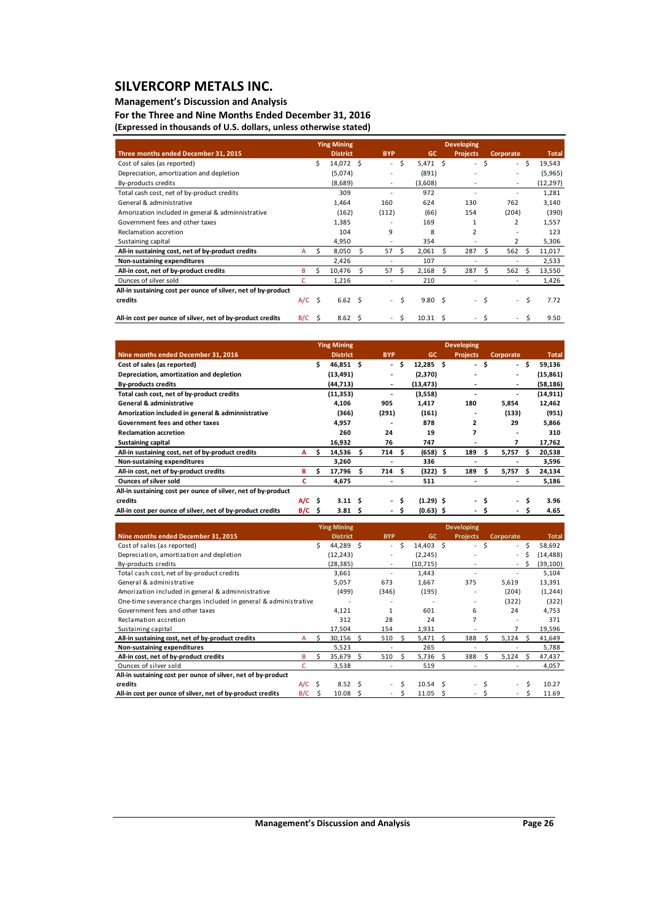### **Management's Discussion and Analysis**

**For the Three and Nine Months Ended December 31, 2016 (Expressed in thousands of U.S. dollars, unless otherwise stated)**

|                                                               |          |    | <b>Ying Mining</b> |    |                          |    |                |    | <b>Developing</b>        |      |                             |             |              |
|---------------------------------------------------------------|----------|----|--------------------|----|--------------------------|----|----------------|----|--------------------------|------|-----------------------------|-------------|--------------|
| Three months ended December 31, 2015                          |          |    | <b>District</b>    |    | <b>BYP</b>               |    | GC             |    | <b>Projects</b>          |      | Corporate                   |             | <b>Total</b> |
| Cost of sales (as reported)                                   |          | Ś. | 14,072 \$          |    | $\overline{\phantom{0}}$ | \$ | $5,471$ \$     |    | $\sim$                   | \$   | - \$                        | 19,543      |              |
| Depreciation, amortization and depletion                      |          |    | (5,074)            |    |                          |    | (891)          |    |                          |      | ٠                           | (5,965)     |              |
| By-products credits                                           |          |    | (8,689)            |    | $\frac{1}{2}$            |    | (3,608)        |    |                          |      | $\overline{\phantom{a}}$    | (12, 297)   |              |
| Total cash cost, net of by-product credits                    |          |    | 309                |    | ٠                        |    | 972            |    |                          |      | ٠                           | 1,281       |              |
| General & administrative                                      |          |    | 1,464              |    | 160                      |    | 624            |    | 130                      |      | 762                         | 3,140       |              |
| Amorization included in general & adminnistrative             |          |    | (162)              |    | (112)                    |    | (66)           |    | 154                      |      | (204)                       |             | (390)        |
| Government fees and other taxes                               |          |    | 1,385              |    |                          |    | 169            |    |                          |      | 2                           | 1,557       |              |
| Reclamation accretion                                         |          |    | 104                |    | 9                        |    | 8              |    | $\overline{2}$           |      |                             |             | 123          |
| Sustaining capital                                            |          |    | 4,950              |    | ٠                        |    | 354            |    |                          |      | 2                           |             | 5,306        |
| All-in sustaining cost, net of by-product credits             | A        | Ś. | 8,050              | Ś. | 57                       | Ŝ. | 2,061          | Ś. | 287                      | Ś    | 562                         | Ŝ<br>11,017 |              |
| Non-sustaining expenditures                                   |          |    | 2,426              |    |                          |    | 107            |    |                          |      |                             | 2,533       |              |
| All-in cost, net of by-product credits                        | В        | S  | 10,476             | S  | 57                       | S  | 2,168          | S  | 287                      | S    | 562                         | 13,550<br>S |              |
| Ounces of silver sold                                         | C        |    | 1,216              |    |                          |    | 210            |    |                          |      |                             |             | 1,426        |
| All-in sustaining cost per ounce of silver, net of by-product |          |    |                    |    |                          |    |                |    |                          |      |                             |             |              |
| credits                                                       | $A/C$ \$ |    | 6.62 <sup>5</sup>  |    | $\overline{a}$           | Ŝ  | $9.80 \quad S$ |    |                          | - \$ | $\mathcal{L}^{\mathcal{L}}$ | \$          | 7.72         |
| All-in cost per ounce of silver, net of by-product credits    | B/C      | Ś  | 8.62               | .S | $\overline{\phantom{0}}$ | Ŝ  | 10.31          | Ś  | $\overline{\phantom{a}}$ | Ś    | $\sim$                      | Ś           | 9.50         |

|                                                               |          |      | <b>Ying Mining</b> |   |            |    |             | <b>Developing</b>        |    |                          |     |              |
|---------------------------------------------------------------|----------|------|--------------------|---|------------|----|-------------|--------------------------|----|--------------------------|-----|--------------|
| Nine months ended December 31, 2016                           |          |      | <b>District</b>    |   | <b>BYP</b> |    | <b>GC</b>   | <b>Projects</b>          |    | Corporate                |     | <b>Total</b> |
| Cost of sales (as reported)                                   |          | \$.  | 46,851 \$          |   | ۰.         | S  | $12,285$ \$ | $\overline{\phantom{a}}$ | \$ | - \$                     |     | 59,136       |
| Depreciation, amortization and depletion                      |          |      | (13, 491)          |   |            |    | (2,370)     |                          |    | $\blacksquare$           |     | (15, 861)    |
| <b>By-products credits</b>                                    |          |      | (44, 713)          |   | ٠          |    | (13, 473)   |                          |    | ۰                        |     | (58, 186)    |
| Total cash cost, net of by-product credits                    |          |      | (11, 353)          |   | ٠          |    | (3,558)     |                          |    | $\overline{\phantom{0}}$ |     | (14, 911)    |
| <b>General &amp; administrative</b>                           |          |      | 4,106              |   | 905        |    | 1,417       | 180                      |    | 5,854                    |     | 12,462       |
| Amorization included in general & adminnistrative             |          |      | (366)              |   | (291)      |    | (161)       | ۰                        |    | (133)                    |     | (951)        |
| Government fees and other taxes                               |          |      | 4,957              |   |            |    | 878         | $\overline{2}$           |    | 29                       |     | 5,866        |
| <b>Reclamation accretion</b>                                  |          |      | 260                |   | 24         |    | 19          | 7                        |    |                          |     | 310          |
| <b>Sustaining capital</b>                                     |          |      | 16,932             |   | 76         |    | 747         |                          |    | 7                        |     | 17,762       |
| All-in sustaining cost, net of by-product credits             | A        | s    | 14,536             | s | 714 S      |    | $(658)$ \$  | 189                      | s  | 5,757                    | \$. | 20,538       |
| Non-sustaining expenditures                                   |          |      | 3,260              |   |            |    | 336         |                          |    |                          |     | 3,596        |
| All-in cost, net of by-product credits                        | в        | s    | 17,796             | s | 714        | s. | $(322)$ \$  | 189                      | s  | 5,757                    | s   | 24,134       |
| <b>Ounces of silver sold</b>                                  | c        |      | 4,675              |   | -          |    | 511         |                          |    | $\overline{\phantom{0}}$ |     | 5,186        |
| All-in sustaining cost per ounce of silver, net of by-product |          |      |                    |   |            |    |             |                          |    |                          |     |              |
| credits                                                       | $A/C$ \$ |      | 3.11 <sub>5</sub>  |   | ۰.         | s. | $(1.29)$ \$ | ۰.                       | S  | $\sim$                   | Ś   | 3.96         |
| All-in cost per ounce of silver, net of by-product credits    | B/C      | - \$ | 3.81S              |   | ۰.         | S  | $(0.63)$ \$ |                          | S  | $\sim$                   | \$  | 4.65         |

|                                                                 |     |              | <b>Ying Mining</b> |     |                          |    |           |    |                 |   |           |   |              |
|-----------------------------------------------------------------|-----|--------------|--------------------|-----|--------------------------|----|-----------|----|-----------------|---|-----------|---|--------------|
| Nine months ended December 31, 2015                             |     |              | <b>District</b>    |     | <b>BYP</b>               |    | GC        |    | <b>Projects</b> |   | Corporate |   | <b>Total</b> |
| Cost of sales (as reported)                                     |     | Ś.           | 44,289 \$          |     | $\sim$                   | Ŝ. | 14,403 \$ |    | $\sim$          | Ś | $\sim$    | S | 58,692       |
| Depreciation, amortization and depletion                        |     |              | (12, 243)          |     |                          |    | (2, 245)  |    |                 |   | $\sim$    |   | (14, 488)    |
| By-products credits                                             |     |              | (28, 385)          |     | ٠                        |    | (10, 715) |    |                 |   | ٠         | S | (39, 100)    |
| Total cash cost, net of by-product credits                      |     |              | 3,661              |     |                          |    | 1,443     |    |                 |   |           |   | 5,104        |
| General & administrative                                        |     |              | 5,057              |     | 673                      |    | 1,667     |    | 375             |   | 5,619     |   | 13,391       |
| Amorization included in general & adminnistrative               |     |              | (499)              |     | (346)                    |    | (195)     |    |                 |   | (204)     |   | (1, 244)     |
| One-time severance charges included in general & administrative |     |              |                    |     |                          |    |           |    |                 |   | (322)     |   | (322)        |
| Government fees and other taxes                                 |     |              | 4,121              |     |                          |    | 601       |    | 6               |   | 24        |   | 4,753        |
| Reclamation accretion                                           |     |              | 312                |     | 28                       |    | 24        |    | 7               |   |           |   | 371          |
| Sustaining capital                                              |     |              | 17,504             |     | 154                      |    | 1,931     |    |                 |   |           |   | 19,596       |
| All-in sustaining cost, net of by-product credits               | A   | Ś.           | 30,156             |     | 510                      | -S | 5,471     |    | 388             |   | 5,124     |   | 41,649       |
| Non-sustaining expenditures                                     |     |              | 5,523              |     |                          |    | 265       |    |                 |   |           |   | 5,788        |
| All-in cost, net of by-product credits                          | B   |              | 35,679             |     | 510                      |    | 5,736     |    | 388             |   | 5,124     |   | 47,437       |
| Ounces of silver sold                                           |     |              | 3,538              |     |                          |    | 519       |    |                 |   |           |   | 4,057        |
| All-in sustaining cost per ounce of silver, net of by-product   |     |              |                    |     |                          |    |           |    |                 |   |           |   |              |
| credits                                                         | A/C | - \$         | $8.52 \quad S$     |     | $\overline{\phantom{a}}$ |    | 10.54     | -S |                 |   | $\sim$    |   | 10.27        |
| All-in cost per ounce of silver, net of by-product credits      | B/C | <sub>S</sub> | 10.08              | - S |                          |    | 11.05     | S  |                 |   |           |   | 11.69        |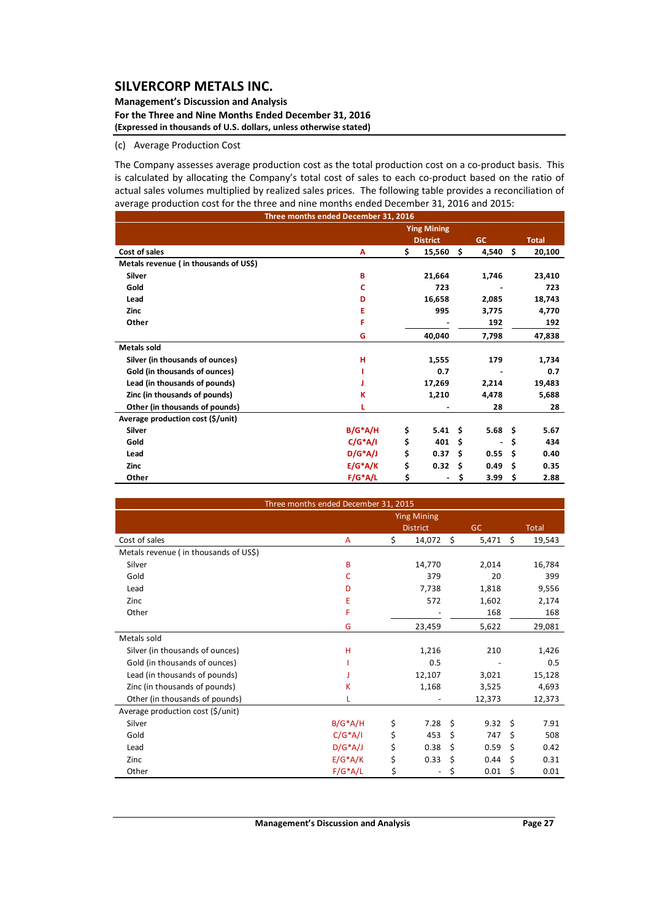#### **Management's Discussion and Analysis For the Three and Nine Months Ended December 31, 2016 (Expressed in thousands of U.S. dollars, unless otherwise stated)**

#### (c) Average Production Cost

The Company assesses average production cost as the total production cost on a co-product basis. This is calculated by allocating the Company's total cost of sales to each co-product based on the ratio of actual sales volumes multiplied by realized sales prices. The following table provides a reconciliation of average production cost for the three and nine months ended December 31, 2016 and 2015:

|                                       | Three months ended December 31, 2016 |                    |     |           |     |              |
|---------------------------------------|--------------------------------------|--------------------|-----|-----------|-----|--------------|
|                                       |                                      | <b>Ying Mining</b> |     |           |     |              |
|                                       |                                      | <b>District</b>    |     | <b>GC</b> |     | <b>Total</b> |
| Cost of sales                         | A                                    | \$<br>15,560       | \$. | 4,540     | \$. | 20,100       |
| Metals revenue (in thousands of US\$) |                                      |                    |     |           |     |              |
| Silver                                | в                                    | 21,664             |     | 1,746     |     | 23,410       |
| Gold                                  | c                                    | 723                |     |           |     | 723          |
| Lead                                  | D                                    | 16,658             |     | 2,085     |     | 18,743       |
| <b>Zinc</b>                           | Ε                                    | 995                |     | 3,775     |     | 4,770        |
| Other                                 | F                                    |                    |     | 192       |     | 192          |
|                                       | G                                    | 40,040             |     | 7,798     |     | 47,838       |
| <b>Metals sold</b>                    |                                      |                    |     |           |     |              |
| Silver (in thousands of ounces)       | н                                    | 1,555              |     | 179       |     | 1,734        |
| Gold (in thousands of ounces)         |                                      | 0.7                |     |           |     | 0.7          |
| Lead (in thousands of pounds)         |                                      | 17,269             |     | 2,214     |     | 19,483       |
| Zinc (in thousands of pounds)         | К                                    | 1,210              |     | 4,478     |     | 5,688        |
| Other (in thousands of pounds)        |                                      |                    |     | 28        |     | 28           |
| Average production cost (\$/unit)     |                                      |                    |     |           |     |              |
| <b>Silver</b>                         | $B/G^*A/H$                           | \$<br>5.41         | Ŝ.  | 5.68%     |     | 5.67         |
| Gold                                  | $C/G^*A/I$                           | \$<br>401          | Ŝ.  |           | \$  | 434          |
| Lead                                  | $D/G^*A/J$                           | \$<br>0.37         | Ŝ.  | 0.55      | Ś.  | 0.40         |
| <b>Zinc</b>                           | $E/G^*A/K$                           | \$<br>0.32         | Ŝ.  | 0.49      | \$. | 0.35         |
| Other                                 | $F/G^*A/L$                           | \$                 | \$  | 3.99      | \$  | 2.88         |

| Three months ended December 31, 2015  |            |    |                    |    |           |      |              |
|---------------------------------------|------------|----|--------------------|----|-----------|------|--------------|
|                                       |            |    | <b>Ying Mining</b> |    |           |      |              |
|                                       |            |    | <b>District</b>    |    | <b>GC</b> |      | <b>Total</b> |
| Cost of sales                         | A          | \$ | 14,072             | \$ | 5,471     | Ś.   | 19,543       |
| Metals revenue (in thousands of US\$) |            |    |                    |    |           |      |              |
| Silver                                | B          |    | 14,770             |    | 2,014     |      | 16,784       |
| Gold                                  | C          |    | 379                |    | 20        |      | 399          |
| Lead                                  | D          |    | 7,738              |    | 1,818     |      | 9,556        |
| Zinc                                  | Ε          |    | 572                |    | 1,602     |      | 2,174        |
| Other                                 | F          |    |                    |    | 168       |      | 168          |
|                                       | G          |    | 23,459             |    | 5,622     |      | 29,081       |
| Metals sold                           |            |    |                    |    |           |      |              |
| Silver (in thousands of ounces)       | H          |    | 1,216              |    | 210       |      | 1,426        |
| Gold (in thousands of ounces)         |            |    | 0.5                |    |           |      | 0.5          |
| Lead (in thousands of pounds)         |            |    | 12,107             |    | 3,021     |      | 15,128       |
| Zinc (in thousands of pounds)         | K          |    | 1,168              |    | 3,525     |      | 4,693        |
| Other (in thousands of pounds)        |            |    |                    |    | 12,373    |      | 12,373       |
| Average production cost (\$/unit)     |            |    |                    |    |           |      |              |
| Silver                                | $B/G^*A/H$ | \$ | 7.28               | \$ | 9.32      | - \$ | 7.91         |
| Gold                                  | $C/G^*A/I$ | \$ | 453                | \$ | 747       | \$   | 508          |
| Lead                                  | $D/G^*A/J$ | \$ | 0.38               | \$ | 0.59      | \$   | 0.42         |
| Zinc                                  | $E/G^*A/K$ | \$ | 0.33               | \$ | 0.44      | \$   | 0.31         |
| Other                                 | $F/G^*A/L$ | \$ |                    | \$ | 0.01      | \$   | 0.01         |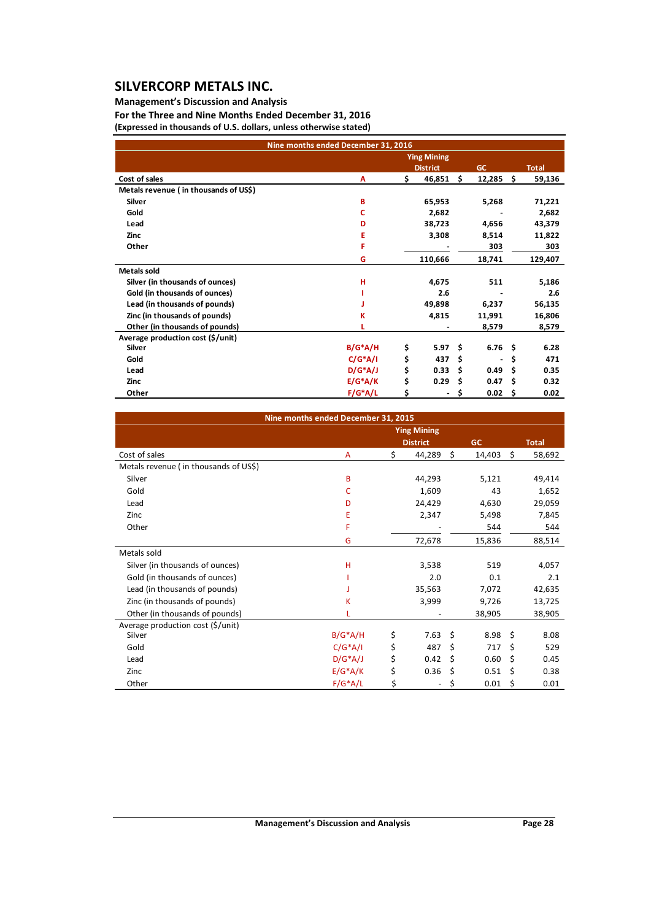### **Management's Discussion and Analysis**

**For the Three and Nine Months Ended December 31, 2016 (Expressed in thousands of U.S. dollars, unless otherwise stated)**

|                                       | Nine months ended December 31, 2016 |                                    |    |                   |    |              |
|---------------------------------------|-------------------------------------|------------------------------------|----|-------------------|----|--------------|
|                                       |                                     | <b>Ying Mining</b>                 |    |                   |    |              |
|                                       |                                     | <b>District</b>                    |    | GC                |    | <b>Total</b> |
| Cost of sales                         | A                                   | \$<br>46,851                       | \$ | 12,285            | -S | 59,136       |
| Metals revenue (in thousands of US\$) |                                     |                                    |    |                   |    |              |
| Silver                                | B                                   | 65,953                             |    | 5,268             |    | 71,221       |
| Gold                                  | c                                   | 2,682                              |    |                   |    | 2,682        |
| Lead                                  | D                                   | 38,723                             |    | 4,656             |    | 43,379       |
| Zinc                                  | Е                                   | 3,308                              |    | 8,514             |    | 11,822       |
| Other                                 | F                                   |                                    |    | 303               |    | 303          |
|                                       | G                                   | 110,666                            |    | 18,741            |    | 129,407      |
| <b>Metals sold</b>                    |                                     |                                    |    |                   |    |              |
| Silver (in thousands of ounces)       | н                                   | 4,675                              |    | 511               |    | 5,186        |
| Gold (in thousands of ounces)         |                                     | 2.6                                |    |                   |    | 2.6          |
| Lead (in thousands of pounds)         |                                     | 49,898                             |    | 6,237             |    | 56,135       |
| Zinc (in thousands of pounds)         | κ                                   | 4,815                              |    | 11,991            |    | 16,806       |
| Other (in thousands of pounds)        |                                     |                                    |    | 8,579             |    | 8,579        |
| Average production cost (\$/unit)     |                                     |                                    |    |                   |    |              |
| <b>Silver</b>                         | $B/G^*A/H$                          | \$<br>5.97                         | Ŝ. | 6.76 <sup>5</sup> |    | 6.28         |
| Gold                                  | $C/G^*A/I$                          | \$<br>437                          | \$ |                   | \$ | 471          |
| Lead                                  | $D/G^*A/J$                          | \$<br>0.33                         | Ś  | 0.49              | Ŝ  | 0.35         |
| Zinc                                  | $E/G^*A/K$                          | \$<br>0.29                         | Ś  | 0.47              | Ŝ  | 0.32         |
| Other                                 | $F/G^*A/L$                          | \$<br>$\qquad \qquad \blacksquare$ | \$ | 0.02              | S  | 0.02         |

|                                       | Nine months ended December 31, 2015 |                    |              |              |
|---------------------------------------|-------------------------------------|--------------------|--------------|--------------|
|                                       |                                     | <b>Ying Mining</b> |              |              |
|                                       |                                     | <b>District</b>    | GC           | <b>Total</b> |
| Cost of sales                         | A                                   | \$<br>44,289       | \$<br>14,403 | \$<br>58,692 |
| Metals revenue (in thousands of US\$) |                                     |                    |              |              |
| Silver                                | B                                   | 44,293             | 5,121        | 49,414       |
| Gold                                  | с                                   | 1,609              | 43           | 1,652        |
| Lead                                  | D                                   | 24,429             | 4,630        | 29,059       |
| Zinc                                  | Ε                                   | 2,347              | 5,498        | 7,845        |
| Other                                 | F                                   |                    | 544          | 544          |
|                                       | G                                   | 72,678             | 15,836       | 88,514       |
| Metals sold                           |                                     |                    |              |              |
| Silver (in thousands of ounces)       | н                                   | 3,538              | 519          | 4,057        |
| Gold (in thousands of ounces)         |                                     | 2.0                | 0.1          | 2.1          |
| Lead (in thousands of pounds)         |                                     | 35,563             | 7,072        | 42,635       |
| Zinc (in thousands of pounds)         | κ                                   | 3,999              | 9,726        | 13,725       |
| Other (in thousands of pounds)        |                                     |                    | 38,905       | 38,905       |
| Average production cost (\$/unit)     |                                     |                    |              |              |
| Silver                                | $B/G^*A/H$                          | \$<br>7.63         | \$<br>8.98   | \$<br>8.08   |
| Gold                                  | $C/G^*A/I$                          | \$<br>487          | \$<br>717    | \$<br>529    |
| Lead                                  | $D/G^*A/J$                          | \$<br>0.42         | \$<br>0.60   | \$<br>0.45   |
| Zinc                                  | $E/G^*A/K$                          | \$<br>0.36         | \$<br>0.51   | \$<br>0.38   |
| Other                                 | $F/G^*A/L$                          | \$                 | \$<br>0.01   | \$<br>0.01   |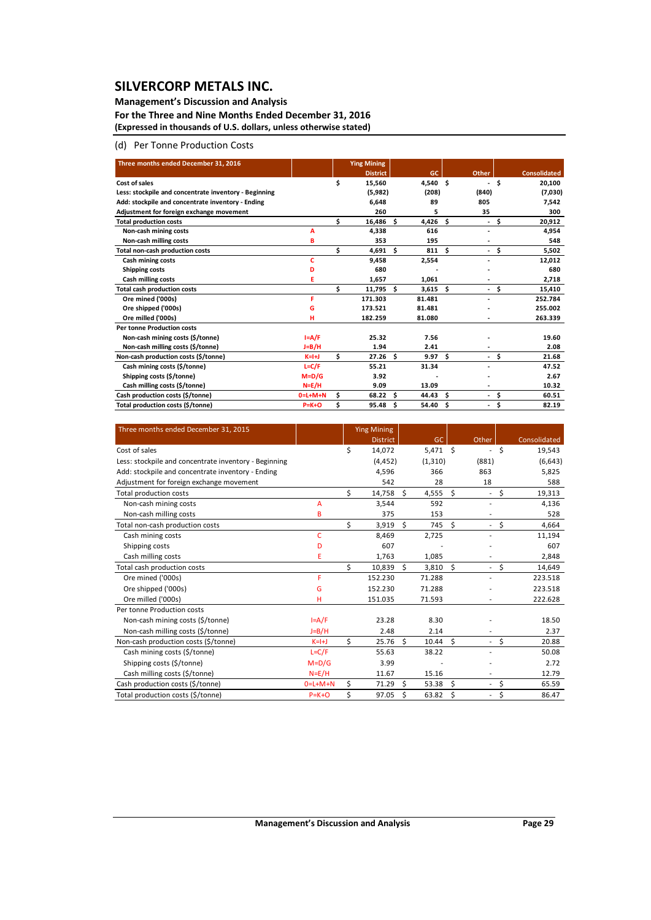### **Management's Discussion and Analysis**

**For the Three and Nine Months Ended December 31, 2016 (Expressed in thousands of U.S. dollars, unless otherwise stated)**

### (d) Per Tonne Production Costs

| Three months ended December 31, 2016                  |           |    | <b>Ying Mining</b> |   |        |    |                          |      |                     |
|-------------------------------------------------------|-----------|----|--------------------|---|--------|----|--------------------------|------|---------------------|
|                                                       |           |    | <b>District</b>    |   | GC     |    | <b>Other</b>             |      | <b>Consolidated</b> |
| Cost of sales                                         |           | \$ | 15,560             |   | 4,540  | Ŝ. | ۰.                       | \$   | 20,100              |
| Less: stockpile and concentrate inventory - Beginning |           |    | (5,982)            |   | (208)  |    | (840)                    |      | (7,030)             |
| Add: stockpile and concentrate inventory - Ending     |           |    | 6,648              |   | 89     |    | 805                      |      | 7,542               |
| Adjustment for foreign exchange movement              |           |    | 260                |   | 5      |    | 35                       |      | 300                 |
| <b>Total production costs</b>                         |           | Ś  | 16,486 \$          |   | 4,426  | Ś. |                          | - \$ | 20,912              |
| Non-cash mining costs                                 | А         |    | 4,338              |   | 616    |    | ٠                        |      | 4,954               |
| Non-cash milling costs                                | в         |    | 353                |   | 195    |    |                          |      | 548                 |
| <b>Total non-cash production costs</b>                |           | Ś  | $4,691$ \$         |   | 811    | Ŝ. |                          | - \$ | 5,502               |
| <b>Cash mining costs</b>                              | c         |    | 9,458              |   | 2,554  |    |                          |      | 12,012              |
| Shipping costs                                        | D         |    | 680                |   |        |    |                          |      | 680                 |
| <b>Cash milling costs</b>                             | Ε         |    | 1,657              |   | 1,061  |    |                          |      | 2,718               |
| <b>Total cash production costs</b>                    |           | Ś  | $11,795$ \$        |   | 3,615  | Ŝ. | $\overline{\phantom{0}}$ | \$   | 15,410              |
| Ore mined ('000s)                                     | F         |    | 171.303            |   | 81.481 |    |                          |      | 252.784             |
| Ore shipped ('000s)                                   | G         |    | 173.521            |   | 81.481 |    |                          |      | 255.002             |
| Ore milled ('000s)                                    | н         |    | 182.259            |   | 81.080 |    |                          |      | 263.339             |
| <b>Per tonne Production costs</b>                     |           |    |                    |   |        |    |                          |      |                     |
| Non-cash mining costs (\$/tonne)                      | $I = A/F$ |    | 25.32              |   | 7.56   |    |                          |      | 19.60               |
| Non-cash milling costs (\$/tonne)                     | J=B/H     |    | 1.94               |   | 2.41   |    |                          |      | 2.08                |
| Non-cash production costs (\$/tonne)                  | $K=H+J$   | \$ | $27.26$ \$         |   | 9.97   | Ś. | $\overline{\phantom{a}}$ | \$   | 21.68               |
| Cash mining costs (\$/tonne)                          | $L = C/F$ |    | 55.21              |   | 31.34  |    |                          |      | 47.52               |
| Shipping costs (\$/tonne)                             | $M=D/G$   |    | 3.92               |   |        |    |                          |      | 2.67                |
| Cash milling costs (\$/tonne)                         | $N=E/H$   |    | 9.09               |   | 13.09  |    |                          |      | 10.32               |
| Cash production costs (\$/tonne)                      | $0=L+M+N$ | Ś  | $68.22$ \$         |   | 44.43  | Ś  | ٠                        | \$   | 60.51               |
| Total production costs (\$/tonne)                     | $P=K+O$   | Ś  | 95.48              | Ŝ | 54.40  | Ś  | ٠                        | \$   | 82.19               |

| Three months ended December 31, 2015                  |             |    | <b>Ying Mining</b> |    |            |    |                          |    |              |
|-------------------------------------------------------|-------------|----|--------------------|----|------------|----|--------------------------|----|--------------|
|                                                       |             |    | <b>District</b>    |    | GC         |    | Other                    |    | Consolidated |
| Cost of sales                                         |             | Ś  | 14,072             |    | $5,471$ \$ |    | $\overline{\phantom{a}}$ | Ŝ  | 19,543       |
| Less: stockpile and concentrate inventory - Beginning |             |    | (4, 452)           |    | (1, 310)   |    | (881)                    |    | (6,643)      |
| Add: stockpile and concentrate inventory - Ending     |             |    | 4,596              |    | 366        |    | 863                      |    | 5,825        |
| Adjustment for foreign exchange movement              |             |    | 542                |    | 28         |    | 18                       |    | 588          |
| Total production costs                                |             | \$ | 14,758             | Ś. | 4,555      | \$ | $\overline{\phantom{a}}$ | \$ | 19,313       |
| Non-cash mining costs                                 | A           |    | 3,544              |    | 592        |    |                          |    | 4,136        |
| Non-cash milling costs                                | B           |    | 375                |    | 153        |    |                          |    | 528          |
| Total non-cash production costs                       |             | Ś  | 3,919              | Ś. | 745        | Ŝ. | $\overline{\phantom{a}}$ | \$ | 4,664        |
| Cash mining costs                                     | c           |    | 8,469              |    | 2,725      |    |                          |    | 11,194       |
| Shipping costs                                        | D           |    | 607                |    |            |    |                          |    | 607          |
| Cash milling costs                                    | E           |    | 1,763              |    | 1,085      |    |                          |    | 2,848        |
| Total cash production costs                           |             | \$ | 10,839             | Ś. | 3,810      | \$ | $\overline{\phantom{a}}$ | \$ | 14,649       |
| Ore mined ('000s)                                     | F           |    | 152.230            |    | 71.288     |    |                          |    | 223.518      |
| Ore shipped ('000s)                                   | G           |    | 152.230            |    | 71.288     |    |                          |    | 223.518      |
| Ore milled ('000s)                                    | н           |    | 151.035            |    | 71.593     |    |                          |    | 222.628      |
| Per tonne Production costs                            |             |    |                    |    |            |    |                          |    |              |
| Non-cash mining costs (\$/tonne)                      | $I = A/F$   |    | 23.28              |    | 8.30       |    |                          |    | 18.50        |
| Non-cash milling costs (\$/tonne)                     | $J=B/H$     |    | 2.48               |    | 2.14       |    |                          |    | 2.37         |
| Non-cash production costs (\$/tonne)                  | $K=I+J$     | \$ | 25.76              | \$ | 10.44      | \$ | $\overline{\phantom{a}}$ | \$ | 20.88        |
| Cash mining costs (\$/tonne)                          | $L = C/F$   |    | 55.63              |    | 38.22      |    |                          |    | 50.08        |
| Shipping costs (\$/tonne)                             | $M = D/G$   |    | 3.99               |    |            |    |                          |    | 2.72         |
| Cash milling costs (\$/tonne)                         | $N = E/H$   |    | 11.67              |    | 15.16      |    | $\overline{\phantom{a}}$ |    | 12.79        |
| Cash production costs (\$/tonne)                      | $0=L+M+N$   | Ś  | 71.29              | Ś. | 53.38      | Ś  | $\overline{\phantom{a}}$ | \$ | 65.59        |
| Total production costs (\$/tonne)                     | $P = K + O$ | \$ | 97.05              | \$ | 63.82      | \$ | $\overline{\phantom{a}}$ | \$ | 86.47        |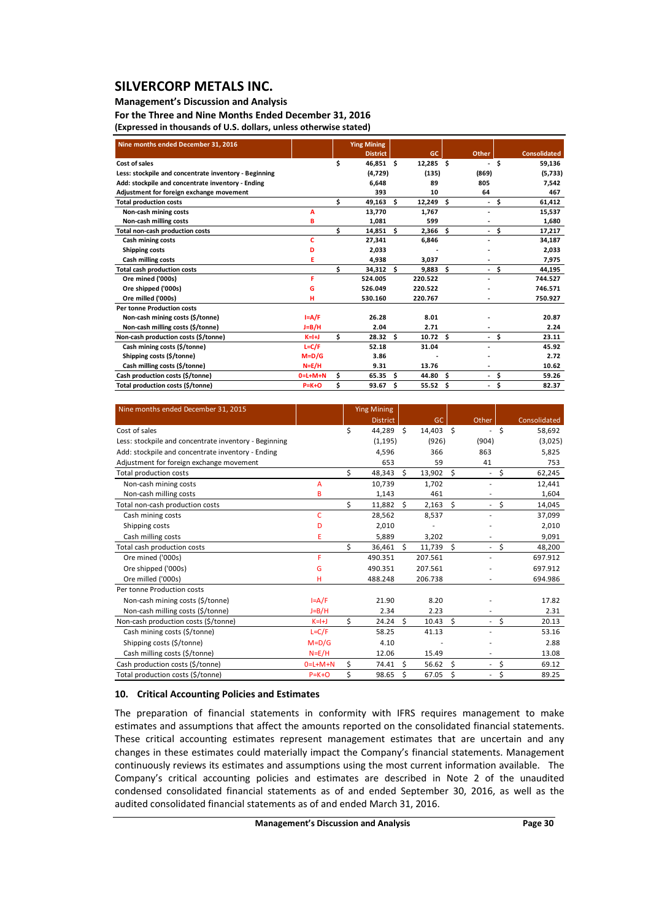### **Management's Discussion and Analysis**

**For the Three and Nine Months Ended December 31, 2016 (Expressed in thousands of U.S. dollars, unless otherwise stated)**

| Nine months ended December 31, 2016                   |           |    | <b>Ying Mining</b> |     |             |    |                          |      |                     |
|-------------------------------------------------------|-----------|----|--------------------|-----|-------------|----|--------------------------|------|---------------------|
|                                                       |           |    | <b>District</b>    |     | GC          |    | Other                    |      | <b>Consolidated</b> |
| Cost of sales                                         |           | \$ | 46,851 \$          |     | $12,285$ \$ |    | $\blacksquare$           | \$.  | 59,136              |
| Less: stockpile and concentrate inventory - Beginning |           |    | (4, 729)           |     | (135)       |    | (869)                    |      | (5,733)             |
| Add: stockpile and concentrate inventory - Ending     |           |    | 6,648              |     | 89          |    | 805                      |      | 7,542               |
| Adjustment for foreign exchange movement              |           |    | 393                |     | 10          |    | 64                       |      | 467                 |
| <b>Total production costs</b>                         |           | Ś  | 49,163             | Ŝ.  | 12,249      | Ŝ. |                          | - \$ | 61,412              |
| Non-cash mining costs                                 | А         |    | 13,770             |     | 1,767       |    | ٠                        |      | 15,537              |
| Non-cash milling costs                                | в         |    | 1,081              |     | 599         |    | $\overline{\phantom{a}}$ |      | 1,680               |
| <b>Total non-cash production costs</b>                |           | \$ | $14,851$ \$        |     | 2,366       | Ŝ. | $\mathbf{r}$             | Ŝ.   | 17,217              |
| <b>Cash mining costs</b>                              | Ċ         |    | 27,341             |     | 6,846       |    |                          |      | 34,187              |
| Shipping costs                                        | D         |    | 2,033              |     |             |    |                          |      | 2,033               |
| Cash milling costs                                    | Ε         |    | 4,938              |     | 3,037       |    |                          |      | 7,975               |
| <b>Total cash production costs</b>                    |           | \$ | 34,312 \$          |     | 9.883       | Ŝ. | $\blacksquare$           | \$   | 44,195              |
| Ore mined ('000s)                                     | F         |    | 524.005            |     | 220.522     |    |                          |      | 744.527             |
| Ore shipped ('000s)                                   | G         |    | 526.049            |     | 220.522     |    |                          |      | 746.571             |
| Ore milled ('000s)                                    | н         |    | 530.160            |     | 220.767     |    |                          |      | 750.927             |
| <b>Per tonne Production costs</b>                     |           |    |                    |     |             |    |                          |      |                     |
| Non-cash mining costs (\$/tonne)                      | $I = A/F$ |    | 26.28              |     | 8.01        |    |                          |      | 20.87               |
| Non-cash milling costs (\$/tonne)                     | $J=B/H$   |    | 2.04               |     | 2.71        |    |                          |      | 2.24                |
| Non-cash production costs (\$/tonne)                  | $K=H+J$   | \$ | 28.32 <sub>5</sub> |     | 10.72       | Ŝ. |                          | - \$ | 23.11               |
| Cash mining costs (\$/tonne)                          | $L = C/F$ |    | 52.18              |     | 31.04       |    |                          |      | 45.92               |
| Shipping costs (\$/tonne)                             | $M=D/G$   |    | 3.86               |     |             |    |                          |      | 2.72                |
| Cash milling costs (\$/tonne)                         | $N=E/H$   |    | 9.31               |     | 13.76       |    |                          |      | 10.62               |
| Cash production costs (\$/tonne)                      | $0=L+M+N$ | \$ | 65.35              | \$. | 44.80       | Ŝ. | $\sim$                   | \$.  | 59.26               |
| Total production costs (\$/tonne)                     | $P=K+O$   | Ś  | 93.67              | \$. | 55.52       | Ŝ  | $\blacksquare$           | \$   | 82.37               |

| Nine months ended December 31, 2015                   |             |    | <b>Ying Mining</b> |          |             |    |                          |                     |              |
|-------------------------------------------------------|-------------|----|--------------------|----------|-------------|----|--------------------------|---------------------|--------------|
|                                                       |             |    | <b>District</b>    |          | <b>GC</b>   |    | Other                    |                     | Consolidated |
| Cost of sales                                         |             | \$ | 44,289             | <b>S</b> | $14,403$ \$ |    | $\overline{\phantom{a}}$ | S.                  | 58,692       |
| Less: stockpile and concentrate inventory - Beginning |             |    | (1, 195)           |          | (926)       |    | (904)                    |                     | (3,025)      |
| Add: stockpile and concentrate inventory - Ending     |             |    | 4,596              |          | 366         |    | 863                      |                     | 5,825        |
| Adjustment for foreign exchange movement              |             |    | 653                |          | 59          |    | 41                       |                     | 753          |
| Total production costs                                |             | \$ | 48,343             | Ś.       | 13,902      | \$ | $\overline{\phantom{a}}$ | S.                  | 62,245       |
| Non-cash mining costs                                 | A           |    | 10,739             |          | 1,702       |    |                          |                     | 12,441       |
| Non-cash milling costs                                | B           |    | 1,143              |          | 461         |    |                          |                     | 1,604        |
| Total non-cash production costs                       |             | Ś  | 11,882             | Ś.       | 2,163       | Ŝ. | $\overline{\phantom{a}}$ | $\ddot{\mathsf{S}}$ | 14,045       |
| Cash mining costs                                     | c           |    | 28,562             |          | 8,537       |    |                          |                     | 37,099       |
| Shipping costs                                        | D           |    | 2,010              |          |             |    |                          |                     | 2,010        |
| Cash milling costs                                    | E           |    | 5,889              |          | 3,202       |    | ٠                        |                     | 9,091        |
| Total cash production costs                           |             | \$ | 36,461             | Ś.       | 11,739      | Ś  | $\sim$                   | \$                  | 48,200       |
| Ore mined ('000s)                                     | F           |    | 490.351            |          | 207.561     |    |                          |                     | 697.912      |
| Ore shipped ('000s)                                   | G           |    | 490.351            |          | 207.561     |    |                          |                     | 697.912      |
| Ore milled ('000s)                                    | н           |    | 488.248            |          | 206.738     |    |                          |                     | 694.986      |
| Per tonne Production costs                            |             |    |                    |          |             |    |                          |                     |              |
| Non-cash mining costs (\$/tonne)                      | $I = A/F$   |    | 21.90              |          | 8.20        |    |                          |                     | 17.82        |
| Non-cash milling costs (\$/tonne)                     | $J=B/H$     |    | 2.34               |          | 2.23        |    |                          |                     | 2.31         |
| Non-cash production costs (\$/tonne)                  | $K=H$       | \$ | 24.24              | Ś.       | 10.43       | Ś  | $\overline{\phantom{a}}$ | \$                  | 20.13        |
| Cash mining costs (\$/tonne)                          | $L = C/F$   |    | 58.25              |          | 41.13       |    |                          |                     | 53.16        |
| Shipping costs (\$/tonne)                             | $M = D/G$   |    | 4.10               |          |             |    |                          |                     | 2.88         |
| Cash milling costs (\$/tonne)                         | $N = E/H$   |    | 12.06              |          | 15.49       |    |                          |                     | 13.08        |
| Cash production costs (\$/tonne)                      | $0=L+M+N$   | \$ | 74.41              | Ś        | 56.62       | Ś  | $\overline{\phantom{a}}$ | \$                  | 69.12        |
| Total production costs (\$/tonne)                     | $P = K + O$ | \$ | 98.65              | \$       | 67.05       | \$ | $\overline{\phantom{a}}$ | \$                  | 89.25        |

#### **10. Critical Accounting Policies and Estimates**

The preparation of financial statements in conformity with IFRS requires management to make estimates and assumptions that affect the amounts reported on the consolidated financial statements. These critical accounting estimates represent management estimates that are uncertain and any changes in these estimates could materially impact the Company's financial statements. Management continuously reviews its estimates and assumptions using the most current information available. The Company's critical accounting policies and estimates are described in Note 2 of the unaudited condensed consolidated financial statements as of and ended September 30, 2016, as well as the audited consolidated financial statements as of and ended March 31, 2016.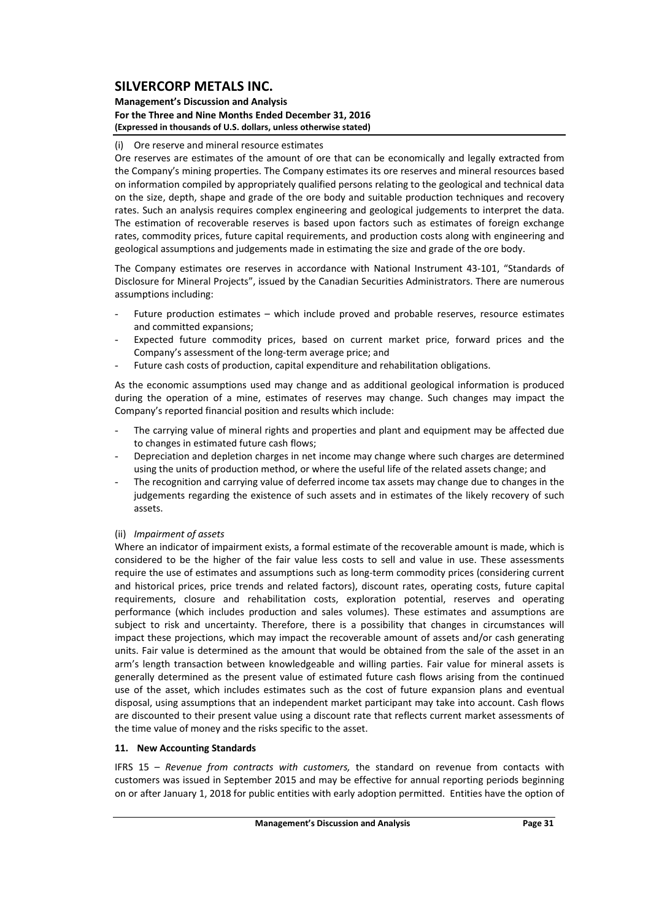#### **Management's Discussion and Analysis For the Three and Nine Months Ended December 31, 2016 (Expressed in thousands of U.S. dollars, unless otherwise stated)**

### (i) Ore reserve and mineral resource estimates

Ore reserves are estimates of the amount of ore that can be economically and legally extracted from the Company's mining properties. The Company estimates its ore reserves and mineral resources based on information compiled by appropriately qualified persons relating to the geological and technical data on the size, depth, shape and grade of the ore body and suitable production techniques and recovery rates. Such an analysis requires complex engineering and geological judgements to interpret the data. The estimation of recoverable reserves is based upon factors such as estimates of foreign exchange rates, commodity prices, future capital requirements, and production costs along with engineering and geological assumptions and judgements made in estimating the size and grade of the ore body.

The Company estimates ore reserves in accordance with National Instrument 43‐101, "Standards of Disclosure for Mineral Projects", issued by the Canadian Securities Administrators. There are numerous assumptions including:

- Future production estimates which include proved and probable reserves, resource estimates and committed expansions;
- Expected future commodity prices, based on current market price, forward prices and the Company's assessment of the long‐term average price; and
- Future cash costs of production, capital expenditure and rehabilitation obligations.

As the economic assumptions used may change and as additional geological information is produced during the operation of a mine, estimates of reserves may change. Such changes may impact the Company's reported financial position and results which include:

- The carrying value of mineral rights and properties and plant and equipment may be affected due to changes in estimated future cash flows;
- Depreciation and depletion charges in net income may change where such charges are determined using the units of production method, or where the useful life of the related assets change; and
- The recognition and carrying value of deferred income tax assets may change due to changes in the judgements regarding the existence of such assets and in estimates of the likely recovery of such assets.

### (ii) *Impairment of assets*

Where an indicator of impairment exists, a formal estimate of the recoverable amount is made, which is considered to be the higher of the fair value less costs to sell and value in use. These assessments require the use of estimates and assumptions such as long-term commodity prices (considering current and historical prices, price trends and related factors), discount rates, operating costs, future capital requirements, closure and rehabilitation costs, exploration potential, reserves and operating performance (which includes production and sales volumes). These estimates and assumptions are subject to risk and uncertainty. Therefore, there is a possibility that changes in circumstances will impact these projections, which may impact the recoverable amount of assets and/or cash generating units. Fair value is determined as the amount that would be obtained from the sale of the asset in an arm's length transaction between knowledgeable and willing parties. Fair value for mineral assets is generally determined as the present value of estimated future cash flows arising from the continued use of the asset, which includes estimates such as the cost of future expansion plans and eventual disposal, using assumptions that an independent market participant may take into account. Cash flows are discounted to their present value using a discount rate that reflects current market assessments of the time value of money and the risks specific to the asset.

#### **11. New Accounting Standards**

IFRS 15 – *Revenue from contracts with customers,* the standard on revenue from contacts with customers was issued in September 2015 and may be effective for annual reporting periods beginning on or after January 1, 2018 for public entities with early adoption permitted. Entities have the option of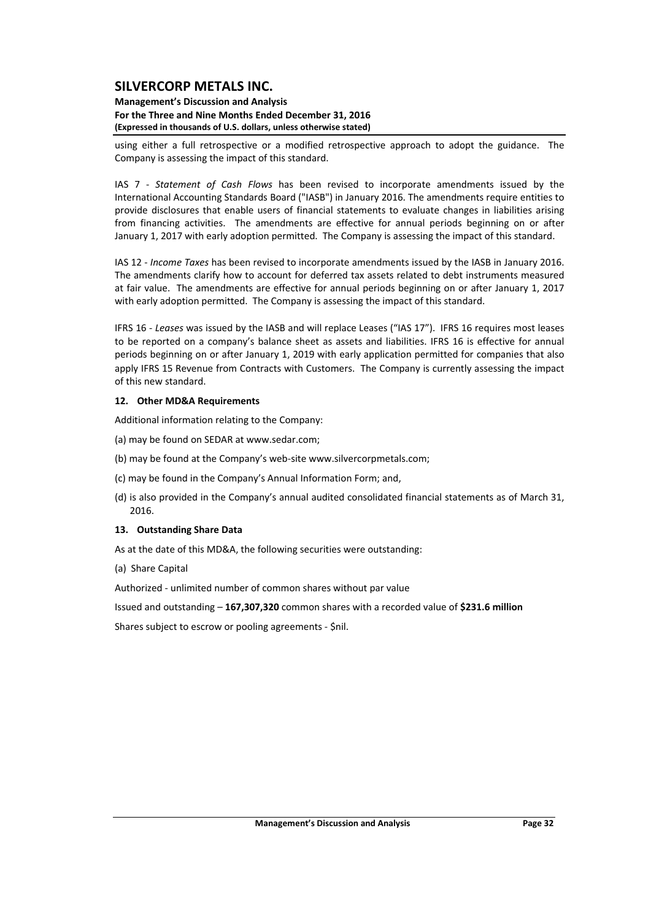#### **Management's Discussion and Analysis For the Three and Nine Months Ended December 31, 2016 (Expressed in thousands of U.S. dollars, unless otherwise stated)**

using either a full retrospective or a modified retrospective approach to adopt the guidance. The Company is assessing the impact of this standard.

IAS 7 ‐ *Statement of Cash Flows* has been revised to incorporate amendments issued by the International Accounting Standards Board ("IASB") in January 2016. The amendments require entities to provide disclosures that enable users of financial statements to evaluate changes in liabilities arising from financing activities. The amendments are effective for annual periods beginning on or after January 1, 2017 with early adoption permitted. The Company is assessing the impact of this standard.

IAS 12 ‐ *Income Taxes* has been revised to incorporate amendments issued by the IASB in January 2016. The amendments clarify how to account for deferred tax assets related to debt instruments measured at fair value. The amendments are effective for annual periods beginning on or after January 1, 2017 with early adoption permitted. The Company is assessing the impact of this standard.

IFRS 16 ‐ *Leases* was issued by the IASB and will replace Leases ("IAS 17"). IFRS 16 requires most leases to be reported on a company's balance sheet as assets and liabilities. IFRS 16 is effective for annual periods beginning on or after January 1, 2019 with early application permitted for companies that also apply IFRS 15 Revenue from Contracts with Customers. The Company is currently assessing the impact of this new standard.

#### **12. Other MD&A Requirements**

Additional information relating to the Company:

- (a) may be found on SEDAR at www.sedar.com;
- (b) may be found at the Company's web‐site www.silvercorpmetals.com;
- (c) may be found in the Company's Annual Information Form; and,
- (d) is also provided in the Company's annual audited consolidated financial statements as of March 31, 2016.

#### **13. Outstanding Share Data**

As at the date of this MD&A, the following securities were outstanding:

(a) Share Capital

Authorized ‐ unlimited number of common shares without par value

Issued and outstanding – **167,307,320** common shares with a recorded value of **\$231.6 million**

Shares subject to escrow or pooling agreements ‐ \$nil.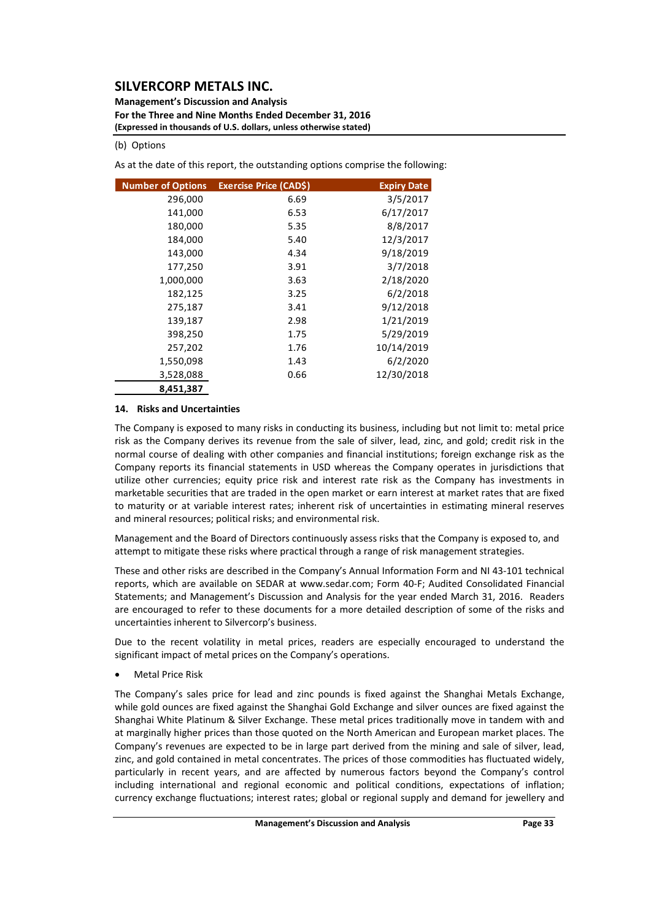**Management's Discussion and Analysis For the Three and Nine Months Ended December 31, 2016 (Expressed in thousands of U.S. dollars, unless otherwise stated)**

#### (b) Options

As at the date of this report, the outstanding options comprise the following:

| <b>Number of Options</b> | Exercise Price (CAD\$) | <b>Expiry Date</b> |
|--------------------------|------------------------|--------------------|
| 296,000                  | 6.69                   | 3/5/2017           |
| 141,000                  | 6.53                   | 6/17/2017          |
| 180,000                  | 5.35                   | 8/8/2017           |
| 184,000                  | 5.40                   | 12/3/2017          |
| 143,000                  | 4.34                   | 9/18/2019          |
| 177,250                  | 3.91                   | 3/7/2018           |
| 1,000,000                | 3.63                   | 2/18/2020          |
| 182,125                  | 3.25                   | 6/2/2018           |
| 275,187                  | 3.41                   | 9/12/2018          |
| 139,187                  | 2.98                   | 1/21/2019          |
| 398,250                  | 1.75                   | 5/29/2019          |
| 257,202                  | 1.76                   | 10/14/2019         |
| 1,550,098                | 1.43                   | 6/2/2020           |
| 3,528,088                | 0.66                   | 12/30/2018         |
| 8,451,387                |                        |                    |

#### **14. Risks and Uncertainties**

The Company is exposed to many risks in conducting its business, including but not limit to: metal price risk as the Company derives its revenue from the sale of silver, lead, zinc, and gold; credit risk in the normal course of dealing with other companies and financial institutions; foreign exchange risk as the Company reports its financial statements in USD whereas the Company operates in jurisdictions that utilize other currencies; equity price risk and interest rate risk as the Company has investments in marketable securities that are traded in the open market or earn interest at market rates that are fixed to maturity or at variable interest rates; inherent risk of uncertainties in estimating mineral reserves and mineral resources; political risks; and environmental risk.

Management and the Board of Directors continuously assess risks that the Company is exposed to, and attempt to mitigate these risks where practical through a range of risk management strategies.

These and other risks are described in the Company's Annual Information Form and NI 43‐101 technical reports, which are available on SEDAR at www.sedar.com; Form 40‐F; Audited Consolidated Financial Statements; and Management's Discussion and Analysis for the year ended March 31, 2016. Readers are encouraged to refer to these documents for a more detailed description of some of the risks and uncertainties inherent to Silvercorp's business.

Due to the recent volatility in metal prices, readers are especially encouraged to understand the significant impact of metal prices on the Company's operations.

Metal Price Risk

The Company's sales price for lead and zinc pounds is fixed against the Shanghai Metals Exchange, while gold ounces are fixed against the Shanghai Gold Exchange and silver ounces are fixed against the Shanghai White Platinum & Silver Exchange. These metal prices traditionally move in tandem with and at marginally higher prices than those quoted on the North American and European market places. The Company's revenues are expected to be in large part derived from the mining and sale of silver, lead, zinc, and gold contained in metal concentrates. The prices of those commodities has fluctuated widely, particularly in recent years, and are affected by numerous factors beyond the Company's control including international and regional economic and political conditions, expectations of inflation; currency exchange fluctuations; interest rates; global or regional supply and demand for jewellery and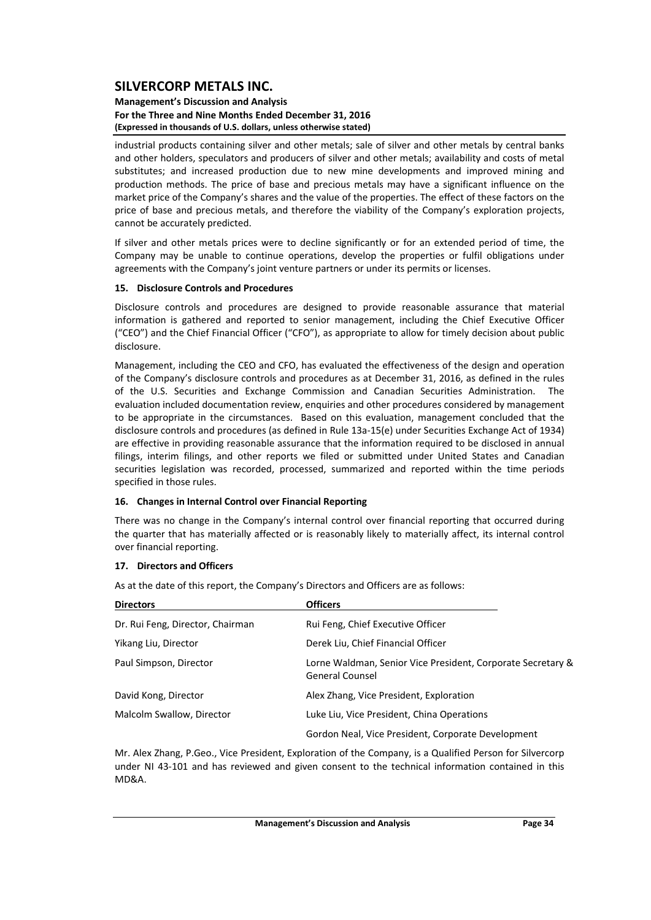#### **Management's Discussion and Analysis For the Three and Nine Months Ended December 31, 2016 (Expressed in thousands of U.S. dollars, unless otherwise stated)**

industrial products containing silver and other metals; sale of silver and other metals by central banks and other holders, speculators and producers of silver and other metals; availability and costs of metal substitutes; and increased production due to new mine developments and improved mining and production methods. The price of base and precious metals may have a significant influence on the market price of the Company's shares and the value of the properties. The effect of these factors on the price of base and precious metals, and therefore the viability of the Company's exploration projects, cannot be accurately predicted.

If silver and other metals prices were to decline significantly or for an extended period of time, the Company may be unable to continue operations, develop the properties or fulfil obligations under agreements with the Company's joint venture partners or under its permits or licenses.

#### **15. Disclosure Controls and Procedures**

Disclosure controls and procedures are designed to provide reasonable assurance that material information is gathered and reported to senior management, including the Chief Executive Officer ("CEO") and the Chief Financial Officer ("CFO"), as appropriate to allow for timely decision about public disclosure.

Management, including the CEO and CFO, has evaluated the effectiveness of the design and operation of the Company's disclosure controls and procedures as at December 31, 2016, as defined in the rules of the U.S. Securities and Exchange Commission and Canadian Securities Administration. The evaluation included documentation review, enquiries and other procedures considered by management to be appropriate in the circumstances. Based on this evaluation, management concluded that the disclosure controls and procedures (as defined in Rule 13a‐15(e) under Securities Exchange Act of 1934) are effective in providing reasonable assurance that the information required to be disclosed in annual filings, interim filings, and other reports we filed or submitted under United States and Canadian securities legislation was recorded, processed, summarized and reported within the time periods specified in those rules.

#### **16. Changes in Internal Control over Financial Reporting**

There was no change in the Company's internal control over financial reporting that occurred during the quarter that has materially affected or is reasonably likely to materially affect, its internal control over financial reporting.

#### **17. Directors and Officers**

As at the date of this report, the Company's Directors and Officers are as follows:

| <b>Directors</b>                 | <b>Officers</b>                                                                       |
|----------------------------------|---------------------------------------------------------------------------------------|
| Dr. Rui Feng, Director, Chairman | Rui Feng, Chief Executive Officer                                                     |
| Yikang Liu, Director             | Derek Liu, Chief Financial Officer                                                    |
| Paul Simpson, Director           | Lorne Waldman, Senior Vice President, Corporate Secretary &<br><b>General Counsel</b> |
| David Kong, Director             | Alex Zhang, Vice President, Exploration                                               |
| Malcolm Swallow, Director        | Luke Liu, Vice President, China Operations                                            |
|                                  | Gordon Neal, Vice President, Corporate Development                                    |

Mr. Alex Zhang, P.Geo., Vice President, Exploration of the Company, is a Qualified Person for Silvercorp under NI 43‐101 and has reviewed and given consent to the technical information contained in this MD&A.